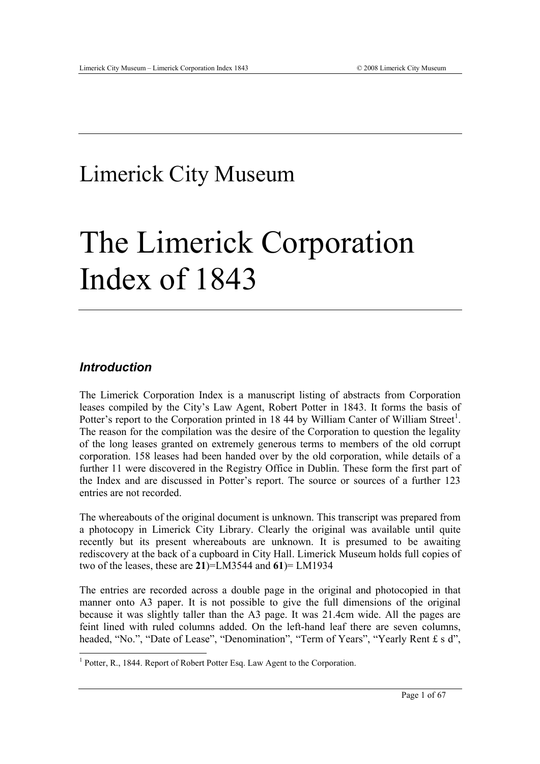# Limerick City Museum

# The Limerick Corporation Index of 1843

# *Introduction*

-

The Limerick Corporation Index is a manuscript listing of abstracts from Corporation leases compiled by the City's Law Agent, Robert Potter in 1843. It forms the basis of Potter's report to the Corporation printed in 18 44 by William Canter of William Street<sup>1</sup>. The reason for the compilation was the desire of the Corporation to question the legality of the long leases granted on extremely generous terms to members of the old corrupt corporation. 158 leases had been handed over by the old corporation, while details of a further 11 were discovered in the Registry Office in Dublin. These form the first part of the Index and are discussed in Potter's report. The source or sources of a further 123 entries are not recorded.

The whereabouts of the original document is unknown. This transcript was prepared from a photocopy in Limerick City Library. Clearly the original was available until quite recently but its present whereabouts are unknown. It is presumed to be awaiting rediscovery at the back of a cupboard in City Hall. Limerick Museum holds full copies of two of the leases, these are **21**)=LM3544 and **61**)= LM1934

The entries are recorded across a double page in the original and photocopied in that manner onto A3 paper. It is not possible to give the full dimensions of the original because it was slightly taller than the A3 page. It was 21.4cm wide. All the pages are feint lined with ruled columns added. On the left-hand leaf there are seven columns, headed, "No.", "Date of Lease", "Denomination", "Term of Years", "Yearly Rent £ s d",

<sup>&</sup>lt;sup>1</sup> Potter, R., 1844. Report of Robert Potter Esq. Law Agent to the Corporation.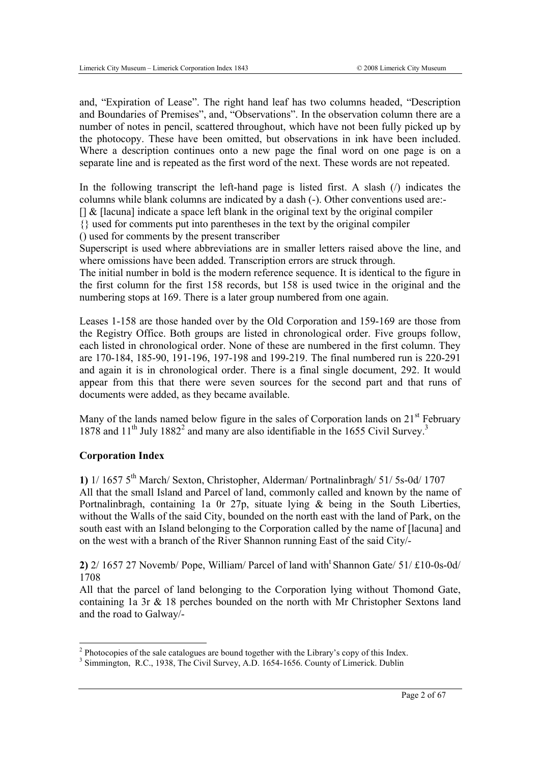and, "Expiration of Lease". The right hand leaf has two columns headed, "Description and Boundaries of Premises", and, "Observations". In the observation column there are a number of notes in pencil, scattered throughout, which have not been fully picked up by the photocopy. These have been omitted, but observations in ink have been included. Where a description continues onto a new page the final word on one page is on a separate line and is repeated as the first word of the next. These words are not repeated.

In the following transcript the left-hand page is listed first. A slash  $\alpha$  indicates the columns while blank columns are indicated by a dash (-). Other conventions used are:-  $\left[\right]$  &  $\left[\right]$  [lacuna] indicate a space left blank in the original text by the original compiler

{} used for comments put into parentheses in the text by the original compiler

() used for comments by the present transcriber

Superscript is used where abbreviations are in smaller letters raised above the line, and where omissions have been added. Transcription errors are struck through.

The initial number in bold is the modern reference sequence. It is identical to the figure in the first column for the first 158 records, but 158 is used twice in the original and the numbering stops at 169. There is a later group numbered from one again.

Leases 1-158 are those handed over by the Old Corporation and 159-169 are those from the Registry Office. Both groups are listed in chronological order. Five groups follow, each listed in chronological order. None of these are numbered in the first column. They are 170-184, 185-90, 191-196, 197-198 and 199-219. The final numbered run is 220-291 and again it is in chronological order. There is a final single document, 292. It would appear from this that there were seven sources for the second part and that runs of documents were added, as they became available.

Many of the lands named below figure in the sales of Corporation lands on  $21<sup>st</sup>$  February 1878 and 11<sup>th</sup> July 1882<sup>2</sup> and many are also identifiable in the 1655 Civil Survey.<sup>3</sup>

# **Corporation Index**

**1)** 1/ 1657 5th March/ Sexton, Christopher, Alderman/ Portnalinbragh/ 51/ 5s-0d/ 1707 All that the small Island and Parcel of land, commonly called and known by the name of Portnalinbragh, containing 1a 0r 27p, situate lying & being in the South Liberties, without the Walls of the said City, bounded on the north east with the land of Park, on the south east with an Island belonging to the Corporation called by the name of [lacuna] and on the west with a branch of the River Shannon running East of the said City/-

**2)** 2/ 1657 27 Novemb/ Pope, William/ Parcel of land witht Shannon Gate/ 51/ £10-0s-0d/ 1708

All that the parcel of land belonging to the Corporation lying without Thomond Gate, containing 1a 3r & 18 perches bounded on the north with Mr Christopher Sextons land and the road to Galway/-

<sup>&</sup>lt;sup>2</sup> Photocopies of the sale catalogues are bound together with the Library's copy of this Index.

<sup>&</sup>lt;sup>3</sup> Simmington, R.C., 1938, The Civil Survey, A.D. 1654-1656. County of Limerick. Dublin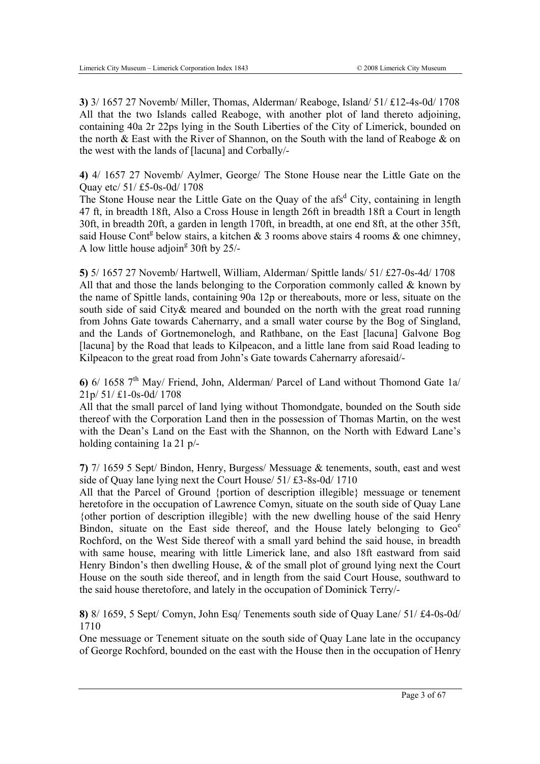**3)** 3/ 1657 27 Novemb/ Miller, Thomas, Alderman/ Reaboge, Island/ 51/ £12-4s-0d/ 1708 All that the two Islands called Reaboge, with another plot of land thereto adjoining, containing 40a 2r 22ps lying in the South Liberties of the City of Limerick, bounded on the north & East with the River of Shannon, on the South with the land of Reaboge & on the west with the lands of [lacuna] and Corbally/-

**4)** 4/ 1657 27 Novemb/ Aylmer, George/ The Stone House near the Little Gate on the Quay etc/ 51/ £5-0s-0d/ 1708

The Stone House near the Little Gate on the Quay of the afs<sup>d</sup> City, containing in length 47 ft, in breadth 18ft, Also a Cross House in length 26ft in breadth 18ft a Court in length 30ft, in breadth 20ft, a garden in length 170ft, in breadth, at one end 8ft, at the other 35ft, said House Cont<sup>g</sup> below stairs, a kitchen & 3 rooms above stairs 4 rooms & one chimney, A low little house adjoin<sup>g</sup> 30ft by  $25/$ -

**5)** 5/ 1657 27 Novemb/ Hartwell, William, Alderman/ Spittle lands/ 51/ £27-0s-4d/ 1708 All that and those the lands belonging to the Corporation commonly called  $\&$  known by the name of Spittle lands, containing 90a 12p or thereabouts, more or less, situate on the south side of said City& meared and bounded on the north with the great road running from Johns Gate towards Cahernarry, and a small water course by the Bog of Singland, and the Lands of Gortnemonelogh, and Rathbane, on the East [lacuna] Galvone Bog [lacuna] by the Road that leads to Kilpeacon, and a little lane from said Road leading to Kilpeacon to the great road from John's Gate towards Cahernarry aforesaid/-

**6)**  $6/1658$  7<sup>th</sup> May/ Friend, John, Alderman/ Parcel of Land without Thomond Gate 1a/ 21p/ 51/ £1-0s-0d/ 1708

All that the small parcel of land lying without Thomondgate, bounded on the South side thereof with the Corporation Land then in the possession of Thomas Martin, on the west with the Dean's Land on the East with the Shannon, on the North with Edward Lane's holding containing 1a 21 p/-

**7)** 7/ 1659 5 Sept/ Bindon, Henry, Burgess/ Messuage & tenements, south, east and west side of Quay lane lying next the Court House/ 51/ £3-8s-0d/ 1710

All that the Parcel of Ground {portion of description illegible} messuage or tenement heretofore in the occupation of Lawrence Comyn, situate on the south side of Quay Lane {other portion of description illegible} with the new dwelling house of the said Henry Bindon, situate on the East side thereof, and the House lately belonging to  $\text{Geo}^{\text{e}}$ Rochford, on the West Side thereof with a small yard behind the said house, in breadth with same house, mearing with little Limerick lane, and also 18ft eastward from said Henry Bindon's then dwelling House,  $\&$  of the small plot of ground lying next the Court House on the south side thereof, and in length from the said Court House, southward to the said house theretofore, and lately in the occupation of Dominick Terry/-

**8)** 8/ 1659, 5 Sept/ Comyn, John Esq/ Tenements south side of Quay Lane/ 51/ £4-0s-0d/ 1710

One messuage or Tenement situate on the south side of Quay Lane late in the occupancy of George Rochford, bounded on the east with the House then in the occupation of Henry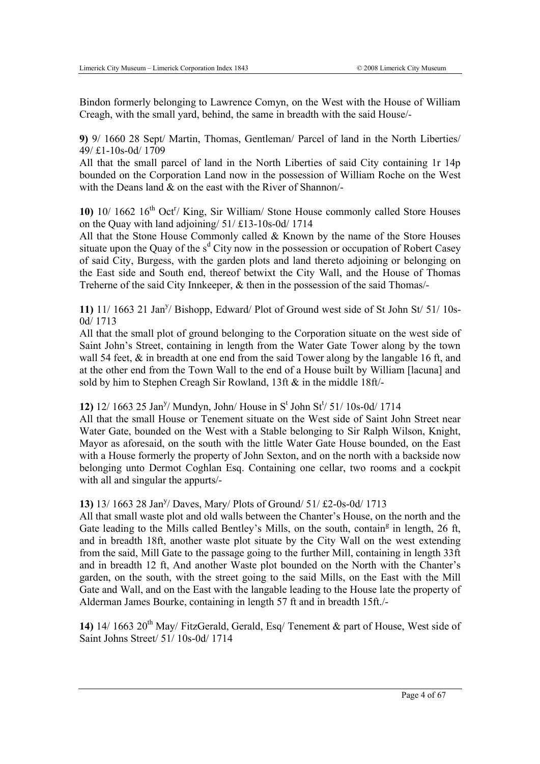Bindon formerly belonging to Lawrence Comyn, on the West with the House of William Creagh, with the small yard, behind, the same in breadth with the said House/-

**9)** 9/ 1660 28 Sept/ Martin, Thomas, Gentleman/ Parcel of land in the North Liberties/ 49/ £1-10s-0d/ 1709

All that the small parcel of land in the North Liberties of said City containing 1r 14p bounded on the Corporation Land now in the possession of William Roche on the West with the Deans land & on the east with the River of Shannon/-

10) <sup>10</sup>/ 1662 <sup>16th</sup> Oct<sup>r</sup>/ King, Sir William/ Stone House commonly called Store Houses on the Quay with land adjoining/ 51/ £13-10s-0d/ 1714

All that the Stone House Commonly called & Known by the name of the Store Houses situate upon the Quay of the  $s<sup>d</sup>$  City now in the possession or occupation of Robert Casey of said City, Burgess, with the garden plots and land thereto adjoining or belonging on the East side and South end, thereof betwixt the City Wall, and the House of Thomas Treherne of the said City Innkeeper, & then in the possession of the said Thomas/-

11) 11/ 1663 21 Jan<sup>y</sup>/ Bishopp, Edward/ Plot of Ground west side of St John St/ 51/ 10s-0d/ 1713

All that the small plot of ground belonging to the Corporation situate on the west side of Saint John's Street, containing in length from the Water Gate Tower along by the town wall 54 feet, & in breadth at one end from the said Tower along by the langable 16 ft, and at the other end from the Town Wall to the end of a House built by William [lacuna] and sold by him to Stephen Creagh Sir Rowland, 13ft & in the middle 18ft/-

12) 12/ 1663 25 Jan<sup>y</sup>/ Mundyn, John/ House in S<sup>t</sup> John St<sup>t</sup>/ 51/ 10s-0d/ 1714

All that the small House or Tenement situate on the West side of Saint John Street near Water Gate, bounded on the West with a Stable belonging to Sir Ralph Wilson, Knight, Mayor as aforesaid, on the south with the little Water Gate House bounded, on the East with a House formerly the property of John Sexton, and on the north with a backside now belonging unto Dermot Coghlan Esq. Containing one cellar, two rooms and a cockpit with all and singular the appurts/-

# 13) 13/ 1663 28 Jan<sup>y</sup>/ Daves, Mary/ Plots of Ground/ 51/ £2-0s-0d/ 1713

All that small waste plot and old walls between the Chanter's House, on the north and the Gate leading to the Mills called Bentley's Mills, on the south, contain<sup>g</sup> in length, 26 ft, and in breadth 18ft, another waste plot situate by the City Wall on the west extending from the said, Mill Gate to the passage going to the further Mill, containing in length 33ft and in breadth 12 ft, And another Waste plot bounded on the North with the Chanter's garden, on the south, with the street going to the said Mills, on the East with the Mill Gate and Wall, and on the East with the langable leading to the House late the property of Alderman James Bourke, containing in length 57 ft and in breadth 15ft./-

14) 14/ 1663 20<sup>th</sup> May/ FitzGerald, Gerald, Esq/ Tenement & part of House, West side of Saint Johns Street/ 51/ 10s-0d/ 1714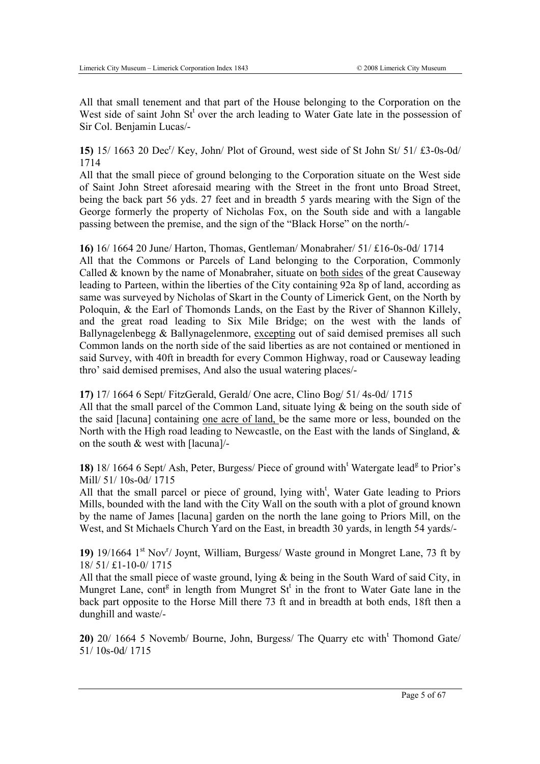All that small tenement and that part of the House belonging to the Corporation on the West side of saint John St<sup>t</sup> over the arch leading to Water Gate late in the possession of Sir Col. Benjamin Lucas/-

15) 15/ 1663 20 Dec<sup>r</sup>/ Key, John/ Plot of Ground, west side of St John St/ 51/ £3-0s-0d/ 1714

All that the small piece of ground belonging to the Corporation situate on the West side of Saint John Street aforesaid mearing with the Street in the front unto Broad Street, being the back part 56 yds. 27 feet and in breadth 5 yards mearing with the Sign of the George formerly the property of Nicholas Fox, on the South side and with a langable passing between the premise, and the sign of the "Black Horse" on the north/-

**16)** 16/ 1664 20 June/ Harton, Thomas, Gentleman/ Monabraher/ 51/ £16-0s-0d/ 1714 All that the Commons or Parcels of Land belonging to the Corporation, Commonly Called  $&$  known by the name of Monabraher, situate on both sides of the great Causeway leading to Parteen, within the liberties of the City containing 92a 8p of land, according as same was surveyed by Nicholas of Skart in the County of Limerick Gent, on the North by Poloquin, & the Earl of Thomonds Lands, on the East by the River of Shannon Killely, and the great road leading to Six Mile Bridge; on the west with the lands of Ballynagelenbegg & Ballynagelenmore, excepting out of said demised premises all such Common lands on the north side of the said liberties as are not contained or mentioned in said Survey, with 40ft in breadth for every Common Highway, road or Causeway leading thro' said demised premises, And also the usual watering places/-

**17)** 17/ 1664 6 Sept/ FitzGerald, Gerald/ One acre, Clino Bog/ 51/ 4s-0d/ 1715

All that the small parcel of the Common Land, situate lying  $\&$  being on the south side of the said [lacuna] containing one acre of land, be the same more or less, bounded on the North with the High road leading to Newcastle, on the East with the lands of Singland, & on the south & west with [lacuna]/-

18) 18/1664 6 Sept/ Ash, Peter, Burgess/ Piece of ground with<sup>t</sup> Watergate lead<sup>g</sup> to Prior's Mill/ 51/ 10s-0d/ 1715

All that the small parcel or piece of ground, lying with<sup>t</sup>, Water Gate leading to Priors Mills, bounded with the land with the City Wall on the south with a plot of ground known by the name of James [lacuna] garden on the north the lane going to Priors Mill, on the West, and St Michaels Church Yard on the East, in breadth 30 yards, in length 54 yards/-

19) 19/1664 1<sup>st</sup> Nov<sup>r</sup>/ Joynt, William, Burgess/ Waste ground in Mongret Lane, 73 ft by 18/ 51/ £1-10-0/ 1715

All that the small piece of waste ground, lying & being in the South Ward of said City, in Mungret Lane, cont<sup>g</sup> in length from Mungret  $St<sup>t</sup>$  in the front to Water Gate lane in the back part opposite to the Horse Mill there 73 ft and in breadth at both ends, 18ft then a dunghill and waste/-

20) 20/ 1664 5 Novemb/ Bourne, John, Burgess/ The Quarry etc with<sup>t</sup> Thomond Gate/ 51/ 10s-0d/ 1715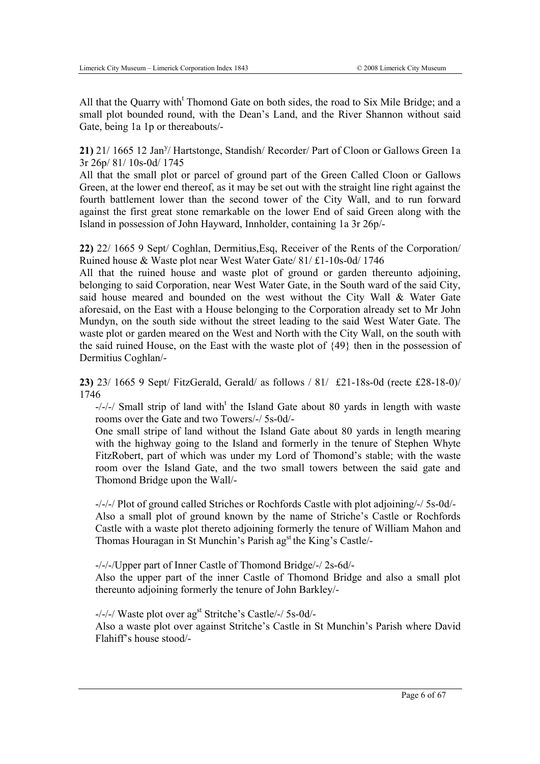All that the Quarry with<sup>t</sup> Thomond Gate on both sides, the road to Six Mile Bridge; and a small plot bounded round, with the Dean's Land, and the River Shannon without said Gate, being 1a 1p or thereabouts/-

21) 21/ 1665 12 Jan<sup>y</sup>/ Hartstonge, Standish/ Recorder/ Part of Cloon or Gallows Green 1a 3r 26p/ 81/ 10s-0d/ 1745

All that the small plot or parcel of ground part of the Green Called Cloon or Gallows Green, at the lower end thereof, as it may be set out with the straight line right against the fourth battlement lower than the second tower of the City Wall, and to run forward against the first great stone remarkable on the lower End of said Green along with the Island in possession of John Hayward, Innholder, containing 1a 3r 26p/-

**22)** 22/ 1665 9 Sept/ Coghlan, Dermitius,Esq, Receiver of the Rents of the Corporation/ Ruined house & Waste plot near West Water Gate/ 81/ £1-10s-0d/ 1746

All that the ruined house and waste plot of ground or garden thereunto adjoining, belonging to said Corporation, near West Water Gate, in the South ward of the said City, said house meared and bounded on the west without the City Wall & Water Gate aforesaid, on the East with a House belonging to the Corporation already set to Mr John Mundyn, on the south side without the street leading to the said West Water Gate. The waste plot or garden meared on the West and North with the City Wall, on the south with the said ruined House, on the East with the waste plot of {49} then in the possession of Dermitius Coghlan/-

**23)** 23/ 1665 9 Sept/ FitzGerald, Gerald/ as follows / 81/ £21-18s-0d (recte £28-18-0)/ 1746

 $-/-/$  Small strip of land with<sup>t</sup> the Island Gate about 80 yards in length with waste rooms over the Gate and two Towers/-/ 5s-0d/-

One small stripe of land without the Island Gate about 80 yards in length mearing with the highway going to the Island and formerly in the tenure of Stephen Whyte FitzRobert, part of which was under my Lord of Thomond's stable; with the waste room over the Island Gate, and the two small towers between the said gate and Thomond Bridge upon the Wall/-

-/-/-/ Plot of ground called Striches or Rochfords Castle with plot adjoining/-/ 5s-0d/- Also a small plot of ground known by the name of Striche's Castle or Rochfords Castle with a waste plot thereto adjoining formerly the tenure of William Mahon and Thomas Houragan in St Munchin's Parish ag<sup>st</sup> the King's Castle/-

-/-/-/Upper part of Inner Castle of Thomond Bridge/-/ 2s-6d/-

Also the upper part of the inner Castle of Thomond Bridge and also a small plot thereunto adjoining formerly the tenure of John Barkley/-

-/-/-/ Waste plot over agst Stritche's Castle/-/ 5s-0d/-

Also a waste plot over against Stritche's Castle in St Munchin's Parish where David Flahiff's house stood/-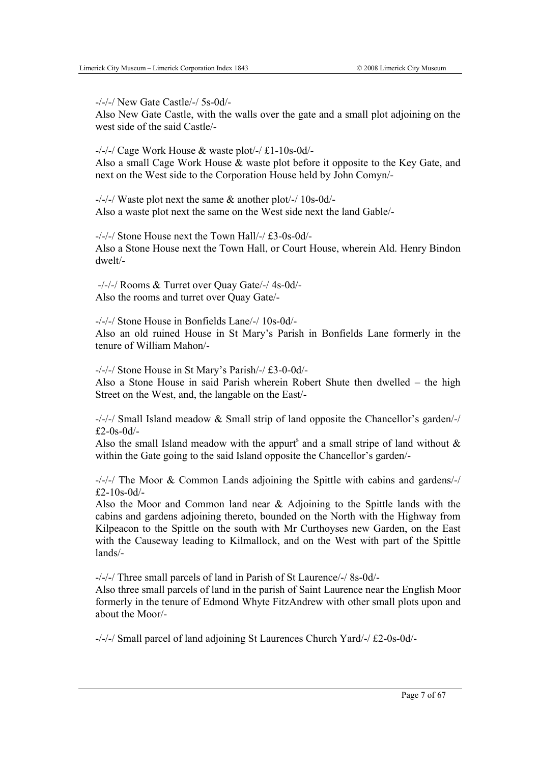-/-/-/ New Gate Castle/-/ 5s-0d/-

Also New Gate Castle, with the walls over the gate and a small plot adjoining on the west side of the said Castle/-

 $-/-/-/$  Cage Work House & waste plot $-/-/$  £1-10s-0d $-$ Also a small Cage Work House & waste plot before it opposite to the Key Gate, and next on the West side to the Corporation House held by John Comyn/-

-/-/-/ Waste plot next the same & another plot/-/ 10s-0d/- Also a waste plot next the same on the West side next the land Gable/-

-/-/-/ Stone House next the Town Hall/-/ £3-0s-0d/- Also a Stone House next the Town Hall, or Court House, wherein Ald. Henry Bindon dwelt/-

-/-/-/ Rooms & Turret over Quay Gate/-/ 4s-0d/- Also the rooms and turret over Quay Gate/-

-/-/-/ Stone House in Bonfields Lane/-/ 10s-0d/- Also an old ruined House in St Mary's Parish in Bonfields Lane formerly in the tenure of William Mahon/-

-/-/-/ Stone House in St Mary's Parish/-/ £3-0-0d/-

Also a Stone House in said Parish wherein Robert Shute then dwelled – the high Street on the West, and, the langable on the East/-

-/-/-/ Small Island meadow & Small strip of land opposite the Chancellor's garden/-/  $f2-0s-0d/$ -

Also the small Island meadow with the appurt<sup>s</sup> and a small stripe of land without  $\&$ within the Gate going to the said Island opposite the Chancellor's garden/-

-/-/-/ The Moor & Common Lands adjoining the Spittle with cabins and gardens/-/ £2-10s-0d/-

Also the Moor and Common land near & Adjoining to the Spittle lands with the cabins and gardens adjoining thereto, bounded on the North with the Highway from Kilpeacon to the Spittle on the south with Mr Curthoyses new Garden, on the East with the Causeway leading to Kilmallock, and on the West with part of the Spittle lands/-

-/-/-/ Three small parcels of land in Parish of St Laurence/-/ 8s-0d/-

Also three small parcels of land in the parish of Saint Laurence near the English Moor formerly in the tenure of Edmond Whyte FitzAndrew with other small plots upon and about the Moor/-

-/-/-/ Small parcel of land adjoining St Laurences Church Yard/-/ £2-0s-0d/-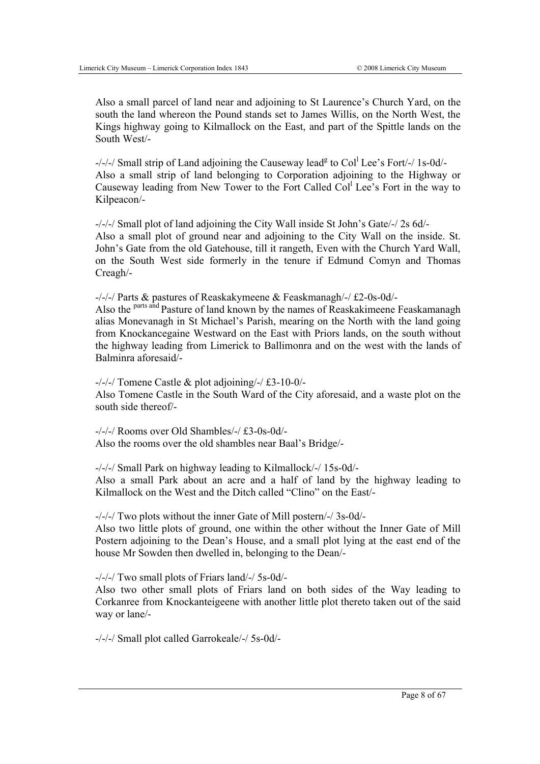Also a small parcel of land near and adjoining to St Laurence's Church Yard, on the south the land whereon the Pound stands set to James Willis, on the North West, the Kings highway going to Kilmallock on the East, and part of the Spittle lands on the South West/-

-/-/-/ Small strip of Land adjoining the Causeway lead<sup>g</sup> to Col<sup>1</sup> Lee's Fort/-/ 1s-0d/-Also a small strip of land belonging to Corporation adjoining to the Highway or Causeway leading from New Tower to the Fort Called Col<sup>l</sup> Lee's Fort in the way to Kilpeacon/-

-/-/-/ Small plot of land adjoining the City Wall inside St John's Gate/-/ 2s 6d/- Also a small plot of ground near and adjoining to the City Wall on the inside. St. John's Gate from the old Gatehouse, till it rangeth, Even with the Church Yard Wall, on the South West side formerly in the tenure if Edmund Comyn and Thomas Creagh/-

-/-/-/ Parts & pastures of Reaskakymeene & Feaskmanagh/-/ £2-0s-0d/- Also the <sup>parts and</sup> Pasture of land known by the names of Reaskakimeene Feaskamanagh alias Monevanagh in St Michael's Parish, mearing on the North with the land going from Knockancegaine Westward on the East with Priors lands, on the south without the highway leading from Limerick to Ballimonra and on the west with the lands of Balminra aforesaid/-

 $-/-/$  Tomene Castle & plot adjoining/ $-/-/$  £3-10-0/-Also Tomene Castle in the South Ward of the City aforesaid, and a waste plot on the south side thereof/-

-/-/-/ Rooms over Old Shambles/-/ £3-0s-0d/- Also the rooms over the old shambles near Baal's Bridge/-

-/-/-/ Small Park on highway leading to Kilmallock/-/ 15s-0d/- Also a small Park about an acre and a half of land by the highway leading to Kilmallock on the West and the Ditch called "Clino" on the East/-

-/-/-/ Two plots without the inner Gate of Mill postern/-/ 3s-0d/-

Also two little plots of ground, one within the other without the Inner Gate of Mill Postern adjoining to the Dean's House, and a small plot lying at the east end of the house Mr Sowden then dwelled in, belonging to the Dean/-

-/-/-/ Two small plots of Friars land/-/ 5s-0d/-

Also two other small plots of Friars land on both sides of the Way leading to Corkanree from Knockanteigeene with another little plot thereto taken out of the said way or lane/-

-/-/-/ Small plot called Garrokeale/-/ 5s-0d/-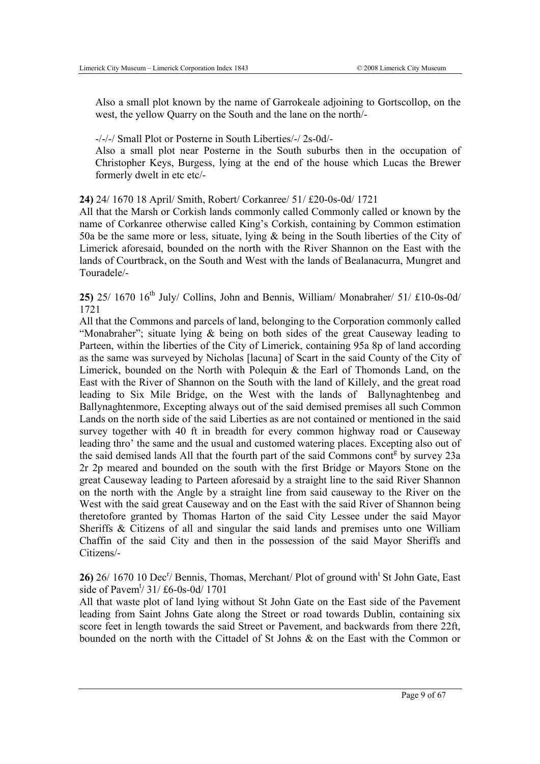Also a small plot known by the name of Garrokeale adjoining to Gortscollop, on the west, the yellow Quarry on the South and the lane on the north/-

-/-/-/ Small Plot or Posterne in South Liberties/-/ 2s-0d/-

Also a small plot near Posterne in the South suburbs then in the occupation of Christopher Keys, Burgess, lying at the end of the house which Lucas the Brewer formerly dwelt in etc etc/-

**24)** 24/ 1670 18 April/ Smith, Robert/ Corkanree/ 51/ £20-0s-0d/ 1721

All that the Marsh or Corkish lands commonly called Commonly called or known by the name of Corkanree otherwise called King's Corkish, containing by Common estimation 50a be the same more or less, situate, lying & being in the South liberties of the City of Limerick aforesaid, bounded on the north with the River Shannon on the East with the lands of Courtbrack, on the South and West with the lands of Bealanacurra, Mungret and Touradele/-

**25)**  $25/1670$   $16^{th}$  July/ Collins, John and Bennis, William/ Monabraher/  $51/1610-0s-0d/$ 1721

All that the Commons and parcels of land, belonging to the Corporation commonly called "Monabraher": situate lying  $\&$  being on both sides of the great Causeway leading to Parteen, within the liberties of the City of Limerick, containing 95a 8p of land according as the same was surveyed by Nicholas [lacuna] of Scart in the said County of the City of Limerick, bounded on the North with Polequin & the Earl of Thomonds Land, on the East with the River of Shannon on the South with the land of Killely, and the great road leading to Six Mile Bridge, on the West with the lands of Ballynaghtenbeg and Ballynaghtenmore, Excepting always out of the said demised premises all such Common Lands on the north side of the said Liberties as are not contained or mentioned in the said survey together with 40 ft in breadth for every common highway road or Causeway leading thro' the same and the usual and customed watering places. Excepting also out of the said demised lands All that the fourth part of the said Commons cont<sup>g</sup> by survey 23a 2r 2p meared and bounded on the south with the first Bridge or Mayors Stone on the great Causeway leading to Parteen aforesaid by a straight line to the said River Shannon on the north with the Angle by a straight line from said causeway to the River on the West with the said great Causeway and on the East with the said River of Shannon being theretofore granted by Thomas Harton of the said City Lessee under the said Mayor Sheriffs & Citizens of all and singular the said lands and premises unto one William Chaffin of the said City and then in the possession of the said Mayor Sheriffs and Citizens/-

26) 26/ 1670 10 Dec<sup>r</sup>/ Bennis, Thomas, Merchant/ Plot of ground with<sup>t</sup> St John Gate, East side of Pavem<sup>t</sup>/ 31/ £6-0s-0d/ 1701

All that waste plot of land lying without St John Gate on the East side of the Pavement leading from Saint Johns Gate along the Street or road towards Dublin, containing six score feet in length towards the said Street or Pavement, and backwards from there 22ft, bounded on the north with the Cittadel of St Johns & on the East with the Common or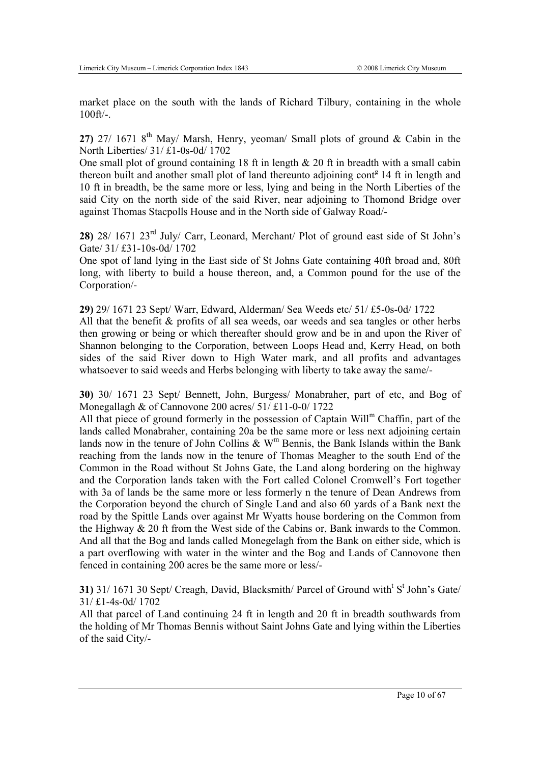market place on the south with the lands of Richard Tilbury, containing in the whole 100ft/-.

**27)** 27/ 1671 8th May/ Marsh, Henry, yeoman/ Small plots of ground & Cabin in the North Liberties/ 31/ £1-0s-0d/ 1702

One small plot of ground containing 18 ft in length  $& 20$  ft in breadth with a small cabin thereon built and another small plot of land thereunto adjoining cont<sup>g</sup> 14 ft in length and 10 ft in breadth, be the same more or less, lying and being in the North Liberties of the said City on the north side of the said River, near adjoining to Thomond Bridge over against Thomas Stacpolls House and in the North side of Galway Road/-

**28)** 28/ 1671 23rd July/ Carr, Leonard, Merchant/ Plot of ground east side of St John's Gate/ 31/ £31-10s-0d/ 1702

One spot of land lying in the East side of St Johns Gate containing 40ft broad and, 80ft long, with liberty to build a house thereon, and, a Common pound for the use of the Corporation/-

**29)** 29/ 1671 23 Sept/ Warr, Edward, Alderman/ Sea Weeds etc/ 51/ £5-0s-0d/ 1722 All that the benefit  $\&$  profits of all sea weeds, oar weeds and sea tangles or other herbs then growing or being or which thereafter should grow and be in and upon the River of Shannon belonging to the Corporation, between Loops Head and, Kerry Head, on both sides of the said River down to High Water mark, and all profits and advantages whatsoever to said weeds and Herbs belonging with liberty to take away the same/-

**30)** 30/ 1671 23 Sept/ Bennett, John, Burgess/ Monabraher, part of etc, and Bog of Monegallagh & of Cannovone 200 acres/ 51/ £11-0-0/ 1722

All that piece of ground formerly in the possession of Captain Will<sup>m</sup> Chaffin, part of the lands called Monabraher, containing 20a be the same more or less next adjoining certain lands now in the tenure of John Collins  $\&$  W<sup>m</sup> Bennis, the Bank Islands within the Bank reaching from the lands now in the tenure of Thomas Meagher to the south End of the Common in the Road without St Johns Gate, the Land along bordering on the highway and the Corporation lands taken with the Fort called Colonel Cromwell's Fort together with 3a of lands be the same more or less formerly n the tenure of Dean Andrews from the Corporation beyond the church of Single Land and also 60 yards of a Bank next the road by the Spittle Lands over against Mr Wyatts house bordering on the Common from the Highway & 20 ft from the West side of the Cabins or, Bank inwards to the Common. And all that the Bog and lands called Monegelagh from the Bank on either side, which is a part overflowing with water in the winter and the Bog and Lands of Cannovone then fenced in containing 200 acres be the same more or less/-

**31)** 31/ 1671 30 Sept/ Creagh, David, Blacksmith/ Parcel of Ground with<sup>t</sup> S<sup>t</sup> John's Gate/ 31/ £1-4s-0d/ 1702

All that parcel of Land continuing 24 ft in length and 20 ft in breadth southwards from the holding of Mr Thomas Bennis without Saint Johns Gate and lying within the Liberties of the said City/-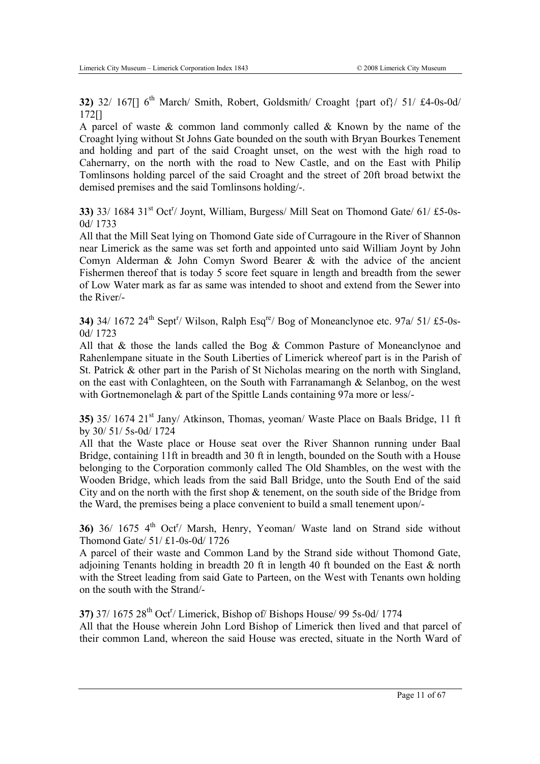**32)** 32/ 167 $\lceil 167 \rceil$  6<sup>th</sup> March/ Smith, Robert, Goldsmith/ Croaght {part of}/ 51/ £4-0s-0d/ 172[]

A parcel of waste  $\&$  common land commonly called  $\&$  Known by the name of the Croaght lying without St Johns Gate bounded on the south with Bryan Bourkes Tenement and holding and part of the said Croaght unset, on the west with the high road to Cahernarry, on the north with the road to New Castle, and on the East with Philip Tomlinsons holding parcel of the said Croaght and the street of 20ft broad betwixt the demised premises and the said Tomlinsons holding/-.

**33)** 33/ 1684 31<sup>st</sup> Oct<sup>r</sup>/ Joynt, William, Burgess/ Mill Seat on Thomond Gate/ 61/ £5-0s-0d/ 1733

All that the Mill Seat lying on Thomond Gate side of Curragoure in the River of Shannon near Limerick as the same was set forth and appointed unto said William Joynt by John Comyn Alderman & John Comyn Sword Bearer & with the advice of the ancient Fishermen thereof that is today 5 score feet square in length and breadth from the sewer of Low Water mark as far as same was intended to shoot and extend from the Sewer into the River/-

**34)** 34/ 1672 24<sup>th</sup> Sept<sup>r</sup>/ Wilson, Ralph Esq<sup>re</sup>/ Bog of Moneanclynoe etc. 97a/ 51/ £5-0s-0d/ 1723

All that & those the lands called the Bog & Common Pasture of Moneanclynoe and Rahenlempane situate in the South Liberties of Limerick whereof part is in the Parish of St. Patrick & other part in the Parish of St Nicholas mearing on the north with Singland, on the east with Conlaghteen, on the South with Farranamangh  $\&$  Selanbog, on the west with Gortnemonelagh & part of the Spittle Lands containing 97a more or less/-

**35)** 35/ 1674 21<sup>st</sup> Jany/ Atkinson, Thomas, yeoman/ Waste Place on Baals Bridge, 11 ft by 30/ 51/ 5s-0d/ 1724

All that the Waste place or House seat over the River Shannon running under Baal Bridge, containing 11ft in breadth and 30 ft in length, bounded on the South with a House belonging to the Corporation commonly called The Old Shambles, on the west with the Wooden Bridge, which leads from the said Ball Bridge, unto the South End of the said City and on the north with the first shop  $\&$  tenement, on the south side of the Bridge from the Ward, the premises being a place convenient to build a small tenement upon/-

**36)** 36/ 1675 4<sup>th</sup> Oct<sup>r</sup>/ Marsh, Henry, Yeoman/ Waste land on Strand side without Thomond Gate/ 51/ £1-0s-0d/ 1726

A parcel of their waste and Common Land by the Strand side without Thomond Gate, adjoining Tenants holding in breadth 20 ft in length 40 ft bounded on the East  $\&$  north with the Street leading from said Gate to Parteen, on the West with Tenants own holding on the south with the Strand/-

**37)** 37/ 1675 28<sup>th</sup> Oct<sup>r</sup>/ Limerick, Bishop of/ Bishops House/ 99 5s-0d/ 1774 All that the House wherein John Lord Bishop of Limerick then lived and that parcel of their common Land, whereon the said House was erected, situate in the North Ward of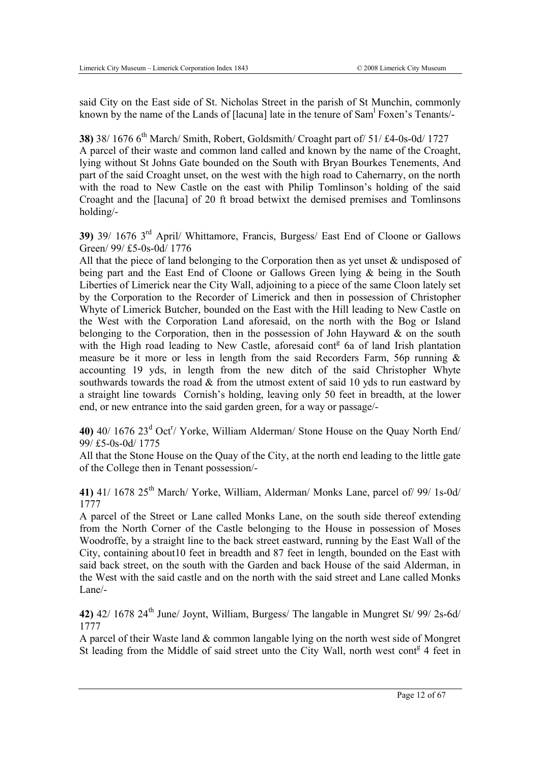said City on the East side of St. Nicholas Street in the parish of St Munchin, commonly known by the name of the Lands of [lacuna] late in the tenure of Sam<sup>1</sup> Foxen's Tenants/-

**38**) 38/ 1676 6<sup>th</sup> March/ Smith, Robert, Goldsmith/ Croaght part of/ 51/ £4-0s-0d/ 1727 A parcel of their waste and common land called and known by the name of the Croaght, lying without St Johns Gate bounded on the South with Bryan Bourkes Tenements, And part of the said Croaght unset, on the west with the high road to Cahernarry, on the north with the road to New Castle on the east with Philip Tomlinson's holding of the said Croaght and the [lacuna] of 20 ft broad betwixt the demised premises and Tomlinsons holding/-

**39)** 39/ 1676 3rd April/ Whittamore, Francis, Burgess/ East End of Cloone or Gallows Green/ 99/ £5-0s-0d/ 1776

All that the piece of land belonging to the Corporation then as yet unset & undisposed of being part and the East End of Cloone or Gallows Green lying & being in the South Liberties of Limerick near the City Wall, adjoining to a piece of the same Cloon lately set by the Corporation to the Recorder of Limerick and then in possession of Christopher Whyte of Limerick Butcher, bounded on the East with the Hill leading to New Castle on the West with the Corporation Land aforesaid, on the north with the Bog or Island belonging to the Corporation, then in the possession of John Hayward  $\&$  on the south with the High road leading to New Castle, aforesaid cont<sup>g</sup> 6a of land Irish plantation measure be it more or less in length from the said Recorders Farm, 56p running  $\&$ accounting 19 yds, in length from the new ditch of the said Christopher Whyte southwards towards the road  $\&$  from the utmost extent of said 10 yds to run eastward by a straight line towards Cornish's holding, leaving only 50 feet in breadth, at the lower end, or new entrance into the said garden green, for a way or passage/-

40) 40/ 1676 23<sup>d</sup> Oct<sup>r</sup>/ Yorke, William Alderman/ Stone House on the Quay North End/ 99/ £5-0s-0d/ 1775

All that the Stone House on the Quay of the City, at the north end leading to the little gate of the College then in Tenant possession/-

**41)** 41/ 1678 25th March/ Yorke, William, Alderman/ Monks Lane, parcel of/ 99/ 1s-0d/ 1777

A parcel of the Street or Lane called Monks Lane, on the south side thereof extending from the North Corner of the Castle belonging to the House in possession of Moses Woodroffe, by a straight line to the back street eastward, running by the East Wall of the City, containing about10 feet in breadth and 87 feet in length, bounded on the East with said back street, on the south with the Garden and back House of the said Alderman, in the West with the said castle and on the north with the said street and Lane called Monks Lane/-

**42)** 42/ 1678 24th June/ Joynt, William, Burgess/ The langable in Mungret St/ 99/ 2s-6d/ 1777

A parcel of their Waste land & common langable lying on the north west side of Mongret St leading from the Middle of said street unto the City Wall, north west cont<sup>g</sup> 4 feet in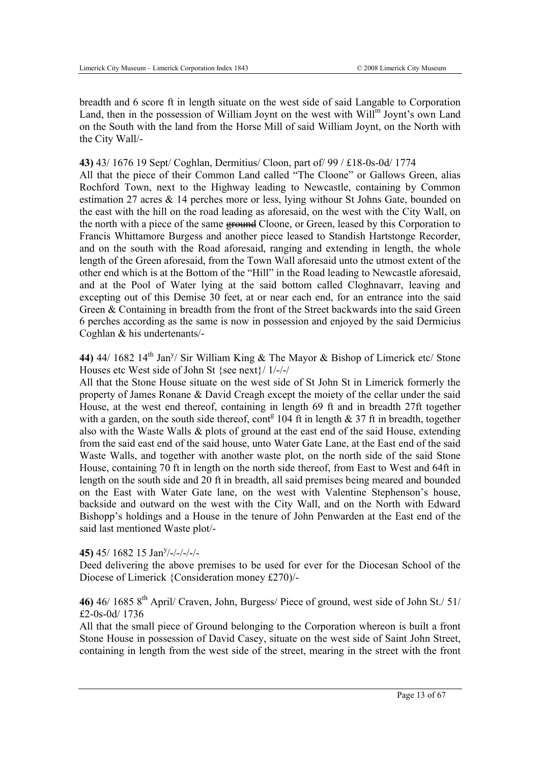breadth and 6 score ft in length situate on the west side of said Langable to Corporation Land, then in the possession of William Joynt on the west with Will<sup>m</sup> Joynt's own Land on the South with the land from the Horse Mill of said William Joynt, on the North with the City Wall/-

#### **43)** 43/ 1676 19 Sept/ Coghlan, Dermitius/ Cloon, part of/ 99 / £18-0s-0d/ 1774

All that the piece of their Common Land called "The Cloone" or Gallows Green, alias Rochford Town, next to the Highway leading to Newcastle, containing by Common estimation 27 acres & 14 perches more or less, lying withour St Johns Gate, bounded on the east with the hill on the road leading as aforesaid, on the west with the City Wall, on the north with a piece of the same **ground** Cloone, or Green, leased by this Corporation to Francis Whittamore Burgess and another piece leased to Standish Hartstonge Recorder, and on the south with the Road aforesaid, ranging and extending in length, the whole length of the Green aforesaid, from the Town Wall aforesaid unto the utmost extent of the other end which is at the Bottom of the "Hill" in the Road leading to Newcastle aforesaid, and at the Pool of Water lying at the said bottom called Cloghnavarr, leaving and excepting out of this Demise 30 feet, at or near each end, for an entrance into the said Green & Containing in breadth from the front of the Street backwards into the said Green 6 perches according as the same is now in possession and enjoyed by the said Dermicius Coghlan & his undertenants/-

**44)** 44/ 1682 14<sup>th</sup> Jan<sup>y</sup>/ Sir William King & The Mayor & Bishop of Limerick etc/ Stone Houses etc West side of John St {see next}/ 1/-/-/

All that the Stone House situate on the west side of St John St in Limerick formerly the property of James Ronane & David Creagh except the moiety of the cellar under the said House, at the west end thereof, containing in length 69 ft and in breadth 27ft together with a garden, on the south side thereof, cont<sup>g</sup> 104 ft in length  $& 37$  ft in breadth, together also with the Waste Walls & plots of ground at the east end of the said House, extending from the said east end of the said house, unto Water Gate Lane, at the East end of the said Waste Walls, and together with another waste plot, on the north side of the said Stone House, containing 70 ft in length on the north side thereof, from East to West and 64ft in length on the south side and 20 ft in breadth, all said premises being meared and bounded on the East with Water Gate lane, on the west with Valentine Stephenson's house, backside and outward on the west with the City Wall, and on the North with Edward Bishopp's holdings and a House in the tenure of John Penwarden at the East end of the said last mentioned Waste plot/-

# 45) 45/ 1682 15 Jan<sup>y</sup>/-/-/-/-/-

Deed delivering the above premises to be used for ever for the Diocesan School of the Diocese of Limerick {Consideration money £270)/-

# **46)** 46/ 1685 8th April/ Craven, John, Burgess/ Piece of ground, west side of John St./ 51/ £2-0s-0d/ 1736

All that the small piece of Ground belonging to the Corporation whereon is built a front Stone House in possession of David Casey, situate on the west side of Saint John Street, containing in length from the west side of the street, mearing in the street with the front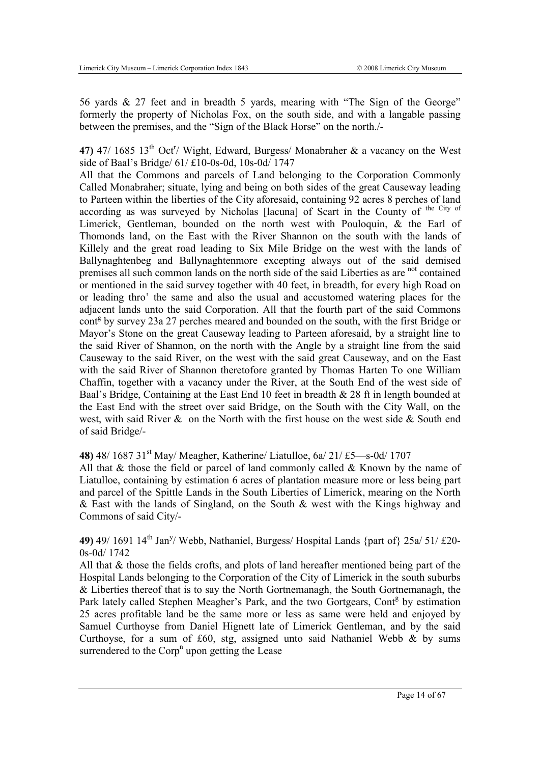56 yards & 27 feet and in breadth 5 yards, mearing with "The Sign of the George" formerly the property of Nicholas Fox, on the south side, and with a langable passing between the premises, and the "Sign of the Black Horse" on the north./-

**47)** 47/ 1685 13<sup>th</sup> Oct<sup>r</sup>/ Wight, Edward, Burgess/ Monabraher & a vacancy on the West side of Baal's Bridge/ 61/ £10-0s-0d, 10s-0d/ 1747

All that the Commons and parcels of Land belonging to the Corporation Commonly Called Monabraher; situate, lying and being on both sides of the great Causeway leading to Parteen within the liberties of the City aforesaid, containing 92 acres 8 perches of land according as was surveyed by Nicholas [lacuna] of Scart in the County of the City of Limerick, Gentleman, bounded on the north west with Pouloquin, & the Earl of Thomonds land, on the East with the River Shannon on the south with the lands of Killely and the great road leading to Six Mile Bridge on the west with the lands of Ballynaghtenbeg and Ballynaghtenmore excepting always out of the said demised premises all such common lands on the north side of the said Liberties as are <sup>not</sup> contained or mentioned in the said survey together with 40 feet, in breadth, for every high Road on or leading thro' the same and also the usual and accustomed watering places for the adjacent lands unto the said Corporation. All that the fourth part of the said Commons cont<sup>g</sup> by survey 23a 27 perches meared and bounded on the south, with the first Bridge or Mayor's Stone on the great Causeway leading to Parteen aforesaid, by a straight line to the said River of Shannon, on the north with the Angle by a straight line from the said Causeway to the said River, on the west with the said great Causeway, and on the East with the said River of Shannon theretofore granted by Thomas Harten To one William Chaffin, together with a vacancy under the River, at the South End of the west side of Baal's Bridge, Containing at the East End 10 feet in breadth & 28 ft in length bounded at the East End with the street over said Bridge, on the South with the City Wall, on the west, with said River & on the North with the first house on the west side & South end of said Bridge/-

**48)** 48/ 1687 31st May/ Meagher, Katherine/ Liatulloe, 6a/ 21/ £5—s-0d/ 1707

All that  $\&$  those the field or parcel of land commonly called  $\&$  Known by the name of Liatulloe, containing by estimation 6 acres of plantation measure more or less being part and parcel of the Spittle Lands in the South Liberties of Limerick, mearing on the North & East with the lands of Singland, on the South & west with the Kings highway and Commons of said City/-

**49)** 49/ 1691 14<sup>th</sup> Jan<sup>y</sup>/ Webb, Nathaniel, Burgess/ Hospital Lands {part of} 25a/ 51/ £20-0s-0d/ 1742

All that & those the fields crofts, and plots of land hereafter mentioned being part of the Hospital Lands belonging to the Corporation of the City of Limerick in the south suburbs & Liberties thereof that is to say the North Gortnemanagh, the South Gortnemanagh, the Park lately called Stephen Meagher's Park, and the two Gortgears, Cont<sup>g</sup> by estimation 25 acres profitable land be the same more or less as same were held and enjoyed by Samuel Curthoyse from Daniel Hignett late of Limerick Gentleman, and by the said Curthoyse, for a sum of £60, stg, assigned unto said Nathaniel Webb  $\&$  by sums surrendered to the  $\text{Corp}^n$  upon getting the Lease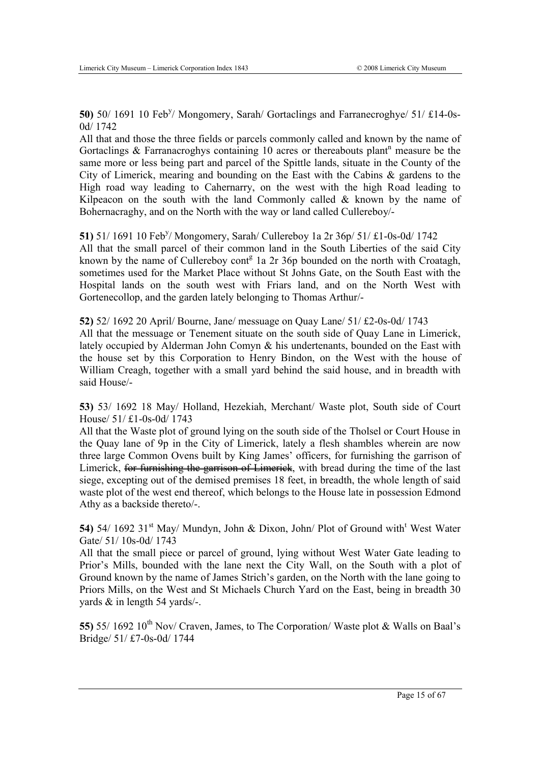50) 50/ 1691 10 Feb<sup>y</sup>/ Mongomery, Sarah/ Gortaclings and Farranecroghye/ 51/ £14-0s-0d/ 1742

All that and those the three fields or parcels commonly called and known by the name of Gortaclings  $\&$  Farranacroghys containing 10 acres or thereabouts plant<sup>n</sup> measure be the same more or less being part and parcel of the Spittle lands, situate in the County of the City of Limerick, mearing and bounding on the East with the Cabins & gardens to the High road way leading to Cahernarry, on the west with the high Road leading to Kilpeacon on the south with the land Commonly called  $\&$  known by the name of Bohernacraghy, and on the North with the way or land called Cullereboy/-

**51)** 51/ 1691 10 Feb<sup>y</sup>/ Mongomery, Sarah/ Cullereboy 1a 2r 36p/ 51/ £1-0s-0d/ 1742 All that the small parcel of their common land in the South Liberties of the said City known by the name of Cullereboy cont<sup>g</sup> 1a 2r 36p bounded on the north with Croatagh, sometimes used for the Market Place without St Johns Gate, on the South East with the Hospital lands on the south west with Friars land, and on the North West with Gortenecollop, and the garden lately belonging to Thomas Arthur/-

**52)** 52/ 1692 20 April/ Bourne, Jane/ messuage on Quay Lane/ 51/ £2-0s-0d/ 1743 All that the messuage or Tenement situate on the south side of Quay Lane in Limerick, lately occupied by Alderman John Comyn & his undertenants, bounded on the East with the house set by this Corporation to Henry Bindon, on the West with the house of William Creagh, together with a small yard behind the said house, and in breadth with said House/-

**53)** 53/ 1692 18 May/ Holland, Hezekiah, Merchant/ Waste plot, South side of Court House/ 51/ £1-0s-0d/ 1743

All that the Waste plot of ground lying on the south side of the Tholsel or Court House in the Quay lane of 9p in the City of Limerick, lately a flesh shambles wherein are now three large Common Ovens built by King James' officers, for furnishing the garrison of Limerick, for furnishing the garrison of Limerick, with bread during the time of the last siege, excepting out of the demised premises 18 feet, in breadth, the whole length of said waste plot of the west end thereof, which belongs to the House late in possession Edmond Athy as a backside thereto/-.

54) 54/ 1692 31<sup>st</sup> May/ Mundyn, John & Dixon, John/ Plot of Ground with<sup>t</sup> West Water Gate/ 51/ 10s-0d/ 1743

All that the small piece or parcel of ground, lying without West Water Gate leading to Prior's Mills, bounded with the lane next the City Wall, on the South with a plot of Ground known by the name of James Strich's garden, on the North with the lane going to Priors Mills, on the West and St Michaels Church Yard on the East, being in breadth 30 yards & in length 54 yards/-.

55) 55/ 1692 10<sup>th</sup> Nov/ Craven, James, to The Corporation/ Waste plot & Walls on Baal's Bridge/ 51/ £7-0s-0d/ 1744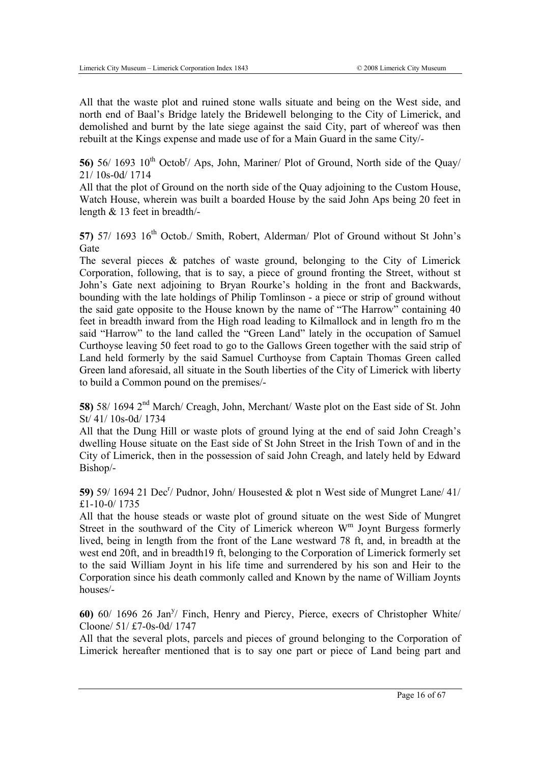All that the waste plot and ruined stone walls situate and being on the West side, and north end of Baal's Bridge lately the Bridewell belonging to the City of Limerick, and demolished and burnt by the late siege against the said City, part of whereof was then rebuilt at the Kings expense and made use of for a Main Guard in the same City/-

56) 56/ 1693 10<sup>th</sup> Octob<sup>r</sup>/ Aps, John, Mariner/ Plot of Ground, North side of the Quay/ 21/ 10s-0d/ 1714

All that the plot of Ground on the north side of the Quay adjoining to the Custom House, Watch House, wherein was built a boarded House by the said John Aps being 20 feet in length & 13 feet in breadth/-

**57)** 57/ 1693 16<sup>th</sup> Octob./ Smith, Robert, Alderman/ Plot of Ground without St John's **Gate** 

The several pieces & patches of waste ground, belonging to the City of Limerick Corporation, following, that is to say, a piece of ground fronting the Street, without st John's Gate next adjoining to Bryan Rourke's holding in the front and Backwards, bounding with the late holdings of Philip Tomlinson - a piece or strip of ground without the said gate opposite to the House known by the name of "The Harrow" containing 40 feet in breadth inward from the High road leading to Kilmallock and in length fro m the said "Harrow" to the land called the "Green Land" lately in the occupation of Samuel Curthoyse leaving 50 feet road to go to the Gallows Green together with the said strip of Land held formerly by the said Samuel Curthoyse from Captain Thomas Green called Green land aforesaid, all situate in the South liberties of the City of Limerick with liberty to build a Common pound on the premises/-

**58)** 58/ 1694 2nd March/ Creagh, John, Merchant/ Waste plot on the East side of St. John St/ 41/ 10s-0d/ 1734

All that the Dung Hill or waste plots of ground lying at the end of said John Creagh's dwelling House situate on the East side of St John Street in the Irish Town of and in the City of Limerick, then in the possession of said John Creagh, and lately held by Edward Bishop/-

59) 59/ 1694 21 Dec<sup>r</sup>/ Pudnor, John/ Housested & plot n West side of Mungret Lane/ 41/ £1-10-0/ 1735

All that the house steads or waste plot of ground situate on the west Side of Mungret Street in the southward of the City of Limerick whereon  $W<sup>m</sup>$  Joynt Burgess formerly lived, being in length from the front of the Lane westward 78 ft, and, in breadth at the west end 20ft, and in breadth19 ft, belonging to the Corporation of Limerick formerly set to the said William Joynt in his life time and surrendered by his son and Heir to the Corporation since his death commonly called and Known by the name of William Joynts houses/-

60) 60/ 1696 26 Jan<sup>y</sup>/ Finch, Henry and Piercy, Pierce, execrs of Christopher White/ Cloone/ 51/ £7-0s-0d/ 1747

All that the several plots, parcels and pieces of ground belonging to the Corporation of Limerick hereafter mentioned that is to say one part or piece of Land being part and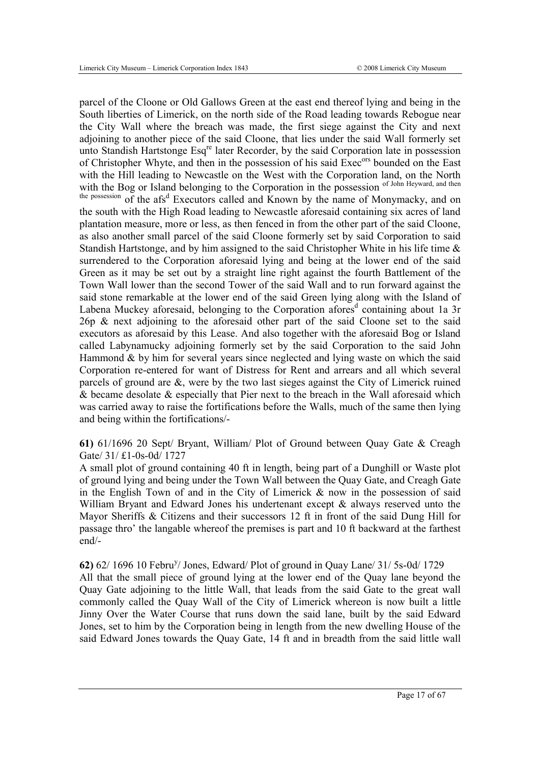parcel of the Cloone or Old Gallows Green at the east end thereof lying and being in the South liberties of Limerick, on the north side of the Road leading towards Rebogue near the City Wall where the breach was made, the first siege against the City and next adjoining to another piece of the said Cloone, that lies under the said Wall formerly set unto Standish Hartstonge Esq<sup>re</sup> later Recorder, by the said Corporation late in possession of Christopher Whyte, and then in the possession of his said Exec<sup>ors</sup> bounded on the East with the Hill leading to Newcastle on the West with the Corporation land, on the North with the Bog or Island belonging to the Corporation in the possession of John Heyward, and then

the possession of the afs<sup>d</sup> Executors called and Known by the name of Monymacky, and on the south with the High Road leading to Newcastle aforesaid containing six acres of land plantation measure, more or less, as then fenced in from the other part of the said Cloone, as also another small parcel of the said Cloone formerly set by said Corporation to said Standish Hartstonge, and by him assigned to the said Christopher White in his life time & surrendered to the Corporation aforesaid lying and being at the lower end of the said Green as it may be set out by a straight line right against the fourth Battlement of the Town Wall lower than the second Tower of the said Wall and to run forward against the said stone remarkable at the lower end of the said Green lying along with the Island of Labena Muckey aforesaid, belonging to the Corporation afores<sup>d</sup> containing about 1a 3r 26p & next adjoining to the aforesaid other part of the said Cloone set to the said executors as aforesaid by this Lease. And also together with the aforesaid Bog or Island called Labynamucky adjoining formerly set by the said Corporation to the said John Hammond & by him for several years since neglected and lying waste on which the said Corporation re-entered for want of Distress for Rent and arrears and all which several parcels of ground are &, were by the two last sieges against the City of Limerick ruined & became desolate & especially that Pier next to the breach in the Wall aforesaid which was carried away to raise the fortifications before the Walls, much of the same then lying and being within the fortifications/-

**61)** 61/1696 20 Sept/ Bryant, William/ Plot of Ground between Quay Gate & Creagh Gate/ 31/ £1-0s-0d/ 1727

A small plot of ground containing 40 ft in length, being part of a Dunghill or Waste plot of ground lying and being under the Town Wall between the Quay Gate, and Creagh Gate in the English Town of and in the City of Limerick  $\&$  now in the possession of said William Bryant and Edward Jones his undertenant except  $\&$  always reserved unto the Mayor Sheriffs & Citizens and their successors 12 ft in front of the said Dung Hill for passage thro' the langable whereof the premises is part and 10 ft backward at the farthest end/-

**62)** 62/ 1696 10 Febru<sup>y</sup> / Jones, Edward/ Plot of ground in Quay Lane/ 31/ 5s-0d/ 1729 All that the small piece of ground lying at the lower end of the Quay lane beyond the Quay Gate adjoining to the little Wall, that leads from the said Gate to the great wall commonly called the Quay Wall of the City of Limerick whereon is now built a little Jinny Over the Water Course that runs down the said lane, built by the said Edward Jones, set to him by the Corporation being in length from the new dwelling House of the said Edward Jones towards the Quay Gate, 14 ft and in breadth from the said little wall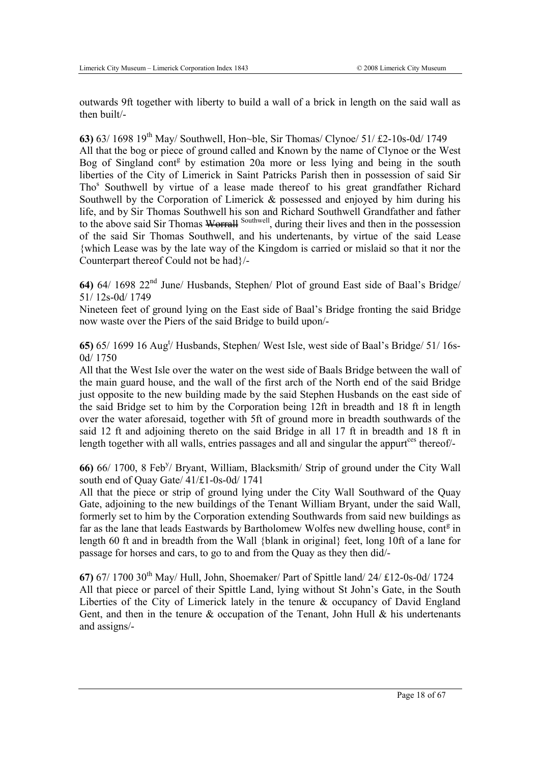outwards 9ft together with liberty to build a wall of a brick in length on the said wall as then built/-

**63)** 63/ 1698 19th May/ Southwell, Hon~ble, Sir Thomas/ Clynoe/ 51/ £2-10s-0d/ 1749 All that the bog or piece of ground called and Known by the name of Clynoe or the West Bog of Singland cont<sup>g</sup> by estimation 20a more or less lying and being in the south liberties of the City of Limerick in Saint Patricks Parish then in possession of said Sir Tho<sup>s</sup> Southwell by virtue of a lease made thereof to his great grandfather Richard Southwell by the Corporation of Limerick & possessed and enjoyed by him during his life, and by Sir Thomas Southwell his son and Richard Southwell Grandfather and father to the above said Sir Thomas Worrall Southwell, during their lives and then in the possession of the said Sir Thomas Southwell, and his undertenants, by virtue of the said Lease {which Lease was by the late way of the Kingdom is carried or mislaid so that it nor the Counterpart thereof Could not be had}/-

**64)** 64/ 1698 22nd June/ Husbands, Stephen/ Plot of ground East side of Baal's Bridge/ 51/ 12s-0d/ 1749

Nineteen feet of ground lying on the East side of Baal's Bridge fronting the said Bridge now waste over the Piers of the said Bridge to build upon/-

65) 65/ 1699 16 Aug<sup>t</sup>/ Husbands, Stephen/ West Isle, west side of Baal's Bridge/ 51/ 16s-0d/ 1750

All that the West Isle over the water on the west side of Baals Bridge between the wall of the main guard house, and the wall of the first arch of the North end of the said Bridge just opposite to the new building made by the said Stephen Husbands on the east side of the said Bridge set to him by the Corporation being 12ft in breadth and 18 ft in length over the water aforesaid, together with 5ft of ground more in breadth southwards of the said 12 ft and adjoining thereto on the said Bridge in all 17 ft in breadth and 18 ft in length together with all walls, entries passages and all and singular the appurt<sup>ces</sup> thereof/-

66) 66/ 1700, 8 Feb<sup>y</sup>/ Bryant, William, Blacksmith/ Strip of ground under the City Wall south end of Quay Gate/ 41/£1-0s-0d/ 1741

All that the piece or strip of ground lying under the City Wall Southward of the Quay Gate, adjoining to the new buildings of the Tenant William Bryant, under the said Wall, formerly set to him by the Corporation extending Southwards from said new buildings as far as the lane that leads Eastwards by Bartholomew Wolfes new dwelling house, cont $\mathfrak s$  in length 60 ft and in breadth from the Wall {blank in original} feet, long 10ft of a lane for passage for horses and cars, to go to and from the Quay as they then did/-

**67)** 67/ 1700 30th May/ Hull, John, Shoemaker/ Part of Spittle land/ 24/ £12-0s-0d/ 1724 All that piece or parcel of their Spittle Land, lying without St John's Gate, in the South Liberties of the City of Limerick lately in the tenure & occupancy of David England Gent, and then in the tenure  $\&$  occupation of the Tenant, John Hull  $\&$  his undertenants and assigns/-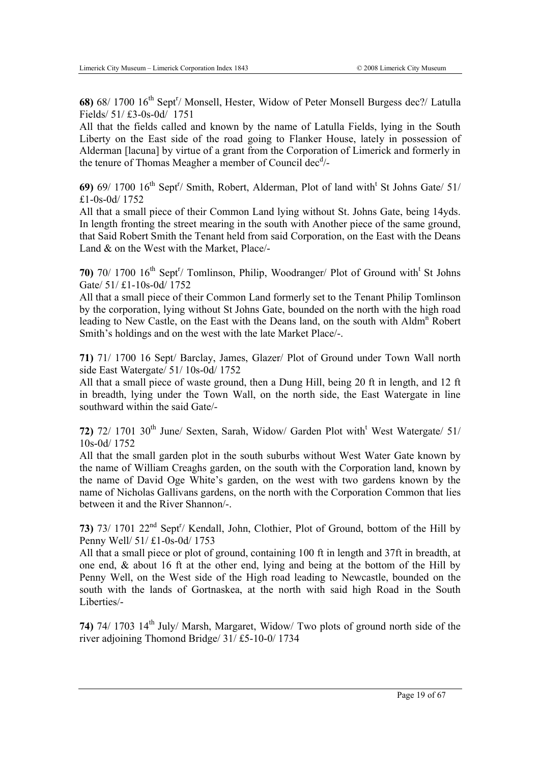68) 68/ 1700 16<sup>th</sup> Sept<sup>r</sup>/ Monsell, Hester, Widow of Peter Monsell Burgess dec?/ Latulla Fields/ 51/ £3-0s-0d/ 1751

All that the fields called and known by the name of Latulla Fields, lying in the South Liberty on the East side of the road going to Flanker House, lately in possession of Alderman [lacuna] by virtue of a grant from the Corporation of Limerick and formerly in the tenure of Thomas Meagher a member of Council dec<sup>d</sup>/-

69) 69/ 1700 16<sup>th</sup> Sept<sup>r</sup>/ Smith, Robert, Alderman, Plot of land with<sup>t</sup> St Johns Gate/ 51/ £1-0s-0d/ 1752

All that a small piece of their Common Land lying without St. Johns Gate, being 14yds. In length fronting the street mearing in the south with Another piece of the same ground, that Said Robert Smith the Tenant held from said Corporation, on the East with the Deans Land & on the West with the Market, Place/-

70) 70/ 1700 16<sup>th</sup> Sept<sup>r</sup>/ Tomlinson, Philip, Woodranger/ Plot of Ground with<sup>t</sup> St Johns Gate/ 51/ £1-10s-0d/ 1752

All that a small piece of their Common Land formerly set to the Tenant Philip Tomlinson by the corporation, lying without St Johns Gate, bounded on the north with the high road leading to New Castle, on the East with the Deans land, on the south with Aldm<sup>n</sup> Robert Smith's holdings and on the west with the late Market Place/-.

**71)** 71/ 1700 16 Sept/ Barclay, James, Glazer/ Plot of Ground under Town Wall north side East Watergate/ 51/ 10s-0d/ 1752

All that a small piece of waste ground, then a Dung Hill, being 20 ft in length, and 12 ft in breadth, lying under the Town Wall, on the north side, the East Watergate in line southward within the said Gate/-

72) 72/ 1701 30<sup>th</sup> June/ Sexten, Sarah, Widow/ Garden Plot with<sup>t</sup> West Watergate/ 51/ 10s-0d/ 1752

All that the small garden plot in the south suburbs without West Water Gate known by the name of William Creaghs garden, on the south with the Corporation land, known by the name of David Oge White's garden, on the west with two gardens known by the name of Nicholas Gallivans gardens, on the north with the Corporation Common that lies between it and the River Shannon/-.

73) 73/ 1701 22<sup>nd</sup> Sept<sup>r</sup>/ Kendall, John, Clothier, Plot of Ground, bottom of the Hill by Penny Well/ 51/ £1-0s-0d/ 1753

All that a small piece or plot of ground, containing 100 ft in length and 37ft in breadth, at one end,  $\&$  about 16 ft at the other end, lying and being at the bottom of the Hill by Penny Well, on the West side of the High road leading to Newcastle, bounded on the south with the lands of Gortnaskea, at the north with said high Road in the South Liberties/-

**74)** 74/ 1703 14th July/ Marsh, Margaret, Widow/ Two plots of ground north side of the river adjoining Thomond Bridge/ 31/ £5-10-0/ 1734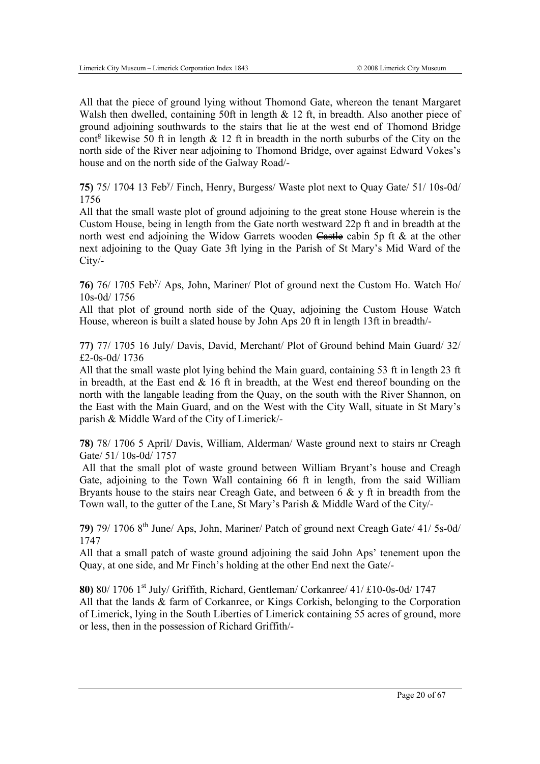All that the piece of ground lying without Thomond Gate, whereon the tenant Margaret Walsh then dwelled, containing 50ft in length & 12 ft, in breadth. Also another piece of ground adjoining southwards to the stairs that lie at the west end of Thomond Bridge cont<sup>g</sup> likewise 50 ft in length  $\&$  12 ft in breadth in the north suburbs of the City on the north side of the River near adjoining to Thomond Bridge, over against Edward Vokes's house and on the north side of the Galway Road/-

75) 75/ 1704 13 Feb<sup>y</sup>/ Finch, Henry, Burgess/ Waste plot next to Quay Gate/ 51/ 10s-0d/ 1756

All that the small waste plot of ground adjoining to the great stone House wherein is the Custom House, being in length from the Gate north westward 22p ft and in breadth at the north west end adjoining the Widow Garrets wooden  $\overline{\mathsf{Castle}}$  cabin 5p ft & at the other next adjoining to the Quay Gate 3ft lying in the Parish of St Mary's Mid Ward of the City/-

76) <sup>76/</sup> 1705 Feb<sup>y</sup>/ Aps, John, Mariner/ Plot of ground next the Custom Ho. Watch Ho/ 10s-0d/ 1756

All that plot of ground north side of the Quay, adjoining the Custom House Watch House, whereon is built a slated house by John Aps 20 ft in length 13ft in breadth/-

**77)** 77/ 1705 16 July/ Davis, David, Merchant/ Plot of Ground behind Main Guard/ 32/ £2-0s-0d/ 1736

All that the small waste plot lying behind the Main guard, containing 53 ft in length 23 ft in breadth, at the East end  $& 16$  ft in breadth, at the West end thereof bounding on the north with the langable leading from the Quay, on the south with the River Shannon, on the East with the Main Guard, and on the West with the City Wall, situate in St Mary's parish & Middle Ward of the City of Limerick/-

**78)** 78/ 1706 5 April/ Davis, William, Alderman/ Waste ground next to stairs nr Creagh Gate/ 51/ 10s-0d/ 1757

 All that the small plot of waste ground between William Bryant's house and Creagh Gate, adjoining to the Town Wall containing 66 ft in length, from the said William Bryants house to the stairs near Creagh Gate, and between  $6 \& y$  ft in breadth from the Town wall, to the gutter of the Lane, St Mary's Parish & Middle Ward of the City/-

**79)** 79/ 1706 8th June/ Aps, John, Mariner/ Patch of ground next Creagh Gate/ 41/ 5s-0d/ 1747

All that a small patch of waste ground adjoining the said John Aps' tenement upon the Quay, at one side, and Mr Finch's holding at the other End next the Gate/-

**80)** 80/ 1706 1st July/ Griffith, Richard, Gentleman/ Corkanree/ 41/ £10-0s-0d/ 1747 All that the lands & farm of Corkanree, or Kings Corkish, belonging to the Corporation of Limerick, lying in the South Liberties of Limerick containing 55 acres of ground, more or less, then in the possession of Richard Griffith/-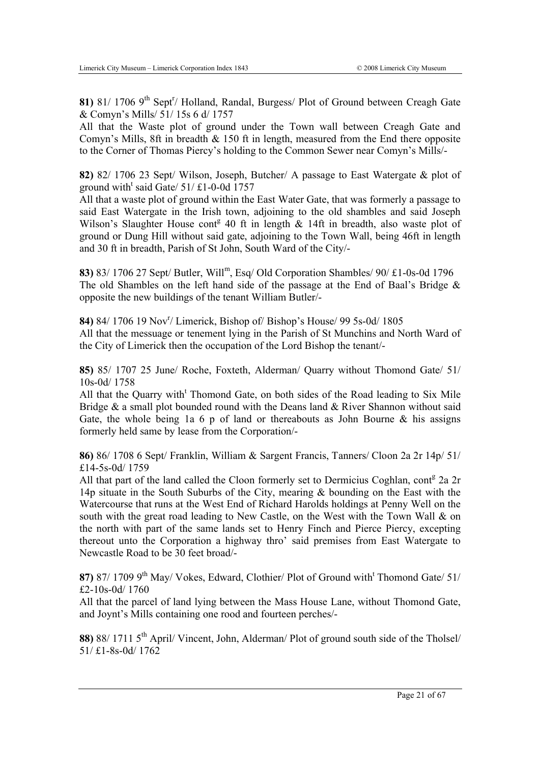81) 81/ 1706 9<sup>th</sup> Sept<sup>r</sup>/ Holland, Randal, Burgess/ Plot of Ground between Creagh Gate & Comyn's Mills/ 51/ 15s 6 d/ 1757

All that the Waste plot of ground under the Town wall between Creagh Gate and Comyn's Mills, 8ft in breadth  $\&$  150 ft in length, measured from the End there opposite to the Corner of Thomas Piercy's holding to the Common Sewer near Comyn's Mills/-

**82)** 82/ 1706 23 Sept/ Wilson, Joseph, Butcher/ A passage to East Watergate & plot of ground with<sup>t</sup> said Gate/ 51/ £1-0-0d 1757

All that a waste plot of ground within the East Water Gate, that was formerly a passage to said East Watergate in the Irish town, adjoining to the old shambles and said Joseph Wilson's Slaughter House cont<sup>g</sup> 40 ft in length  $\&$  14ft in breadth, also waste plot of ground or Dung Hill without said gate, adjoining to the Town Wall, being 46ft in length and 30 ft in breadth, Parish of St John, South Ward of the City/-

**83)** 83/ 1706 27 Sept/ Butler, Willm, Esq/ Old Corporation Shambles/ 90/ £1-0s-0d 1796 The old Shambles on the left hand side of the passage at the End of Baal's Bridge & opposite the new buildings of the tenant William Butler/-

**84)** 84/ 1706 19 Nov<sup>r</sup>/ Limerick, Bishop of/ Bishop's House/ 99 5s-0d/ 1805 All that the messuage or tenement lying in the Parish of St Munchins and North Ward of the City of Limerick then the occupation of the Lord Bishop the tenant/-

**85)** 85/ 1707 25 June/ Roche, Foxteth, Alderman/ Quarry without Thomond Gate/ 51/ 10s-0d/ 1758

All that the Quarry with<sup>t</sup> Thomond Gate, on both sides of the Road leading to Six Mile Bridge  $\&$  a small plot bounded round with the Deans land  $\&$  River Shannon without said Gate, the whole being 1a 6 p of land or thereabouts as John Bourne  $\&$  his assigns formerly held same by lease from the Corporation/-

**86)** 86/ 1708 6 Sept/ Franklin, William & Sargent Francis, Tanners/ Cloon 2a 2r 14p/ 51/ £14-5s-0d/ 1759

All that part of the land called the Cloon formerly set to Dermicius Coghlan, cont<sup>g</sup> 2a 2r 14p situate in the South Suburbs of the City, mearing & bounding on the East with the Watercourse that runs at the West End of Richard Harolds holdings at Penny Well on the south with the great road leading to New Castle, on the West with the Town Wall  $\&$  on the north with part of the same lands set to Henry Finch and Pierce Piercy, excepting thereout unto the Corporation a highway thro' said premises from East Watergate to Newcastle Road to be 30 feet broad/-

87) 87/ 1709 9<sup>th</sup> May/ Vokes, Edward, Clothier/ Plot of Ground with<sup>t</sup> Thomond Gate/ 51/ £2-10s-0d/ 1760

All that the parcel of land lying between the Mass House Lane, without Thomond Gate, and Joynt's Mills containing one rood and fourteen perches/-

**88)** 88/ 1711 5<sup>th</sup> April/ Vincent, John, Alderman/ Plot of ground south side of the Tholsel/ 51/ £1-8s-0d/ 1762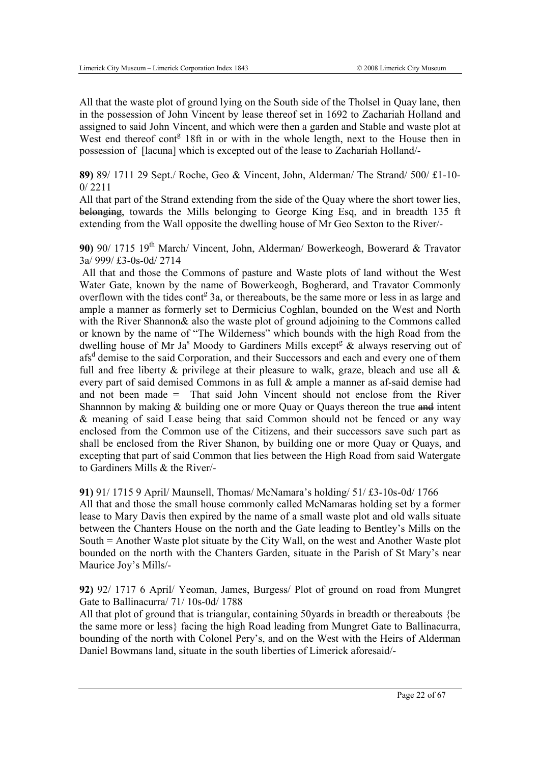All that the waste plot of ground lying on the South side of the Tholsel in Quay lane, then in the possession of John Vincent by lease thereof set in 1692 to Zachariah Holland and assigned to said John Vincent, and which were then a garden and Stable and waste plot at West end thereof cont<sup>g</sup> 18ft in or with in the whole length, next to the House then in possession of [lacuna] which is excepted out of the lease to Zachariah Holland/-

**89)** 89/ 1711 29 Sept./ Roche, Geo & Vincent, John, Alderman/ The Strand/ 500/ £1-10- 0/ 2211

All that part of the Strand extending from the side of the Quay where the short tower lies, belonging, towards the Mills belonging to George King Esq, and in breadth 135 ft extending from the Wall opposite the dwelling house of Mr Geo Sexton to the River/-

**90)** 90/ 1715 19th March/ Vincent, John, Alderman/ Bowerkeogh, Bowerard & Travator 3a/ 999/ £3-0s-0d/ 2714

 All that and those the Commons of pasture and Waste plots of land without the West Water Gate, known by the name of Bowerkeogh, Bogherard, and Travator Commonly overflown with the tides cont<sup>g</sup> 3a, or thereabouts, be the same more or less in as large and ample a manner as formerly set to Dermicius Coghlan, bounded on the West and North with the River Shannon & also the waste plot of ground adjoining to the Commons called or known by the name of "The Wilderness" which bounds with the high Road from the dwelling house of Mr Ja<sup>s</sup> Moody to Gardiners Mills except<sup>g</sup> & always reserving out of afs<sup>d</sup> demise to the said Corporation, and their Successors and each and every one of them full and free liberty  $\&$  privilege at their pleasure to walk, graze, bleach and use all  $\&$ every part of said demised Commons in as full & ample a manner as af-said demise had and not been made = That said John Vincent should not enclose from the River Shannnon by making  $&$  building one or more Quay or Quays thereon the true  $\frac{d}{dx}$  intent & meaning of said Lease being that said Common should not be fenced or any way enclosed from the Common use of the Citizens, and their successors save such part as shall be enclosed from the River Shanon, by building one or more Quay or Quays, and excepting that part of said Common that lies between the High Road from said Watergate to Gardiners Mills & the River/-

**91)** 91/ 1715 9 April/ Maunsell, Thomas/ McNamara's holding/ 51/ £3-10s-0d/ 1766

All that and those the small house commonly called McNamaras holding set by a former lease to Mary Davis then expired by the name of a small waste plot and old walls situate between the Chanters House on the north and the Gate leading to Bentley's Mills on the South = Another Waste plot situate by the City Wall, on the west and Another Waste plot bounded on the north with the Chanters Garden, situate in the Parish of St Mary's near Maurice Joy's Mills/-

**92)** 92/ 1717 6 April/ Yeoman, James, Burgess/ Plot of ground on road from Mungret Gate to Ballinacurra/ 71/ 10s-0d/ 1788

All that plot of ground that is triangular, containing 50yards in breadth or thereabouts {be the same more or less} facing the high Road leading from Mungret Gate to Ballinacurra, bounding of the north with Colonel Pery's, and on the West with the Heirs of Alderman Daniel Bowmans land, situate in the south liberties of Limerick aforesaid/-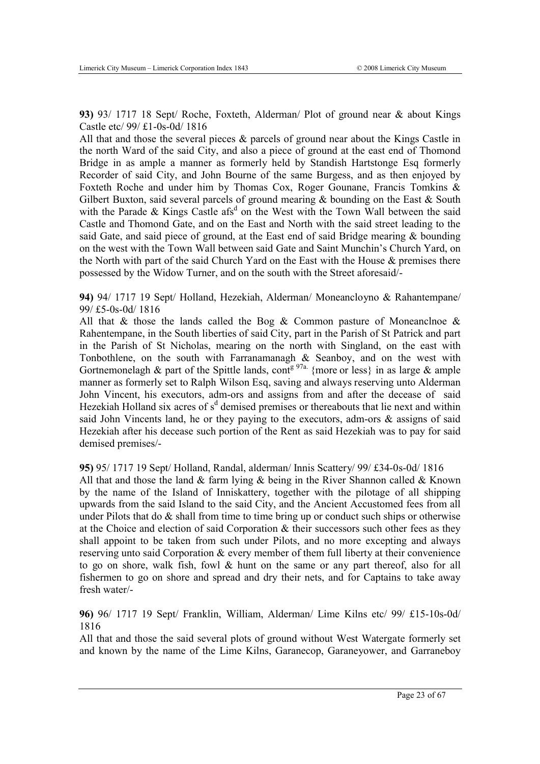**93)** 93/ 1717 18 Sept/ Roche, Foxteth, Alderman/ Plot of ground near & about Kings Castle etc/ 99/ £1-0s-0d/ 1816

All that and those the several pieces & parcels of ground near about the Kings Castle in the north Ward of the said City, and also a piece of ground at the east end of Thomond Bridge in as ample a manner as formerly held by Standish Hartstonge Esq formerly Recorder of said City, and John Bourne of the same Burgess, and as then enjoyed by Foxteth Roche and under him by Thomas Cox, Roger Gounane, Francis Tomkins & Gilbert Buxton, said several parcels of ground mearing & bounding on the East & South with the Parade  $&$  Kings Castle afs<sup>d</sup> on the West with the Town Wall between the said Castle and Thomond Gate, and on the East and North with the said street leading to the said Gate, and said piece of ground, at the East end of said Bridge mearing & bounding on the west with the Town Wall between said Gate and Saint Munchin's Church Yard, on the North with part of the said Church Yard on the East with the House & premises there possessed by the Widow Turner, and on the south with the Street aforesaid/-

**94)** 94/ 1717 19 Sept/ Holland, Hezekiah, Alderman/ Moneancloyno & Rahantempane/ 99/ £5-0s-0d/ 1816

All that  $\&$  those the lands called the Bog  $\&$  Common pasture of Moneanclnoe  $\&$ Rahentempane, in the South liberties of said City, part in the Parish of St Patrick and part in the Parish of St Nicholas, mearing on the north with Singland, on the east with Tonbothlene, on the south with Farranamanagh & Seanboy, and on the west with Gortnemonelagh & part of the Spittle lands, cont<sup>g 97a.</sup> {more or less} in as large & ample manner as formerly set to Ralph Wilson Esq, saving and always reserving unto Alderman John Vincent, his executors, adm-ors and assigns from and after the decease of said Hezekiah Holland six acres of s<sup>d</sup> demised premises or thereabouts that lie next and within said John Vincents land, he or they paying to the executors, adm-ors & assigns of said Hezekiah after his decease such portion of the Rent as said Hezekiah was to pay for said demised premises/-

**95)** 95/ 1717 19 Sept/ Holland, Randal, alderman/ Innis Scattery/ 99/ £34-0s-0d/ 1816 All that and those the land  $\&$  farm lying  $\&$  being in the River Shannon called  $\&$  Known by the name of the Island of Inniskattery, together with the pilotage of all shipping upwards from the said Island to the said City, and the Ancient Accustomed fees from all under Pilots that do  $\&$  shall from time to time bring up or conduct such ships or otherwise at the Choice and election of said Corporation & their successors such other fees as they shall appoint to be taken from such under Pilots, and no more excepting and always reserving unto said Corporation & every member of them full liberty at their convenience to go on shore, walk fish, fowl & hunt on the same or any part thereof, also for all fishermen to go on shore and spread and dry their nets, and for Captains to take away fresh water/-

**96)** 96/ 1717 19 Sept/ Franklin, William, Alderman/ Lime Kilns etc/ 99/ £15-10s-0d/ 1816

All that and those the said several plots of ground without West Watergate formerly set and known by the name of the Lime Kilns, Garanecop, Garaneyower, and Garraneboy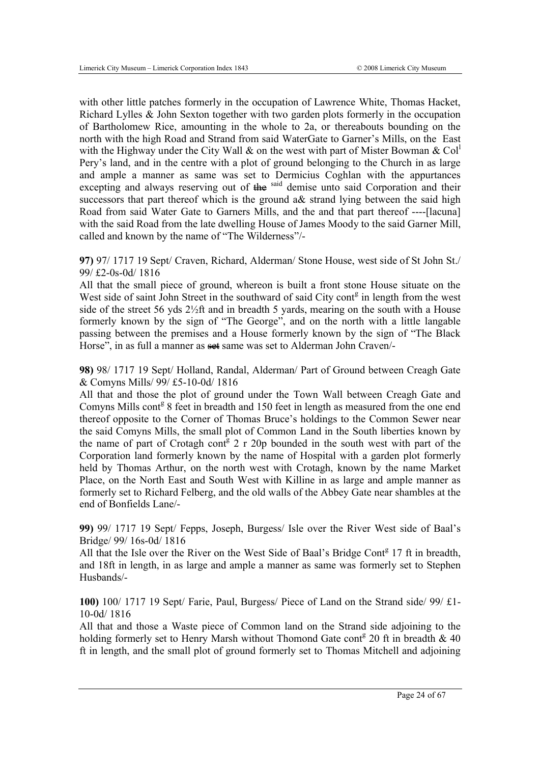with other little patches formerly in the occupation of Lawrence White, Thomas Hacket, Richard Lylles & John Sexton together with two garden plots formerly in the occupation of Bartholomew Rice, amounting in the whole to 2a, or thereabouts bounding on the north with the high Road and Strand from said WaterGate to Garner's Mills, on the East with the Highway under the City Wall & on the west with part of Mister Bowman & Col<sup>1</sup> Pery's land, and in the centre with a plot of ground belonging to the Church in as large and ample a manner as same was set to Dermicius Coghlan with the appurtances excepting and always reserving out of the said demise unto said Corporation and their successors that part thereof which is the ground a& strand lying between the said high Road from said Water Gate to Garners Mills, and the and that part thereof ----[lacuna] with the said Road from the late dwelling House of James Moody to the said Garner Mill, called and known by the name of "The Wilderness"/-

**97)** 97/ 1717 19 Sept/ Craven, Richard, Alderman/ Stone House, west side of St John St./ 99/ £2-0s-0d/ 1816

All that the small piece of ground, whereon is built a front stone House situate on the West side of saint John Street in the southward of said City cont<sup>g</sup> in length from the west side of the street 56 yds 2½ft and in breadth 5 yards, mearing on the south with a House formerly known by the sign of "The George", and on the north with a little langable passing between the premises and a House formerly known by the sign of "The Black Horse", in as full a manner as set same was set to Alderman John Craven/-

**98)** 98/ 1717 19 Sept/ Holland, Randal, Alderman/ Part of Ground between Creagh Gate & Comyns Mills/ 99/ £5-10-0d/ 1816

All that and those the plot of ground under the Town Wall between Creagh Gate and Comyns Mills cont<sup>g</sup> 8 feet in breadth and 150 feet in length as measured from the one end thereof opposite to the Corner of Thomas Bruce's holdings to the Common Sewer near the said Comyns Mills, the small plot of Common Land in the South liberties known by the name of part of Crotagh cont $e^{i\theta}$  2 r 20p bounded in the south west with part of the Corporation land formerly known by the name of Hospital with a garden plot formerly held by Thomas Arthur, on the north west with Crotagh, known by the name Market Place, on the North East and South West with Killine in as large and ample manner as formerly set to Richard Felberg, and the old walls of the Abbey Gate near shambles at the end of Bonfields Lane/-

**99)** 99/ 1717 19 Sept/ Fepps, Joseph, Burgess/ Isle over the River West side of Baal's Bridge/ 99/ 16s-0d/ 1816

All that the Isle over the River on the West Side of Baal's Bridge Cont<sup>8</sup> 17 ft in breadth, and 18ft in length, in as large and ample a manner as same was formerly set to Stephen Husbands/-

**100)** 100/ 1717 19 Sept/ Farie, Paul, Burgess/ Piece of Land on the Strand side/ 99/ £1- 10-0d/ 1816

All that and those a Waste piece of Common land on the Strand side adjoining to the holding formerly set to Henry Marsh without Thomond Gate cont<sup>g</sup> 20 ft in breadth  $& 40$ ft in length, and the small plot of ground formerly set to Thomas Mitchell and adjoining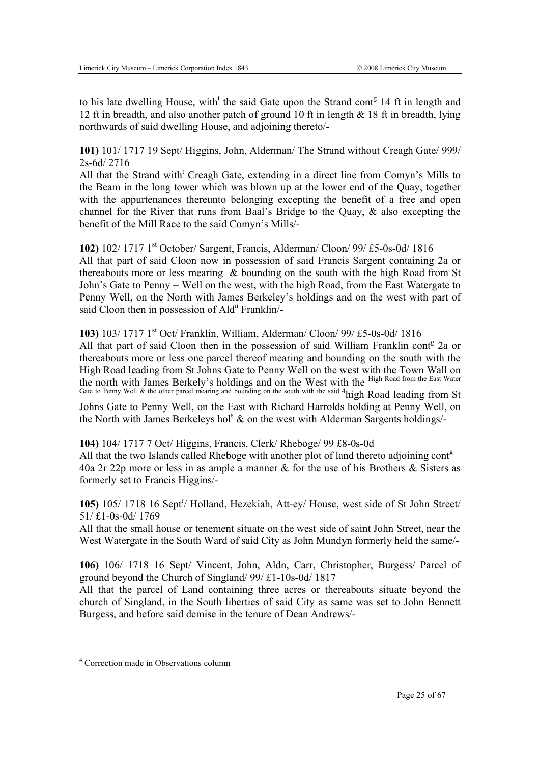to his late dwelling House, with<sup>t</sup> the said Gate upon the Strand cont<sup>g</sup> 14 ft in length and 12 ft in breadth, and also another patch of ground 10 ft in length & 18 ft in breadth, lying northwards of said dwelling House, and adjoining thereto/-

**101)** 101/ 1717 19 Sept/ Higgins, John, Alderman/ The Strand without Creagh Gate/ 999/ 2s-6d/ 2716

All that the Strand with<sup>t</sup> Creagh Gate, extending in a direct line from Comyn's Mills to the Beam in the long tower which was blown up at the lower end of the Quay, together with the appurtenances thereunto belonging excepting the benefit of a free and open channel for the River that runs from Baal's Bridge to the Quay, & also excepting the benefit of the Mill Race to the said Comyn's Mills/-

**102)** 102/ 1717 1st October/ Sargent, Francis, Alderman/ Cloon/ 99/ £5-0s-0d/ 1816 All that part of said Cloon now in possession of said Francis Sargent containing 2a or thereabouts more or less mearing & bounding on the south with the high Road from St John's Gate to Penny = Well on the west, with the high Road, from the East Watergate to Penny Well, on the North with James Berkeley's holdings and on the west with part of said Cloon then in possession of Ald<sup>n</sup> Franklin/-

#### **103)** 103/ 1717 1st Oct/ Franklin, William, Alderman/ Cloon/ 99/ £5-0s-0d/ 1816

All that part of said Cloon then in the possession of said William Franklin cont<sup>g</sup> 2a or thereabouts more or less one parcel thereof mearing and bounding on the south with the High Road leading from St Johns Gate to Penny Well on the west with the Town Wall on the north with James Berkely's holdings and on the West with the High Road from the East Water Gate to Penny Well & the other parcel mearing and bounding on the south with the said <sup>4</sup>high Road leading from St

Johns Gate to Penny Well, on the East with Richard Harrolds holding at Penny Well, on the North with James Berkeleys hol<sup>s</sup>  $\&$  on the west with Alderman Sargents holdings/-

**104)** 104/ 1717 7 Oct/ Higgins, Francis, Clerk/ Rheboge/ 99 £8-0s-0d

All that the two Islands called Rheboge with another plot of land thereto adjoining cont<sup>g</sup> 40a 2r 22p more or less in as ample a manner & for the use of his Brothers & Sisters as formerly set to Francis Higgins/-

105) 105/ 1718 16 Sept<sup>r</sup>/ Holland, Hezekiah, Att-ey/ House, west side of St John Street/ 51/ £1-0s-0d/ 1769

All that the small house or tenement situate on the west side of saint John Street, near the West Watergate in the South Ward of said City as John Mundyn formerly held the same/-

**106)** 106/ 1718 16 Sept/ Vincent, John, Aldn, Carr, Christopher, Burgess/ Parcel of ground beyond the Church of Singland/ 99/ £1-10s-0d/ 1817

All that the parcel of Land containing three acres or thereabouts situate beyond the church of Singland, in the South liberties of said City as same was set to John Bennett Burgess, and before said demise in the tenure of Dean Andrews/-

-

<sup>4</sup> Correction made in Observations column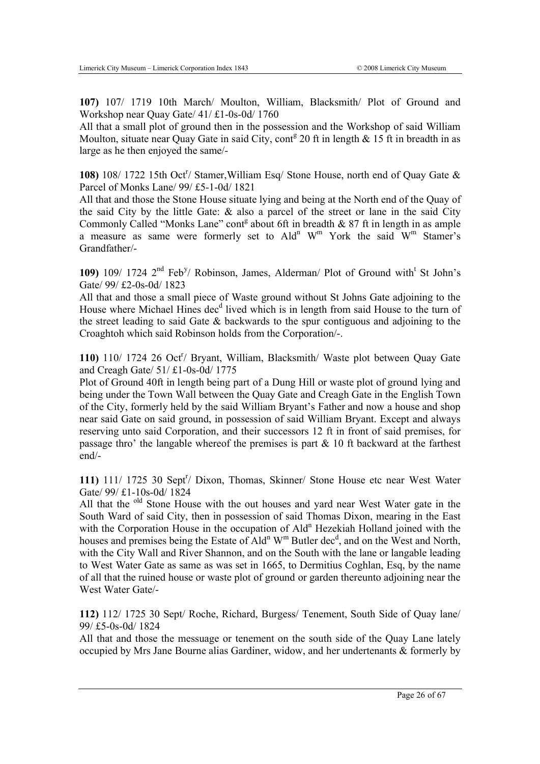**107)** 107/ 1719 10th March/ Moulton, William, Blacksmith/ Plot of Ground and Workshop near Quay Gate/ 41/ £1-0s-0d/ 1760

All that a small plot of ground then in the possession and the Workshop of said William Moulton, situate near Quay Gate in said City, cont<sup>g</sup> 20 ft in length  $\&$  15 ft in breadth in as large as he then enjoyed the same/-

108) 108/ 1722 15th Oct<sup>r</sup>/ Stamer, William Esq/ Stone House, north end of Quay Gate & Parcel of Monks Lane/ 99/ £5-1-0d/ 1821

All that and those the Stone House situate lying and being at the North end of the Quay of the said City by the little Gate:  $\&$  also a parcel of the street or lane in the said City Commonly Called "Monks Lane" cont<sup>g</sup> about 6ft in breadth  $& 87$  ft in length in as ample a measure as same were formerly set to Ald<sup>n</sup> W<sup>m</sup> York the said  $W^m$  Stamer's Grandfather/-

109) 109/ 1724 2<sup>nd</sup> Feb<sup>y</sup>/ Robinson, James, Alderman/ Plot of Ground with<sup>t</sup> St John's Gate/ 99/ £2-0s-0d/ 1823

All that and those a small piece of Waste ground without St Johns Gate adjoining to the House where Michael Hines dec<sup>d</sup> lived which is in length from said House to the turn of the street leading to said Gate & backwards to the spur contiguous and adjoining to the Croaghtoh which said Robinson holds from the Corporation/-.

110) 110/ 1724 26 Oct<sup>r</sup>/ Bryant, William, Blacksmith/ Waste plot between Quay Gate and Creagh Gate/ 51/ £1-0s-0d/ 1775

Plot of Ground 40ft in length being part of a Dung Hill or waste plot of ground lying and being under the Town Wall between the Quay Gate and Creagh Gate in the English Town of the City, formerly held by the said William Bryant's Father and now a house and shop near said Gate on said ground, in possession of said William Bryant. Except and always reserving unto said Corporation, and their successors 12 ft in front of said premises, for passage thro' the langable whereof the premises is part  $\&$  10 ft backward at the farthest end/-

111) 111/ 1725 30 Sept<sup>r</sup>/ Dixon, Thomas, Skinner/ Stone House etc near West Water Gate/ 99/ £1-10s-0d/ 1824

All that the <sup>old</sup> Stone House with the out houses and vard near West Water gate in the South Ward of said City, then in possession of said Thomas Dixon, mearing in the East with the Corporation House in the occupation of Ald<sup>n</sup> Hezekiah Holland joined with the houses and premises being the Estate of Ald<sup>n</sup> W<sup>m</sup> Butler dec<sup>d</sup>, and on the West and North, with the City Wall and River Shannon, and on the South with the lane or langable leading to West Water Gate as same as was set in 1665, to Dermitius Coghlan, Esq, by the name of all that the ruined house or waste plot of ground or garden thereunto adjoining near the West Water Gate/-

**112)** 112/ 1725 30 Sept/ Roche, Richard, Burgess/ Tenement, South Side of Quay lane/ 99/ £5-0s-0d/ 1824

All that and those the messuage or tenement on the south side of the Quay Lane lately occupied by Mrs Jane Bourne alias Gardiner, widow, and her undertenants & formerly by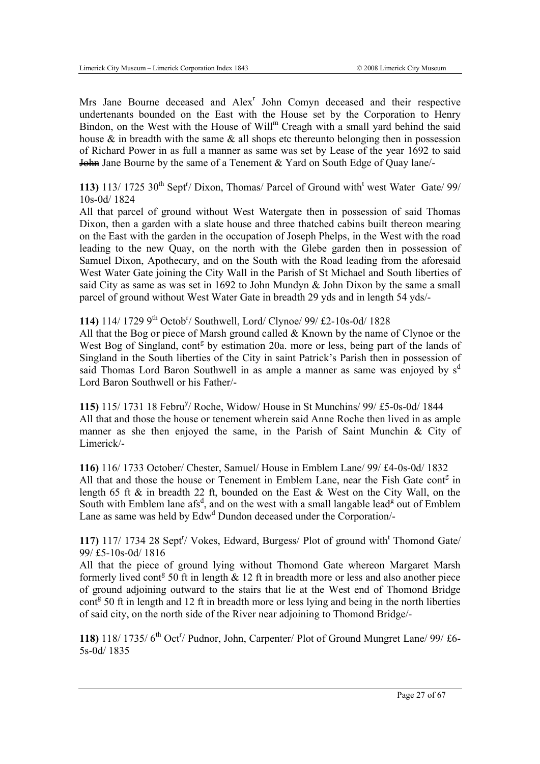Mrs Jane Bourne deceased and Alex<sup>r</sup> John Comyn deceased and their respective undertenants bounded on the East with the House set by the Corporation to Henry Bindon, on the West with the House of Will<sup>m</sup> Creagh with a small yard behind the said house  $\&$  in breadth with the same  $\&$  all shops etc thereunto belonging then in possession of Richard Power in as full a manner as same was set by Lease of the year 1692 to said John Jane Bourne by the same of a Tenement & Yard on South Edge of Quay lane/-

113) 113/ 1725  $30^{th}$  Sept<sup>r</sup>/ Dixon, Thomas/ Parcel of Ground with<sup>t</sup> west Water Gate/ 99/ 10s-0d/ 1824

All that parcel of ground without West Watergate then in possession of said Thomas Dixon, then a garden with a slate house and three thatched cabins built thereon mearing on the East with the garden in the occupation of Joseph Phelps, in the West with the road leading to the new Quay, on the north with the Glebe garden then in possession of Samuel Dixon, Apothecary, and on the South with the Road leading from the aforesaid West Water Gate joining the City Wall in the Parish of St Michael and South liberties of said City as same as was set in 1692 to John Mundyn & John Dixon by the same a small parcel of ground without West Water Gate in breadth 29 yds and in length 54 yds/-

114) 114/ 1729 9<sup>th</sup> Octob<sup>r</sup>/ Southwell, Lord/ Clynoe/ 99/ £2-10s-0d/ 1828

All that the Bog or piece of Marsh ground called & Known by the name of Clynoe or the West Bog of Singland, cont<sup>g</sup> by estimation 20a. more or less, being part of the lands of Singland in the South liberties of the City in saint Patrick's Parish then in possession of said Thomas Lord Baron Southwell in as ample a manner as same was enjoyed by  $s<sup>d</sup>$ Lord Baron Southwell or his Father/-

**115)** 115/ 1731 18 Febru<sup>y</sup> / Roche, Widow/ House in St Munchins/ 99/ £5-0s-0d/ 1844 All that and those the house or tenement wherein said Anne Roche then lived in as ample manner as she then enjoyed the same, in the Parish of Saint Munchin & City of Limerick/-

**116)** 116/ 1733 October/ Chester, Samuel/ House in Emblem Lane/ 99/ £4-0s-0d/ 1832 All that and those the house or Tenement in Emblem Lane, near the Fish Gate cont<sup>g</sup> in length 65 ft & in breadth 22 ft, bounded on the East & West on the City Wall, on the South with Emblem lane afs<sup>d</sup>, and on the west with a small langable lead<sup>g</sup> out of Emblem Lane as same was held by Edw<sup>d</sup> Dundon deceased under the Corporation/-

117) 117/ 1734 28 Sept<sup>r</sup>/ Vokes, Edward, Burgess/ Plot of ground with<sup>t</sup> Thomond Gate/ 99/ £5-10s-0d/ 1816

All that the piece of ground lying without Thomond Gate whereon Margaret Marsh formerly lived cont<sup>g</sup> 50 ft in length  $\&$  12 ft in breadth more or less and also another piece of ground adjoining outward to the stairs that lie at the West end of Thomond Bridge cont<sup>g</sup> 50 ft in length and 12 ft in breadth more or less lying and being in the north liberties of said city, on the north side of the River near adjoining to Thomond Bridge/-

118) 118/ 1735/ 6<sup>th</sup> Oct<sup>r</sup>/ Pudnor, John, Carpenter/ Plot of Ground Mungret Lane/ 99/ £6-5s-0d/ 1835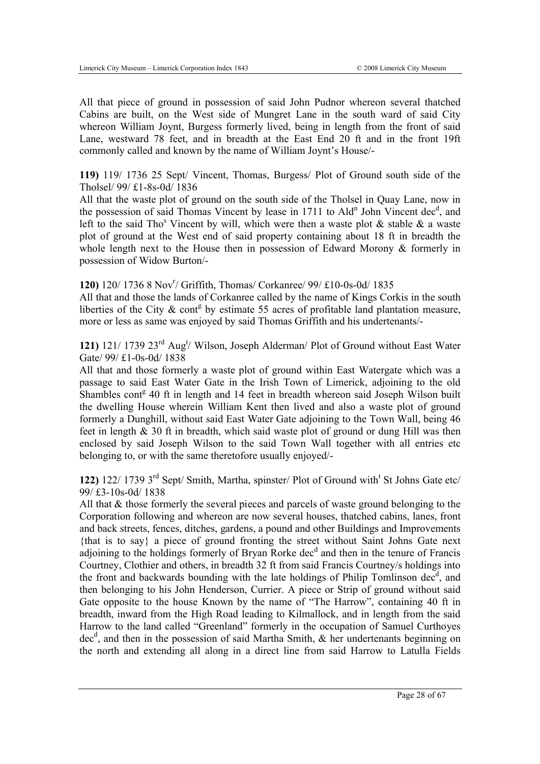All that piece of ground in possession of said John Pudnor whereon several thatched Cabins are built, on the West side of Mungret Lane in the south ward of said City whereon William Joynt, Burgess formerly lived, being in length from the front of said Lane, westward 78 feet, and in breadth at the East End 20 ft and in the front 19ft commonly called and known by the name of William Joynt's House/-

**119)** 119/ 1736 25 Sept/ Vincent, Thomas, Burgess/ Plot of Ground south side of the Tholsel/ 99/ £1-8s-0d/ 1836

All that the waste plot of ground on the south side of the Tholsel in Quay Lane, now in the possession of said Thomas Vincent by lease in 1711 to Ald<sup>n</sup> John Vincent dec<sup>d</sup>, and left to the said Tho<sup>s</sup> Vincent by will, which were then a waste plot  $\&$  stable  $\&$  a waste plot of ground at the West end of said property containing about 18 ft in breadth the whole length next to the House then in possession of Edward Morony & formerly in possession of Widow Burton/-

# 120) 120/ 1736 8 Nov<sup>r</sup>/ Griffith, Thomas/ Corkanree/ 99/ £10-0s-0d/ 1835

All that and those the lands of Corkanree called by the name of Kings Corkis in the south liberties of the City  $\&$  cont<sup>g</sup> by estimate 55 acres of profitable land plantation measure, more or less as same was enjoyed by said Thomas Griffith and his undertenants/-

121) 121/ 1739 23<sup>rd</sup> Aug<sup>t</sup>/ Wilson, Joseph Alderman/ Plot of Ground without East Water Gate/ 99/ £1-0s-0d/ 1838

All that and those formerly a waste plot of ground within East Watergate which was a passage to said East Water Gate in the Irish Town of Limerick, adjoining to the old Shambles cont<sup>g</sup> 40 ft in length and 14 feet in breadth whereon said Joseph Wilson built the dwelling House wherein William Kent then lived and also a waste plot of ground formerly a Dunghill, without said East Water Gate adjoining to the Town Wall, being 46 feet in length & 30 ft in breadth, which said waste plot of ground or dung Hill was then enclosed by said Joseph Wilson to the said Town Wall together with all entries etc belonging to, or with the same theretofore usually enjoyed/-

122) 122/ 1739 3<sup>rd</sup> Sept/ Smith, Martha, spinster/ Plot of Ground with<sup>t</sup> St Johns Gate etc/ 99/ £3-10s-0d/ 1838

All that & those formerly the several pieces and parcels of waste ground belonging to the Corporation following and whereon are now several houses, thatched cabins, lanes, front and back streets, fences, ditches, gardens, a pound and other Buildings and Improvements {that is to say} a piece of ground fronting the street without Saint Johns Gate next adjoining to the holdings formerly of Bryan Rorke dec<sup>d</sup> and then in the tenure of Francis Courtney, Clothier and others, in breadth 32 ft from said Francis Courtney/s holdings into the front and backwards bounding with the late holdings of Philip Tomlinson dec<sup>d</sup>, and then belonging to his John Henderson, Currier. A piece or Strip of ground without said Gate opposite to the house Known by the name of "The Harrow", containing 40 ft in breadth, inward from the High Road leading to Kilmallock, and in length from the said Harrow to the land called "Greenland" formerly in the occupation of Samuel Curthoyes dec<sup>d</sup>, and then in the possession of said Martha Smith, & her undertenants beginning on the north and extending all along in a direct line from said Harrow to Latulla Fields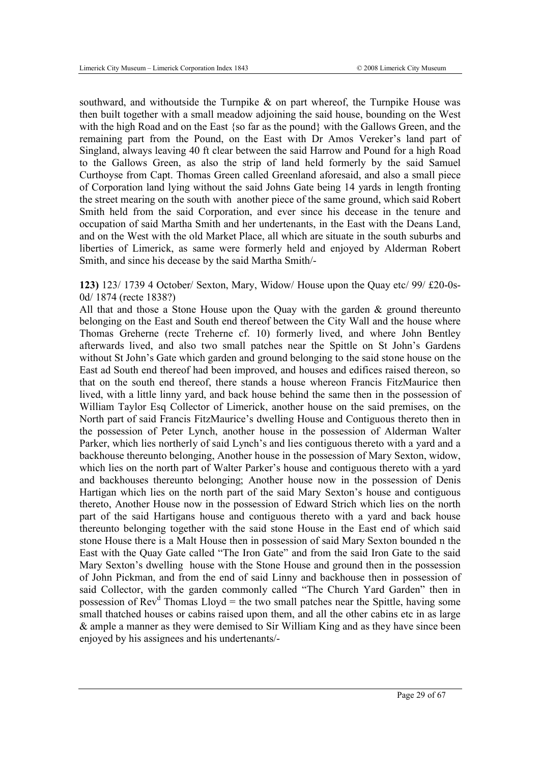southward, and withoutside the Turnpike  $\&$  on part whereof, the Turnpike House was then built together with a small meadow adjoining the said house, bounding on the West with the high Road and on the East {so far as the pound} with the Gallows Green, and the remaining part from the Pound, on the East with Dr Amos Vereker's land part of Singland, always leaving 40 ft clear between the said Harrow and Pound for a high Road to the Gallows Green, as also the strip of land held formerly by the said Samuel Curthoyse from Capt. Thomas Green called Greenland aforesaid, and also a small piece of Corporation land lying without the said Johns Gate being 14 yards in length fronting the street mearing on the south with another piece of the same ground, which said Robert Smith held from the said Corporation, and ever since his decease in the tenure and occupation of said Martha Smith and her undertenants, in the East with the Deans Land, and on the West with the old Market Place, all which are situate in the south suburbs and liberties of Limerick, as same were formerly held and enjoyed by Alderman Robert Smith, and since his decease by the said Martha Smith/-

**123)** 123/ 1739 4 October/ Sexton, Mary, Widow/ House upon the Quay etc/ 99/ £20-0s-0d/ 1874 (recte 1838?)

All that and those a Stone House upon the Quay with the garden & ground thereunto belonging on the East and South end thereof between the City Wall and the house where Thomas Greherne (recte Treherne cf. 10) formerly lived, and where John Bentley afterwards lived, and also two small patches near the Spittle on St John's Gardens without St John's Gate which garden and ground belonging to the said stone house on the East ad South end thereof had been improved, and houses and edifices raised thereon, so that on the south end thereof, there stands a house whereon Francis FitzMaurice then lived, with a little linny yard, and back house behind the same then in the possession of William Taylor Esq Collector of Limerick, another house on the said premises, on the North part of said Francis FitzMaurice's dwelling House and Contiguous thereto then in the possession of Peter Lynch, another house in the possession of Alderman Walter Parker, which lies northerly of said Lynch's and lies contiguous thereto with a yard and a backhouse thereunto belonging, Another house in the possession of Mary Sexton, widow, which lies on the north part of Walter Parker's house and contiguous thereto with a yard and backhouses thereunto belonging; Another house now in the possession of Denis Hartigan which lies on the north part of the said Mary Sexton's house and contiguous thereto, Another House now in the possession of Edward Strich which lies on the north part of the said Hartigans house and contiguous thereto with a yard and back house thereunto belonging together with the said stone House in the East end of which said stone House there is a Malt House then in possession of said Mary Sexton bounded n the East with the Quay Gate called "The Iron Gate" and from the said Iron Gate to the said Mary Sexton's dwelling house with the Stone House and ground then in the possession of John Pickman, and from the end of said Linny and backhouse then in possession of said Collector, with the garden commonly called "The Church Yard Garden" then in possession of  $Rev<sup>d</sup>$  Thomas Lloyd = the two small patches near the Spittle, having some small thatched houses or cabins raised upon them, and all the other cabins etc in as large & ample a manner as they were demised to Sir William King and as they have since been enjoyed by his assignees and his undertenants/-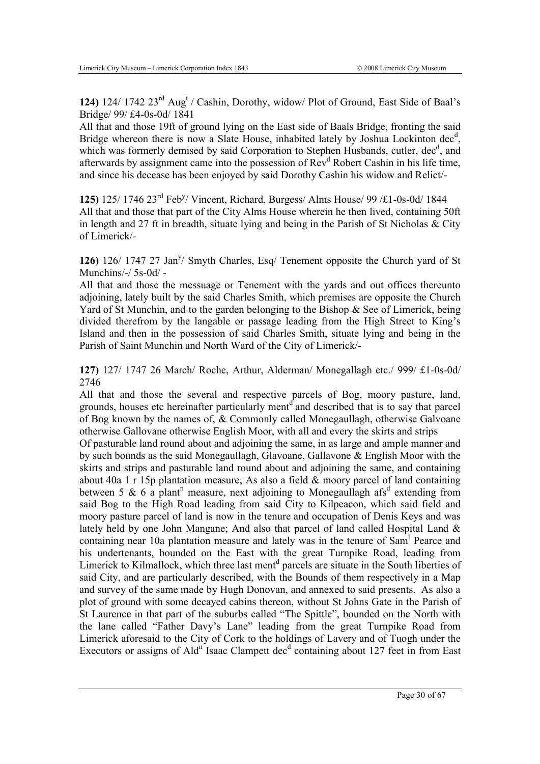124) 124/ 1742 23<sup>rd</sup> Aug<sup>t</sup> / Cashin, Dorothy, widow/ Plot of Ground, East Side of Baal's Bridge/ 99/ £4-0s-0d/ 1841

All that and those 19ft of ground lying on the East side of Baals Bridge, fronting the said Bridge whereon there is now a Slate House, inhabited lately by Joshua Lockinton dec<sup>d</sup>, which was formerly demised by said Corporation to Stephen Husbands, cutler, dec<sup>d</sup>, and afterwards by assignment came into the possession of Rev<sup>d</sup> Robert Cashin in his life time, and since his decease has been enjoyed by said Dorothy Cashin his widow and Relict/-

**125)** 125/ 1746 23rd Feby / Vincent, Richard, Burgess/ Alms House/ 99 /£1-0s-0d/ 1844 All that and those that part of the City Alms House wherein he then lived, containing 50ft in length and 27 ft in breadth, situate lying and being in the Parish of St Nicholas & City of Limerick/-

126) 126/ 1747 27 Jan<sup>y</sup>/ Smyth Charles, Esq/ Tenement opposite the Church yard of St Munchins/-/ 5s-0d/ -

All that and those the messuage or Tenement with the yards and out offices thereunto adjoining, lately built by the said Charles Smith, which premises are opposite the Church Yard of St Munchin, and to the garden belonging to the Bishop & See of Limerick, being divided therefrom by the langable or passage leading from the High Street to King's Island and then in the possession of said Charles Smith, situate lying and being in the Parish of Saint Munchin and North Ward of the City of Limerick/-

**127)** 127/ 1747 26 March/ Roche, Arthur, Alderman/ Monegallagh etc./ 999/ £1-0s-0d/ 2746

All that and those the several and respective parcels of Bog, moory pasture, land, grounds, houses etc hereinafter particularly ment<sup>d</sup> and described that is to say that parcel of Bog known by the names of, & Commonly called Monegaullagh, otherwise Galvoane otherwise Gallovane otherwise English Moor, with all and every the skirts and strips

Of pasturable land round about and adjoining the same, in as large and ample manner and by such bounds as the said Monegaullagh, Glavoane, Gallavone & English Moor with the skirts and strips and pasturable land round about and adjoining the same, and containing about 40a 1 r 15p plantation measure; As also a field & moory parcel of land containing between 5 & 6 a plant<sup>n</sup> measure, next adjoining to Monegaullagh afs<sup>d</sup> extending from said Bog to the High Road leading from said City to Kilpeacon, which said field and moory pasture parcel of land is now in the tenure and occupation of Denis Keys and was lately held by one John Mangane; And also that parcel of land called Hospital Land & containing near 10a plantation measure and lately was in the tenure of Sam<sup>1</sup> Pearce and his undertenants, bounded on the East with the great Turnpike Road, leading from Limerick to Kilmallock, which three last ment<sup>d</sup> parcels are situate in the South liberties of said City, and are particularly described, with the Bounds of them respectively in a Map and survey of the same made by Hugh Donovan, and annexed to said presents. As also a plot of ground with some decayed cabins thereon, without St Johns Gate in the Parish of St Laurence in that part of the suburbs called "The Spittle", bounded on the North with the lane called "Father Davy's Lane" leading from the great Turnpike Road from Limerick aforesaid to the City of Cork to the holdings of Lavery and of Tuogh under the Executors or assigns of Ald<sup>n</sup> Isaac Clampett dec<sup>d</sup> containing about 127 feet in from East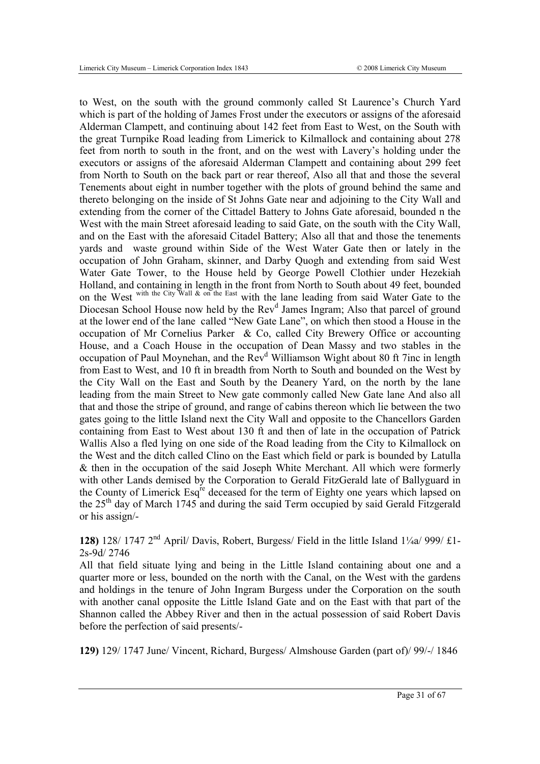to West, on the south with the ground commonly called St Laurence's Church Yard which is part of the holding of James Frost under the executors or assigns of the aforesaid Alderman Clampett, and continuing about 142 feet from East to West, on the South with the great Turnpike Road leading from Limerick to Kilmallock and containing about 278 feet from north to south in the front, and on the west with Lavery's holding under the executors or assigns of the aforesaid Alderman Clampett and containing about 299 feet from North to South on the back part or rear thereof, Also all that and those the several Tenements about eight in number together with the plots of ground behind the same and thereto belonging on the inside of St Johns Gate near and adjoining to the City Wall and extending from the corner of the Cittadel Battery to Johns Gate aforesaid, bounded n the West with the main Street aforesaid leading to said Gate, on the south with the City Wall, and on the East with the aforesaid Citadel Battery; Also all that and those the tenements yards and waste ground within Side of the West Water Gate then or lately in the occupation of John Graham, skinner, and Darby Quogh and extending from said West Water Gate Tower, to the House held by George Powell Clothier under Hezekiah Holland, and containing in length in the front from North to South about 49 feet, bounded on the West with the City Wall & on the East with the lane leading from said Water Gate to the Diocesan School House now held by the Rev<sup>d</sup> James Ingram; Also that parcel of ground at the lower end of the lane called "New Gate Lane", on which then stood a House in the occupation of Mr Cornelius Parker & Co, called City Brewery Office or accounting House, and a Coach House in the occupation of Dean Massy and two stables in the occupation of Paul Moynehan, and the Rev<sup>d</sup> Williamson Wight about 80 ft 7inc in length from East to West, and 10 ft in breadth from North to South and bounded on the West by the City Wall on the East and South by the Deanery Yard, on the north by the lane leading from the main Street to New gate commonly called New Gate lane And also all that and those the stripe of ground, and range of cabins thereon which lie between the two gates going to the little Island next the City Wall and opposite to the Chancellors Garden containing from East to West about 130 ft and then of late in the occupation of Patrick Wallis Also a fled lying on one side of the Road leading from the City to Kilmallock on the West and the ditch called Clino on the East which field or park is bounded by Latulla & then in the occupation of the said Joseph White Merchant. All which were formerly with other Lands demised by the Corporation to Gerald FitzGerald late of Ballyguard in the County of Limerick Esq<sup>re</sup> deceased for the term of Eighty one years which lapsed on the 25th day of March 1745 and during the said Term occupied by said Gerald Fitzgerald or his assign/-

**128)** 128/ 1747 2nd April/ Davis, Robert, Burgess/ Field in the little Island 1¼a/ 999/ £1- 2s-9d/ 2746

All that field situate lying and being in the Little Island containing about one and a quarter more or less, bounded on the north with the Canal, on the West with the gardens and holdings in the tenure of John Ingram Burgess under the Corporation on the south with another canal opposite the Little Island Gate and on the East with that part of the Shannon called the Abbey River and then in the actual possession of said Robert Davis before the perfection of said presents/-

**129)** 129/ 1747 June/ Vincent, Richard, Burgess/ Almshouse Garden (part of)/ 99/-/ 1846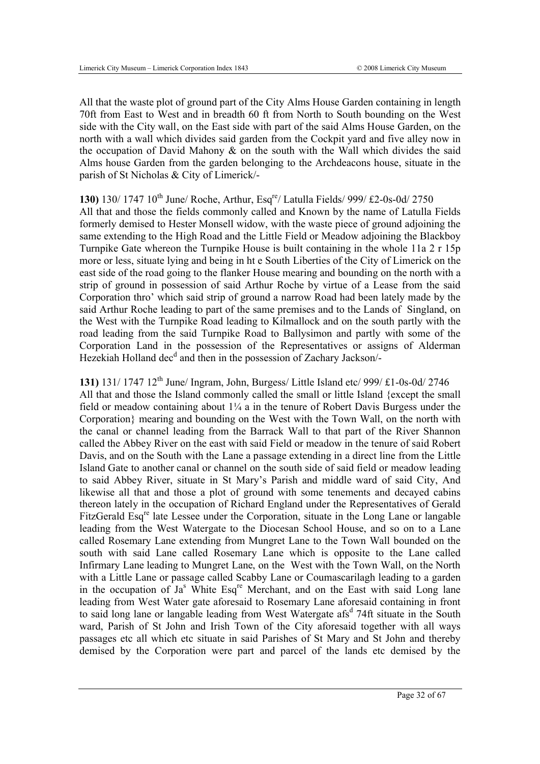All that the waste plot of ground part of the City Alms House Garden containing in length 70ft from East to West and in breadth 60 ft from North to South bounding on the West side with the City wall, on the East side with part of the said Alms House Garden, on the north with a wall which divides said garden from the Cockpit yard and five alley now in the occupation of David Mahony  $\&$  on the south with the Wall which divides the said Alms house Garden from the garden belonging to the Archdeacons house, situate in the parish of St Nicholas & City of Limerick/-

# **130)** 130/ 1747 10th June/ Roche, Arthur, Esqre/ Latulla Fields/ 999/ £2-0s-0d/ 2750

All that and those the fields commonly called and Known by the name of Latulla Fields formerly demised to Hester Monsell widow, with the waste piece of ground adjoining the same extending to the High Road and the Little Field or Meadow adjoining the Blackboy Turnpike Gate whereon the Turnpike House is built containing in the whole 11a 2 r 15p more or less, situate lying and being in ht e South Liberties of the City of Limerick on the east side of the road going to the flanker House mearing and bounding on the north with a strip of ground in possession of said Arthur Roche by virtue of a Lease from the said Corporation thro' which said strip of ground a narrow Road had been lately made by the said Arthur Roche leading to part of the same premises and to the Lands of Singland, on the West with the Turnpike Road leading to Kilmallock and on the south partly with the road leading from the said Turnpike Road to Ballysimon and partly with some of the Corporation Land in the possession of the Representatives or assigns of Alderman Hezekiah Holland dec<sup>d</sup> and then in the possession of Zachary Jackson/-

#### **131)** 131/ 1747 12th June/ Ingram, John, Burgess/ Little Island etc/ 999/ £1-0s-0d/ 2746

All that and those the Island commonly called the small or little Island {except the small field or meadow containing about  $1/4$  a in the tenure of Robert Davis Burgess under the Corporation} mearing and bounding on the West with the Town Wall, on the north with the canal or channel leading from the Barrack Wall to that part of the River Shannon called the Abbey River on the east with said Field or meadow in the tenure of said Robert Davis, and on the South with the Lane a passage extending in a direct line from the Little Island Gate to another canal or channel on the south side of said field or meadow leading to said Abbey River, situate in St Mary's Parish and middle ward of said City, And likewise all that and those a plot of ground with some tenements and decayed cabins thereon lately in the occupation of Richard England under the Representatives of Gerald FitzGerald Esq<sup>re</sup> late Lessee under the Corporation, situate in the Long Lane or langable leading from the West Watergate to the Diocesan School House, and so on to a Lane called Rosemary Lane extending from Mungret Lane to the Town Wall bounded on the south with said Lane called Rosemary Lane which is opposite to the Lane called Infirmary Lane leading to Mungret Lane, on the West with the Town Wall, on the North with a Little Lane or passage called Scabby Lane or Coumascarilagh leading to a garden in the occupation of  $Ja^s$  White Esq<sup>re</sup> Merchant, and on the East with said Long lane leading from West Water gate aforesaid to Rosemary Lane aforesaid containing in front to said long lane or langable leading from West Watergate afs<sup>d</sup> 74ft situate in the South ward, Parish of St John and Irish Town of the City aforesaid together with all ways passages etc all which etc situate in said Parishes of St Mary and St John and thereby demised by the Corporation were part and parcel of the lands etc demised by the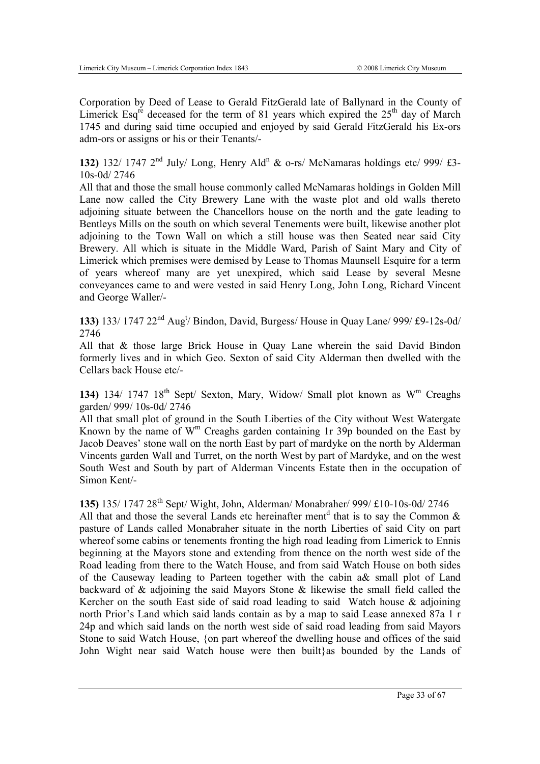Corporation by Deed of Lease to Gerald FitzGerald late of Ballynard in the County of Limerick Esq<sup>re</sup> deceased for the term of 81 years which expired the  $25<sup>th</sup>$  day of March 1745 and during said time occupied and enjoyed by said Gerald FitzGerald his Ex-ors adm-ors or assigns or his or their Tenants/-

132) 132/ 1747  $2<sup>nd</sup>$  July/ Long, Henry Ald<sup>n</sup> & o-rs/ McNamaras holdings etc/ 999/ £3-10s-0d/ 2746

All that and those the small house commonly called McNamaras holdings in Golden Mill Lane now called the City Brewery Lane with the waste plot and old walls thereto adjoining situate between the Chancellors house on the north and the gate leading to Bentleys Mills on the south on which several Tenements were built, likewise another plot adjoining to the Town Wall on which a still house was then Seated near said City Brewery. All which is situate in the Middle Ward, Parish of Saint Mary and City of Limerick which premises were demised by Lease to Thomas Maunsell Esquire for a term of years whereof many are yet unexpired, which said Lease by several Mesne conveyances came to and were vested in said Henry Long, John Long, Richard Vincent and George Waller/-

133) 133/ 1747 22<sup>nd</sup> Aug<sup>t</sup>/ Bindon, David, Burgess/ House in Quay Lane/ 999/ £9-12s-0d/ 2746

All that & those large Brick House in Quay Lane wherein the said David Bindon formerly lives and in which Geo. Sexton of said City Alderman then dwelled with the Cellars back House etc/-

**134)** 134/ 1747 18<sup>th</sup> Sept/ Sexton, Mary, Widow/ Small plot known as  $W<sup>m</sup>$  Creaghs garden/ 999/ 10s-0d/ 2746

All that small plot of ground in the South Liberties of the City without West Watergate Known by the name of  $W<sup>m</sup>$  Creaghs garden containing 1r 39p bounded on the East by Jacob Deaves' stone wall on the north East by part of mardyke on the north by Alderman Vincents garden Wall and Turret, on the north West by part of Mardyke, and on the west South West and South by part of Alderman Vincents Estate then in the occupation of Simon Kent/-

**135)** 135/ 1747 28th Sept/ Wight, John, Alderman/ Monabraher/ 999/ £10-10s-0d/ 2746 All that and those the several Lands etc hereinafter ment<sup>d</sup> that is to say the Common  $\&$ pasture of Lands called Monabraher situate in the north Liberties of said City on part whereof some cabins or tenements fronting the high road leading from Limerick to Ennis beginning at the Mayors stone and extending from thence on the north west side of the Road leading from there to the Watch House, and from said Watch House on both sides of the Causeway leading to Parteen together with the cabin a& small plot of Land backward of & adjoining the said Mayors Stone & likewise the small field called the Kercher on the south East side of said road leading to said Watch house  $\&$  adjoining north Prior's Land which said lands contain as by a map to said Lease annexed 87a 1 r 24p and which said lands on the north west side of said road leading from said Mayors Stone to said Watch House, {on part whereof the dwelling house and offices of the said John Wight near said Watch house were then built}as bounded by the Lands of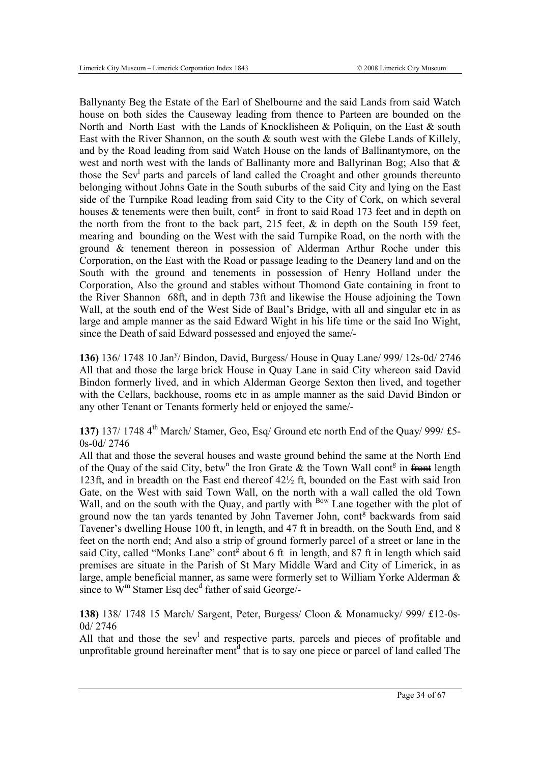Ballynanty Beg the Estate of the Earl of Shelbourne and the said Lands from said Watch house on both sides the Causeway leading from thence to Parteen are bounded on the North and North East with the Lands of Knocklisheen & Poliquin, on the East & south East with the River Shannon, on the south  $\&$  south west with the Glebe Lands of Killely, and by the Road leading from said Watch House on the lands of Ballinantymore, on the west and north west with the lands of Ballinanty more and Ballyrinan Bog; Also that & those the Sev<sup>1</sup> parts and parcels of land called the Croaght and other grounds thereunto belonging without Johns Gate in the South suburbs of the said City and lying on the East side of the Turnpike Road leading from said City to the City of Cork, on which several houses  $\&$  tenements were then built, cont<sup>g</sup> in front to said Road 173 feet and in depth on the north from the front to the back part, 215 feet,  $\&$  in depth on the South 159 feet, mearing and bounding on the West with the said Turnpike Road, on the north with the ground & tenement thereon in possession of Alderman Arthur Roche under this Corporation, on the East with the Road or passage leading to the Deanery land and on the South with the ground and tenements in possession of Henry Holland under the Corporation, Also the ground and stables without Thomond Gate containing in front to the River Shannon 68ft, and in depth 73ft and likewise the House adjoining the Town Wall, at the south end of the West Side of Baal's Bridge, with all and singular etc in as large and ample manner as the said Edward Wight in his life time or the said Ino Wight, since the Death of said Edward possessed and enjoyed the same/-

136) 136/ 1748 10 Jan<sup>y</sup>/ Bindon, David, Burgess/ House in Quay Lane/ 999/ 12s-0d/ 2746 All that and those the large brick House in Quay Lane in said City whereon said David Bindon formerly lived, and in which Alderman George Sexton then lived, and together with the Cellars, backhouse, rooms etc in as ample manner as the said David Bindon or any other Tenant or Tenants formerly held or enjoyed the same/-

**137)** 137/ 1748 4<sup>th</sup> March/ Stamer, Geo, Esq/ Ground etc north End of the Quay/ 999/ £5-0s-0d/ 2746

All that and those the several houses and waste ground behind the same at the North End of the Quay of the said City, betw<sup>n</sup> the Iron Grate & the Town Wall cont<sup>g</sup> in from length 123ft, and in breadth on the East end thereof 42½ ft, bounded on the East with said Iron Gate, on the West with said Town Wall, on the north with a wall called the old Town Wall, and on the south with the Quay, and partly with <sup>Bow</sup> Lane together with the plot of ground now the tan yards tenanted by John Taverner John, cont<sup>g</sup> backwards from said Tavener's dwelling House 100 ft, in length, and 47 ft in breadth, on the South End, and 8 feet on the north end; And also a strip of ground formerly parcel of a street or lane in the said City, called "Monks Lane" cont $\frac{3}{5}$  about 6 ft in length, and 87 ft in length which said premises are situate in the Parish of St Mary Middle Ward and City of Limerick, in as large, ample beneficial manner, as same were formerly set to William Yorke Alderman & since to  $\dot{W}^m$  Stamer Esq dec<sup>d</sup> father of said George/-

**138)** 138/ 1748 15 March/ Sargent, Peter, Burgess/ Cloon & Monamucky/ 999/ £12-0s-0d/ 2746

All that and those the  $sev^1$  and respective parts, parcels and pieces of profitable and unprofitable ground hereinafter ment<sup>d</sup> that is to say one piece or parcel of land called The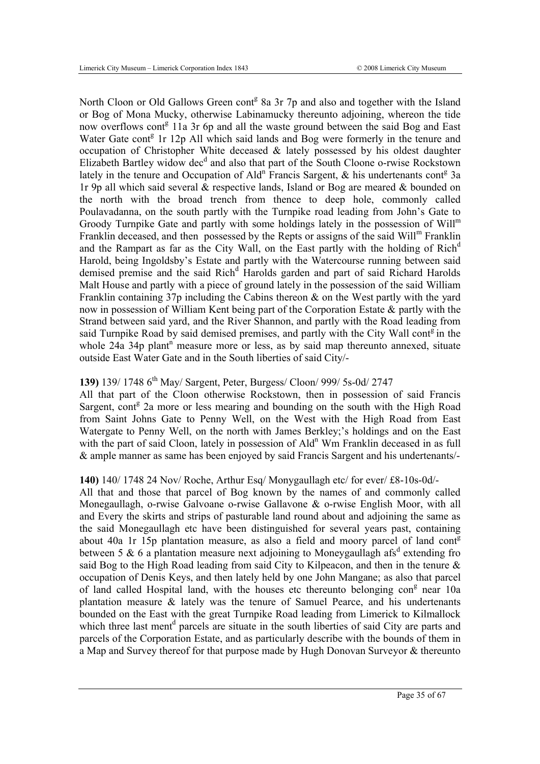North Cloon or Old Gallows Green cont<sup>g</sup> 8a 3r 7p and also and together with the Island or Bog of Mona Mucky, otherwise Labinamucky thereunto adjoining, whereon the tide now overflows cont<sup>g</sup> 11a 3r 6p and all the waste ground between the said Bog and East Water Gate cont<sup>g</sup> 1r 12p All which said lands and Bog were formerly in the tenure and occupation of Christopher White deceased  $\&$  lately possessed by his oldest daughter Elizabeth Bartley widow dec<sup>d</sup> and also that part of the South Cloone o-rwise Rockstown lately in the tenure and Occupation of Ald<sup>n</sup> Francis Sargent, & his undertenants cont<sup>g</sup> 3a 1r 9p all which said several & respective lands, Island or Bog are meared & bounded on the north with the broad trench from thence to deep hole, commonly called Poulavadanna, on the south partly with the Turnpike road leading from John's Gate to Groody Turnpike Gate and partly with some holdings lately in the possession of  $Will<sup>m</sup>$ Franklin deceased, and then possessed by the Repts or assigns of the said Will<sup>m</sup> Franklin and the Rampart as far as the City Wall, on the East partly with the holding of Rich<sup>d</sup> Harold, being Ingoldsby's Estate and partly with the Watercourse running between said demised premise and the said Rich<sup>d</sup> Harolds garden and part of said Richard Harolds Malt House and partly with a piece of ground lately in the possession of the said William Franklin containing 37p including the Cabins thereon & on the West partly with the yard now in possession of William Kent being part of the Corporation Estate & partly with the Strand between said yard, and the River Shannon, and partly with the Road leading from said Turnpike Road by said demised premises, and partly with the City Wall cont<sup>g</sup> in the whole  $24a$  34p plant<sup>n</sup> measure more or less, as by said map thereunto annexed, situate outside East Water Gate and in the South liberties of said City/-

#### **139)** 139/ 1748 6th May/ Sargent, Peter, Burgess/ Cloon/ 999/ 5s-0d/ 2747

All that part of the Cloon otherwise Rockstown, then in possession of said Francis Sargent, cont<sup>g</sup> 2a more or less mearing and bounding on the south with the High Road from Saint Johns Gate to Penny Well, on the West with the High Road from East Watergate to Penny Well, on the north with James Berkley;'s holdings and on the East with the part of said Cloon, lately in possession of Ald<sup>n</sup> Wm Franklin deceased in as full & ample manner as same has been enjoyed by said Francis Sargent and his undertenants/-

#### **140)** 140/ 1748 24 Nov/ Roche, Arthur Esq/ Monygaullagh etc/ for ever/ £8-10s-0d/-

All that and those that parcel of Bog known by the names of and commonly called Monegaullagh, o-rwise Galvoane o-rwise Gallavone & o-rwise English Moor, with all and Every the skirts and strips of pasturable land round about and adjoining the same as the said Monegaullagh etc have been distinguished for several years past, containing about 40a 1r 15p plantation measure, as also a field and moory parcel of land cont $\bar{g}$ between 5 & 6 a plantation measure next adjoining to Moneygaullagh afs<sup>d</sup> extending fro said Bog to the High Road leading from said City to Kilpeacon, and then in the tenure & occupation of Denis Keys, and then lately held by one John Mangane; as also that parcel of land called Hospital land, with the houses etc thereunto belonging con<sup>g</sup> near 10a plantation measure & lately was the tenure of Samuel Pearce, and his undertenants bounded on the East with the great Turnpike Road leading from Limerick to Kilmallock which three last ment<sup>d</sup> parcels are situate in the south liberties of said City are parts and parcels of the Corporation Estate, and as particularly describe with the bounds of them in a Map and Survey thereof for that purpose made by Hugh Donovan Surveyor & thereunto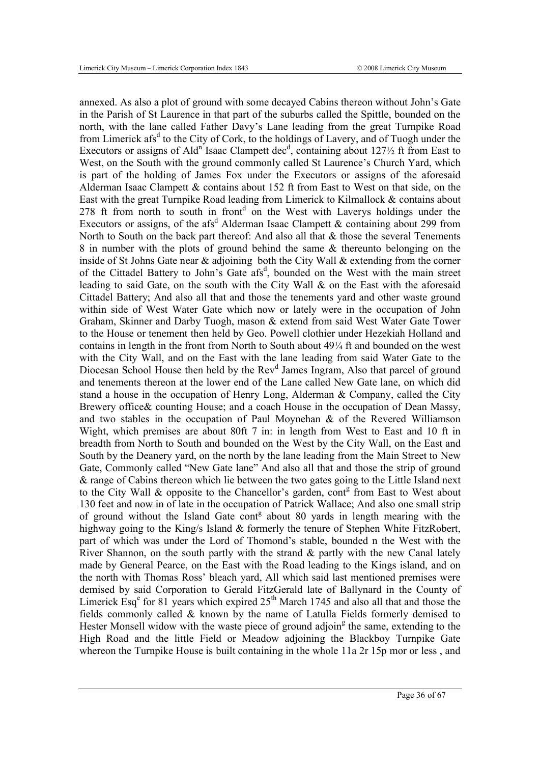annexed. As also a plot of ground with some decayed Cabins thereon without John's Gate in the Parish of St Laurence in that part of the suburbs called the Spittle, bounded on the north, with the lane called Father Davy's Lane leading from the great Turnpike Road from Limerick afs<sup>d</sup> to the City of Cork, to the holdings of Lavery, and of Tuogh under the Executors or assigns of Ald<sup>n</sup> Isaac Clampett dec<sup>d</sup>, containing about  $127\frac{1}{2}$  ft from East to West, on the South with the ground commonly called St Laurence's Church Yard, which is part of the holding of James Fox under the Executors or assigns of the aforesaid Alderman Isaac Clampett & contains about 152 ft from East to West on that side, on the East with the great Turnpike Road leading from Limerick to Kilmallock & contains about  $278$  ft from north to south in front<sup>d</sup> on the West with Laverys holdings under the Executors or assigns, of the afs<sup>d</sup> Alderman Isaac Clampett & containing about 299 from North to South on the back part thereof: And also all that & those the several Tenements 8 in number with the plots of ground behind the same & thereunto belonging on the inside of St Johns Gate near & adjoining both the City Wall & extending from the corner of the Cittadel Battery to John's Gate afs<sup>d</sup>, bounded on the West with the main street leading to said Gate, on the south with the City Wall & on the East with the aforesaid Cittadel Battery; And also all that and those the tenements yard and other waste ground within side of West Water Gate which now or lately were in the occupation of John Graham, Skinner and Darby Tuogh, mason & extend from said West Water Gate Tower to the House or tenement then held by Geo. Powell clothier under Hezekiah Holland and contains in length in the front from North to South about 49¼ ft and bounded on the west with the City Wall, and on the East with the lane leading from said Water Gate to the Diocesan School House then held by the Rev<sup>d</sup> James Ingram, Also that parcel of ground and tenements thereon at the lower end of the Lane called New Gate lane, on which did stand a house in the occupation of Henry Long, Alderman & Company, called the City Brewery office& counting House; and a coach House in the occupation of Dean Massy, and two stables in the occupation of Paul Moynehan & of the Revered Williamson Wight, which premises are about 80ft 7 in: in length from West to East and 10 ft in breadth from North to South and bounded on the West by the City Wall, on the East and South by the Deanery yard, on the north by the lane leading from the Main Street to New Gate, Commonly called "New Gate lane" And also all that and those the strip of ground & range of Cabins thereon which lie between the two gates going to the Little Island next to the City Wall & opposite to the Chancellor's garden, cont<sup>g</sup> from East to West about 130 feet and now in of late in the occupation of Patrick Wallace; And also one small strip of ground without the Island Gate cont<sup>g</sup> about 80 yards in length mearing with the highway going to the King/s Island & formerly the tenure of Stephen White FitzRobert, part of which was under the Lord of Thomond's stable, bounded n the West with the River Shannon, on the south partly with the strand  $\&$  partly with the new Canal lately made by General Pearce, on the East with the Road leading to the Kings island, and on the north with Thomas Ross' bleach yard, All which said last mentioned premises were demised by said Corporation to Gerald FitzGerald late of Ballynard in the County of Limerick Esq<sup>e</sup> for 81 years which expired  $25<sup>th</sup>$  March 1745 and also all that and those the fields commonly called & known by the name of Latulla Fields formerly demised to Hester Monsell widow with the waste piece of ground adjoin<sup>g</sup> the same, extending to the High Road and the little Field or Meadow adjoining the Blackboy Turnpike Gate whereon the Turnpike House is built containing in the whole 11a 2r 15p mor or less, and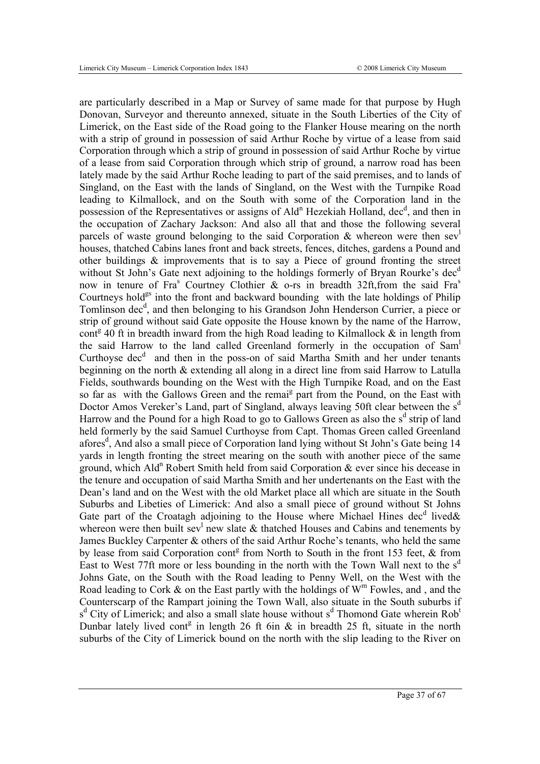are particularly described in a Map or Survey of same made for that purpose by Hugh Donovan, Surveyor and thereunto annexed, situate in the South Liberties of the City of Limerick, on the East side of the Road going to the Flanker House mearing on the north with a strip of ground in possession of said Arthur Roche by virtue of a lease from said Corporation through which a strip of ground in possession of said Arthur Roche by virtue of a lease from said Corporation through which strip of ground, a narrow road has been lately made by the said Arthur Roche leading to part of the said premises, and to lands of Singland, on the East with the lands of Singland, on the West with the Turnpike Road leading to Kilmallock, and on the South with some of the Corporation land in the possession of the Representatives or assigns of Ald<sup>n</sup> Hezekiah Holland, dec<sup>d</sup>, and then in the occupation of Zachary Jackson: And also all that and those the following several parcels of waste ground belonging to the said Corporation & whereon were then sev houses, thatched Cabins lanes front and back streets, fences, ditches, gardens a Pound and other buildings & improvements that is to say a Piece of ground fronting the street without St John's Gate next adjoining to the holdings formerly of Bryan Rourke's dec<sup>d</sup> now in tenure of Fra<sup>s</sup> Courtney Clothier & o-rs in breadth 32ft, from the said Fra<sup>s</sup> Courtneys hold $g$ <sup>gs</sup> into the front and backward bounding with the late holdings of Philip Tomlinson dec<sup>d</sup>, and then belonging to his Grandson John Henderson Currier, a piece or strip of ground without said Gate opposite the House known by the name of the Harrow, cont<sup>g</sup> 40 ft in breadth inward from the high Road leading to Kilmallock  $\&$  in length from the said Harrow to the land called Greenland formerly in the occupation of Sam<sup>l</sup> Curthoyse  $dec<sup>d</sup>$  and then in the poss-on of said Martha Smith and her under tenants beginning on the north & extending all along in a direct line from said Harrow to Latulla Fields, southwards bounding on the West with the High Turnpike Road, and on the East so far as with the Gallows Green and the remai<sup>g</sup> part from the Pound, on the East with Doctor Amos Vereker's Land, part of Singland, always leaving 50ft clear between the s<sup>d</sup> Harrow and the Pound for a high Road to go to Gallows Green as also the  $s<sup>d</sup>$  strip of land held formerly by the said Samuel Curthoyse from Capt. Thomas Green called Greenland afores<sup>d</sup>, And also a small piece of Corporation land lying without St John's Gate being 14 yards in length fronting the street mearing on the south with another piece of the same ground, which Ald<sup>n</sup> Robert Smith held from said Corporation  $\&$  ever since his decease in the tenure and occupation of said Martha Smith and her undertenants on the East with the Dean's land and on the West with the old Market place all which are situate in the South Suburbs and Libeties of Limerick: And also a small piece of ground without St Johns Gate part of the Croatagh adjoining to the House where Michael Hines dec<sup>d</sup> lived & whereon were then built sev<sup>1</sup> new slate  $\&$  thatched Houses and Cabins and tenements by James Buckley Carpenter & others of the said Arthur Roche's tenants, who held the same by lease from said Corporation cont<sup>g</sup> from North to South in the front 153 feet,  $\&$  from East to West 77ft more or less bounding in the north with the Town Wall next to the  $s<sup>d</sup>$ Johns Gate, on the South with the Road leading to Penny Well, on the West with the Road leading to Cork  $\&$  on the East partly with the holdings of  $W^m$  Fowles, and, and the Counterscarp of the Rampart joining the Town Wall, also situate in the South suburbs if s<sup>d</sup> City of Limerick; and also a small slate house without s<sup>d</sup> Thomond Gate wherein Rob<sup>t</sup> Dunbar lately lived cont<sup>g</sup> in length 26 ft 6in  $\&$  in breadth 25 ft, situate in the north suburbs of the City of Limerick bound on the north with the slip leading to the River on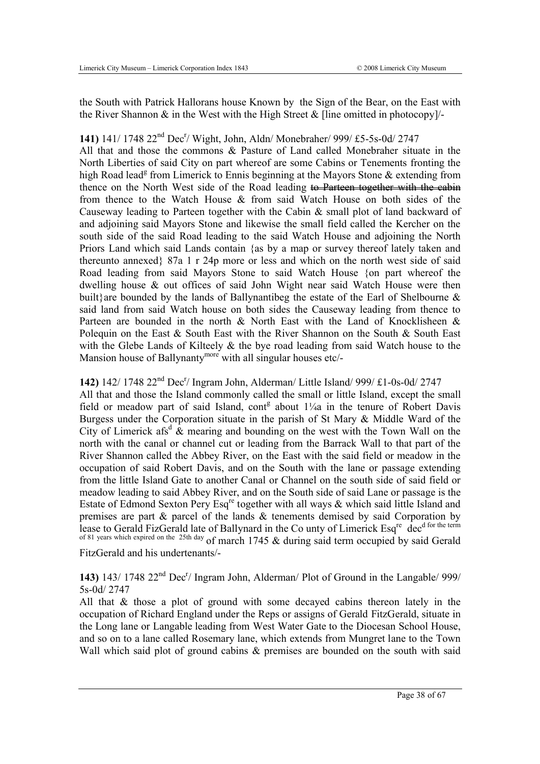the South with Patrick Hallorans house Known by the Sign of the Bear, on the East with the River Shannon  $\&$  in the West with the High Street  $\&$  [line omitted in photocopy]/-

# 141) 141/ 1748 22<sup>nd</sup> Dec<sup>r</sup>/ Wight, John, Aldn/ Monebraher/ 999/ £5-5s-0d/ 2747

All that and those the commons & Pasture of Land called Monebraher situate in the North Liberties of said City on part whereof are some Cabins or Tenements fronting the high Road lead<sup>g</sup> from Limerick to Ennis beginning at the Mayors Stone & extending from thence on the North West side of the Road leading to Parteen together with the cabin from thence to the Watch House & from said Watch House on both sides of the Causeway leading to Parteen together with the Cabin & small plot of land backward of and adjoining said Mayors Stone and likewise the small field called the Kercher on the south side of the said Road leading to the said Watch House and adjoining the North Priors Land which said Lands contain {as by a map or survey thereof lately taken and thereunto annexed} 87a 1 r 24p more or less and which on the north west side of said Road leading from said Mayors Stone to said Watch House {on part whereof the dwelling house & out offices of said John Wight near said Watch House were then built}are bounded by the lands of Ballynantibeg the estate of the Earl of Shelbourne  $\&$ said land from said Watch house on both sides the Causeway leading from thence to Parteen are bounded in the north & North East with the Land of Knocklisheen & Polequin on the East  $\&$  South East with the River Shannon on the South  $\&$  South East with the Glebe Lands of Kilteely & the bye road leading from said Watch house to the Mansion house of Ballynanty<sup>more</sup> with all singular houses etc/-

# 142) 142/ 1748 22<sup>nd</sup> Dec<sup>r</sup>/ Ingram John, Alderman/ Little Island/ 999/ £1-0s-0d/ 2747

All that and those the Island commonly called the small or little Island, except the small field or meadow part of said Island,  $\text{cont}^g$  about  $1\frac{1}{4}$  in the tenure of Robert Davis Burgess under the Corporation situate in the parish of St Mary & Middle Ward of the City of Limerick afs<sup>d</sup>  $\&$  mearing and bounding on the west with the Town Wall on the north with the canal or channel cut or leading from the Barrack Wall to that part of the River Shannon called the Abbey River, on the East with the said field or meadow in the occupation of said Robert Davis, and on the South with the lane or passage extending from the little Island Gate to another Canal or Channel on the south side of said field or meadow leading to said Abbey River, and on the South side of said Lane or passage is the Estate of Edmond Sexton Pery Esq<sup>re</sup> together with all ways  $\&$  which said little Island and premises are part & parcel of the lands & tenements demised by said Corporation by lease to Gerald FizGerald late of Ballynard in the Co unty of Limerick Esq<sup>re</sup> dec<sup>d for the term</sub></sup> of 81 years which expired on the 25th day of march 1745 & during said term occupied by said Gerald

FitzGerald and his undertenants/-

143) 143/ 1748 22<sup>nd</sup> Dec<sup>r</sup>/ Ingram John, Alderman/ Plot of Ground in the Langable/ 999/ 5s-0d/ 2747

All that & those a plot of ground with some decayed cabins thereon lately in the occupation of Richard England under the Reps or assigns of Gerald FitzGerald, situate in the Long lane or Langable leading from West Water Gate to the Diocesan School House, and so on to a lane called Rosemary lane, which extends from Mungret lane to the Town Wall which said plot of ground cabins & premises are bounded on the south with said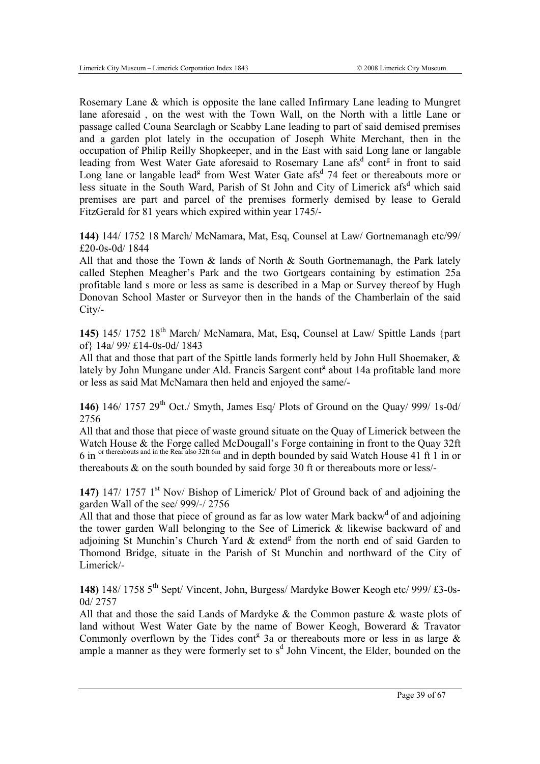Rosemary Lane & which is opposite the lane called Infirmary Lane leading to Mungret lane aforesaid , on the west with the Town Wall, on the North with a little Lane or passage called Couna Searclagh or Scabby Lane leading to part of said demised premises and a garden plot lately in the occupation of Joseph White Merchant, then in the occupation of Philip Reilly Shopkeeper, and in the East with said Long lane or langable leading from West Water Gate aforesaid to Rosemary Lane afs<sup>d</sup> cont<sup>g</sup> in front to said Long lane or langable lead<sup>g</sup> from West Water Gate afs<sup>d</sup> 74 feet or thereabouts more or less situate in the South Ward, Parish of St John and City of Limerick afs<sup>d</sup> which said premises are part and parcel of the premises formerly demised by lease to Gerald FitzGerald for 81 years which expired within year 1745/-

**144)** 144/ 1752 18 March/ McNamara, Mat, Esq, Counsel at Law/ Gortnemanagh etc/99/ £20-0s-0d/ 1844

All that and those the Town & lands of North & South Gortnemanagh, the Park lately called Stephen Meagher's Park and the two Gortgears containing by estimation 25a profitable land s more or less as same is described in a Map or Survey thereof by Hugh Donovan School Master or Surveyor then in the hands of the Chamberlain of the said City/-

**145)** 145/ 1752 18th March/ McNamara, Mat, Esq, Counsel at Law/ Spittle Lands {part of} 14a/ 99/ £14-0s-0d/ 1843

All that and those that part of the Spittle lands formerly held by John Hull Shoemaker, & lately by John Mungane under Ald. Francis Sargent cont<sup>g</sup> about 14a profitable land more or less as said Mat McNamara then held and enjoyed the same/-

**146)** 146/ 1757 29th Oct./ Smyth, James Esq/ Plots of Ground on the Quay/ 999/ 1s-0d/ 2756

All that and those that piece of waste ground situate on the Quay of Limerick between the Watch House & the Forge called McDougall's Forge containing in front to the Ouav 32ft 6 in <sup>or thereabouts and in the Rear also 32ft 6in and in depth bounded by said Watch House 41 ft 1 in or</sup> thereabouts & on the south bounded by said forge 30 ft or thereabouts more or less/-

**147)** 147/ 1757 1<sup>st</sup> Nov/ Bishop of Limerick/ Plot of Ground back of and adjoining the garden Wall of the see/ 999/-/ 2756

All that and those that piece of ground as far as low water Mark backw<sup>d</sup> of and adjoining the tower garden Wall belonging to the See of Limerick & likewise backward of and adjoining St Munchin's Church Yard  $&$  extend<sup>g</sup> from the north end of said Garden to Thomond Bridge, situate in the Parish of St Munchin and northward of the City of Limerick/-

**148)** 148/ 1758 5th Sept/ Vincent, John, Burgess/ Mardyke Bower Keogh etc/ 999/ £3-0s-0d/ 2757

All that and those the said Lands of Mardyke & the Common pasture & waste plots of land without West Water Gate by the name of Bower Keogh, Bowerard & Travator Commonly overflown by the Tides cont<sup>g</sup> 3a or thereabouts more or less in as large  $\&$ ample a manner as they were formerly set to  $s<sup>d</sup>$  John Vincent, the Elder, bounded on the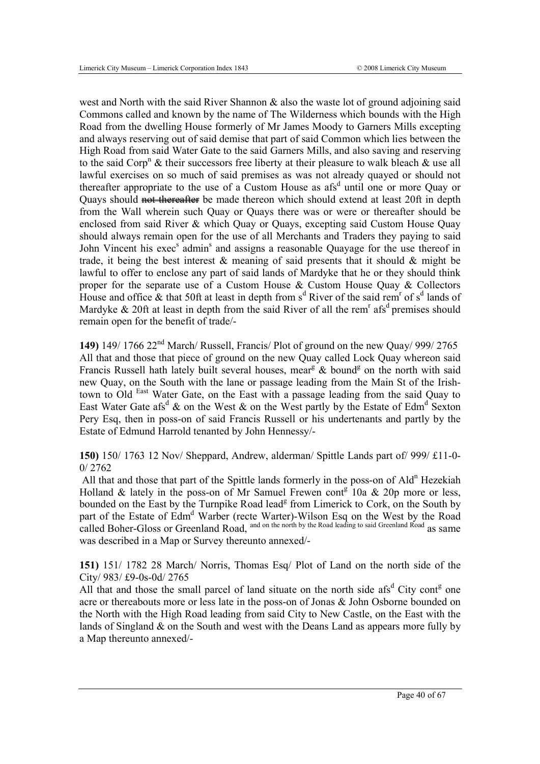west and North with the said River Shannon & also the waste lot of ground adjoining said Commons called and known by the name of The Wilderness which bounds with the High Road from the dwelling House formerly of Mr James Moody to Garners Mills excepting and always reserving out of said demise that part of said Common which lies between the High Road from said Water Gate to the said Garners Mills, and also saving and reserving to the said Corp<sup>n</sup> & their successors free liberty at their pleasure to walk bleach & use all lawful exercises on so much of said premises as was not already quayed or should not thereafter appropriate to the use of a Custom House as afs<sup>d</sup> until one or more Quay or Quays should not thereafter be made thereon which should extend at least 20ft in depth from the Wall wherein such Quay or Quays there was or were or thereafter should be enclosed from said River & which Quay or Quays, excepting said Custom House Quay should always remain open for the use of all Merchants and Traders they paying to said John Vincent his exec<sup>s</sup> admin<sup>s</sup> and assigns a reasonable Quayage for the use thereof in trade, it being the best interest  $\&$  meaning of said presents that it should  $\&$  might be lawful to offer to enclose any part of said lands of Mardyke that he or they should think proper for the separate use of a Custom House  $\&$  Custom House Ouay  $\&$  Collectors House and office  $\&$  that 50ft at least in depth from s<sup>d</sup> River of the said rem<sup>r</sup> of s<sup>d</sup> lands of Mardyke  $& 20$ ft at least in depth from the said River of all the rem<sup>r</sup> afs<sup>d</sup> premises should remain open for the benefit of trade/-

**149)** 149/ 1766 22nd March/ Russell, Francis/ Plot of ground on the new Quay/ 999/ 2765 All that and those that piece of ground on the new Quay called Lock Quay whereon said Francis Russell hath lately built several houses, mear<sup>g</sup>  $\&$  bound<sup>g</sup> on the north with said new Quay, on the South with the lane or passage leading from the Main St of the Irishtown to Old East Water Gate, on the East with a passage leading from the said Quay to East Water Gate afs<sup>d</sup> & on the West & on the West partly by the Estate of Edm<sup>d</sup> Sexton Pery Esq, then in poss-on of said Francis Russell or his undertenants and partly by the Estate of Edmund Harrold tenanted by John Hennessy/-

**150)** 150/ 1763 12 Nov/ Sheppard, Andrew, alderman/ Spittle Lands part of/ 999/ £11-0- 0/ 2762

All that and those that part of the Spittle lands formerly in the poss-on of Ald<sup>n</sup> Hezekiah Holland & lately in the poss-on of Mr Samuel Frewen cont<sup>g</sup> 10a & 20p more or less, bounded on the East by the Turnpike Road lead<sup>g</sup> from Limerick to Cork, on the South by part of the Estate of Edm<sup>d</sup> Warber (recte Warter)-Wilson Esq on the West by the Road called Boher-Gloss or Greenland Road, and on the north by the Road leading to said Greenland Road as same was described in a Map or Survey thereunto annexed/-

**151)** 151/ 1782 28 March/ Norris, Thomas Esq/ Plot of Land on the north side of the City/ 983/ £9-0s-0d/ 2765

All that and those the small parcel of land situate on the north side  $\text{afs}^d$  City cont<sup>g</sup> one acre or thereabouts more or less late in the poss-on of Jonas & John Osborne bounded on the North with the High Road leading from said City to New Castle, on the East with the lands of Singland & on the South and west with the Deans Land as appears more fully by a Map thereunto annexed/-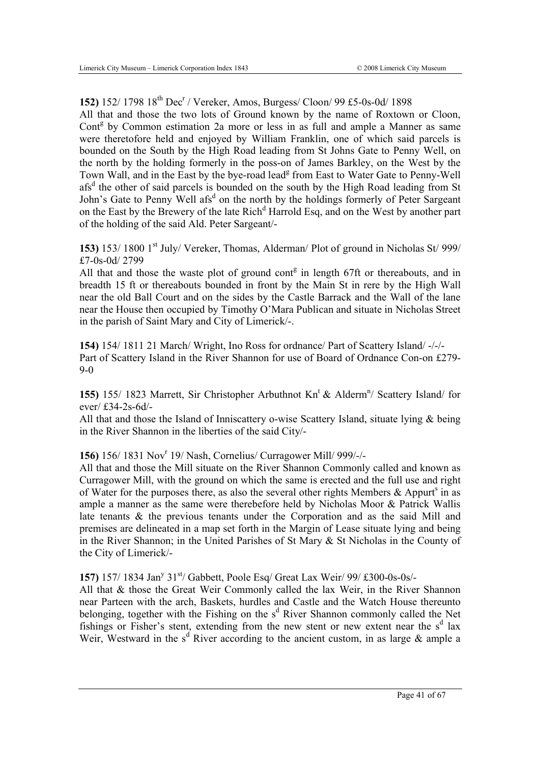# **152)** 152/ 1798 18<sup>th</sup> Dec<sup>r</sup> / Vereker, Amos, Burgess/ Cloon/ 99 £5-0s-0d/ 1898

All that and those the two lots of Ground known by the name of Roxtown or Cloon, Cont<sup>g</sup> by Common estimation 2a more or less in as full and ample a Manner as same were theretofore held and enjoyed by William Franklin, one of which said parcels is bounded on the South by the High Road leading from St Johns Gate to Penny Well, on the north by the holding formerly in the poss-on of James Barkley, on the West by the Town Wall, and in the East by the bye-road lead<sup>g</sup> from East to Water Gate to Penny-Well afs<sup>d</sup> the other of said parcels is bounded on the south by the High Road leading from St John's Gate to Penny Well afs<sup>d</sup> on the north by the holdings formerly of Peter Sargeant on the East by the Brewery of the late Rich<sup>d</sup> Harrold Esq, and on the West by another part of the holding of the said Ald. Peter Sargeant/-

**153**) 153/ 1800 1<sup>st</sup> July/ Vereker, Thomas, Alderman/ Plot of ground in Nicholas St/ 999/ £7-0s-0d/ 2799

All that and those the waste plot of ground cont $\mathfrak{g}$  in length 67ft or thereabouts, and in breadth 15 ft or thereabouts bounded in front by the Main St in rere by the High Wall near the old Ball Court and on the sides by the Castle Barrack and the Wall of the lane near the House then occupied by Timothy O'Mara Publican and situate in Nicholas Street in the parish of Saint Mary and City of Limerick/-.

**154)** 154/ 1811 21 March/ Wright, Ino Ross for ordnance/ Part of Scattery Island/ -/-/- Part of Scattery Island in the River Shannon for use of Board of Ordnance Con-on £279- 9-0

155) 155/ 1823 Marrett, Sir Christopher Arbuthnot Kn<sup>t</sup> & Alderm<sup>n</sup>/ Scattery Island/ for ever/ £34-2s-6d/-

All that and those the Island of Inniscattery o-wise Scattery Island, situate lying & being in the River Shannon in the liberties of the said City/-

156) 156/ 1831 Nov<sup>r</sup> 19/ Nash, Cornelius/ Curragower Mill/ 999/-/-

All that and those the Mill situate on the River Shannon Commonly called and known as Curragower Mill, with the ground on which the same is erected and the full use and right of Water for the purposes there, as also the several other rights Members  $\&$  Appurt<sup>s</sup> in as ample a manner as the same were therebefore held by Nicholas Moor & Patrick Wallis late tenants & the previous tenants under the Corporation and as the said Mill and premises are delineated in a map set forth in the Margin of Lease situate lying and being in the River Shannon; in the United Parishes of St Mary & St Nicholas in the County of the City of Limerick/-

157) 157/ 1834 Jan<sup>y</sup> 31<sup>st</sup>/ Gabbett, Poole Esq/ Great Lax Weir/ 99/ £300-0s-0s/-

All that & those the Great Weir Commonly called the lax Weir, in the River Shannon near Parteen with the arch, Baskets, hurdles and Castle and the Watch House thereunto belonging, together with the Fishing on the s<sup>d</sup> River Shannon commonly called the Net fishings or Fisher's stent, extending from the new stent or new extent near the  $s<sup>d</sup>$  lax Weir, Westward in the  $s^d$  River according to the ancient custom, in as large & ample a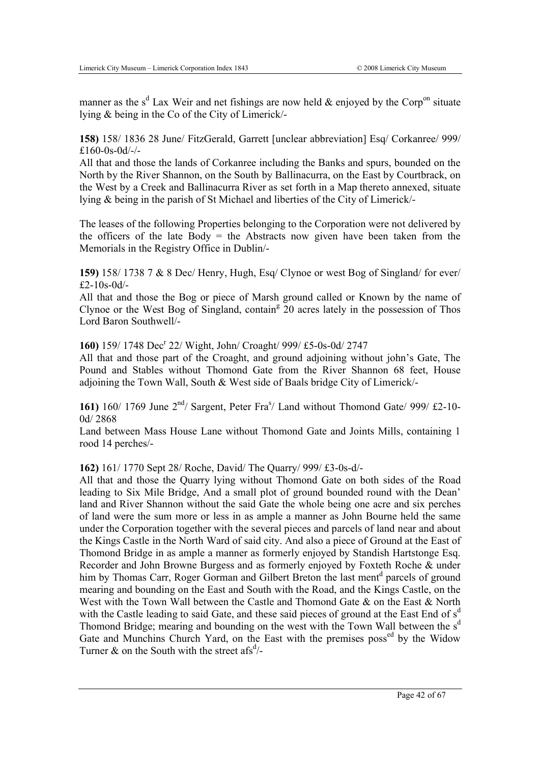manner as the s<sup>d</sup> Lax Weir and net fishings are now held  $\&$  enjoyed by the Corp<sup>on</sup> situate lying & being in the Co of the City of Limerick/-

**158)** 158/ 1836 28 June/ FitzGerald, Garrett [unclear abbreviation] Esq/ Corkanree/ 999/ £160-0s-0d/-/-

All that and those the lands of Corkanree including the Banks and spurs, bounded on the North by the River Shannon, on the South by Ballinacurra, on the East by Courtbrack, on the West by a Creek and Ballinacurra River as set forth in a Map thereto annexed, situate lying & being in the parish of St Michael and liberties of the City of Limerick/-

The leases of the following Properties belonging to the Corporation were not delivered by the officers of the late  $Body =$  the Abstracts now given have been taken from the Memorials in the Registry Office in Dublin/-

**159)** 158/ 1738 7 & 8 Dec/ Henry, Hugh, Esq/ Clynoe or west Bog of Singland/ for ever/ £2-10s-0d/-

All that and those the Bog or piece of Marsh ground called or Known by the name of Clynoe or the West Bog of Singland, contain<sup>g</sup>  $20$  acres lately in the possession of Thos Lord Baron Southwell/-

160) 159/ 1748 Dec<sup>r</sup> 22/ Wight, John/ Croaght/ 999/ £5-0s-0d/ 2747

All that and those part of the Croaght, and ground adjoining without john's Gate, The Pound and Stables without Thomond Gate from the River Shannon 68 feet, House adjoining the Town Wall, South & West side of Baals bridge City of Limerick/-

161) 160/ 1769 June 2<sup>nd</sup>/ Sargent, Peter Fra<sup>s</sup>/ Land without Thomond Gate/ 999/ £2-10-0d/ 2868

Land between Mass House Lane without Thomond Gate and Joints Mills, containing 1 rood 14 perches/-

**162)** 161/ 1770 Sept 28/ Roche, David/ The Quarry/ 999/ £3-0s-d/-

All that and those the Quarry lying without Thomond Gate on both sides of the Road leading to Six Mile Bridge, And a small plot of ground bounded round with the Dean' land and River Shannon without the said Gate the whole being one acre and six perches of land were the sum more or less in as ample a manner as John Bourne held the same under the Corporation together with the several pieces and parcels of land near and about the Kings Castle in the North Ward of said city. And also a piece of Ground at the East of Thomond Bridge in as ample a manner as formerly enjoyed by Standish Hartstonge Esq. Recorder and John Browne Burgess and as formerly enjoyed by Foxteth Roche & under him by Thomas Carr, Roger Gorman and Gilbert Breton the last ment<sup>d</sup> parcels of ground mearing and bounding on the East and South with the Road, and the Kings Castle, on the West with the Town Wall between the Castle and Thomond Gate & on the East & North with the Castle leading to said Gate, and these said pieces of ground at the East End of  $s<sup>d</sup>$ Thomond Bridge; mearing and bounding on the west with the Town Wall between the s<sup>d</sup> Gate and Munchins Church Yard, on the East with the premises poss<sup>ed</sup> by the Widow Turner & on the South with the street afs<sup>d</sup>/-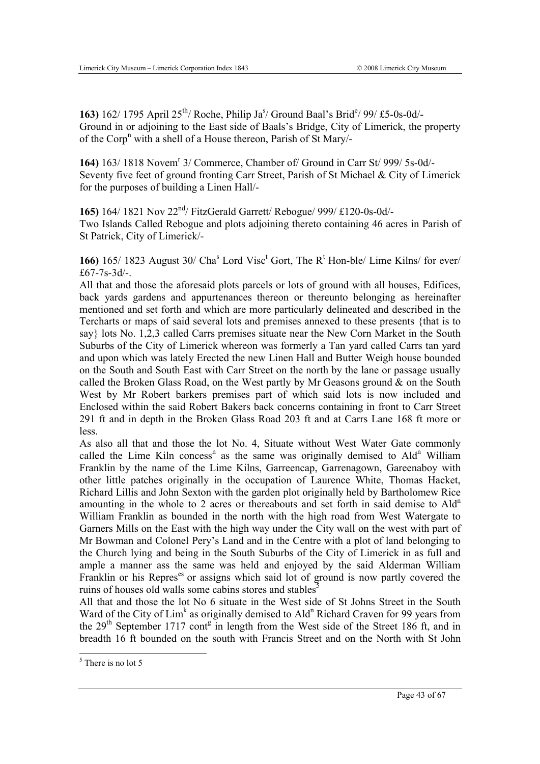163) 162/ 1795 April 25<sup>th</sup>/ Roche, Philip Ja<sup>s</sup>/ Ground Baal's Brid<sup>e</sup>/ 99/ £5-0s-0d/-Ground in or adjoining to the East side of Baals's Bridge, City of Limerick, the property of the Corp<sup>n</sup> with a shell of a House thereon, Parish of St Mary/-

164) 163/ 1818 Novem<sup>r</sup> 3/ Commerce, Chamber of/ Ground in Carr St/ 999/ 5s-0d/-Seventy five feet of ground fronting Carr Street, Parish of St Michael & City of Limerick for the purposes of building a Linen Hall/-

**165)** 164/ 1821 Nov 22nd/ FitzGerald Garrett/ Rebogue/ 999/ £120-0s-0d/- Two Islands Called Rebogue and plots adjoining thereto containing 46 acres in Parish of St Patrick, City of Limerick/-

166)  $165/ 1823$  August  $30/$  Cha<sup>s</sup> Lord Visc<sup>t</sup> Gort, The R<sup>t</sup> Hon-ble/ Lime Kilns/ for ever/ £67-7s-3d/-.

All that and those the aforesaid plots parcels or lots of ground with all houses, Edifices, back yards gardens and appurtenances thereon or thereunto belonging as hereinafter mentioned and set forth and which are more particularly delineated and described in the Tercharts or maps of said several lots and premises annexed to these presents {that is to say} lots No. 1,2,3 called Carrs premises situate near the New Corn Market in the South Suburbs of the City of Limerick whereon was formerly a Tan yard called Carrs tan yard and upon which was lately Erected the new Linen Hall and Butter Weigh house bounded on the South and South East with Carr Street on the north by the lane or passage usually called the Broken Glass Road, on the West partly by Mr Geasons ground  $\&$  on the South West by Mr Robert barkers premises part of which said lots is now included and Enclosed within the said Robert Bakers back concerns containing in front to Carr Street 291 ft and in depth in the Broken Glass Road 203 ft and at Carrs Lane 168 ft more or less.

As also all that and those the lot No. 4, Situate without West Water Gate commonly called the Lime Kiln concess<sup>n</sup> as the same was originally demised to Ald<sup>n</sup> William Franklin by the name of the Lime Kilns, Garreencap, Garrenagown, Gareenaboy with other little patches originally in the occupation of Laurence White, Thomas Hacket, Richard Lillis and John Sexton with the garden plot originally held by Bartholomew Rice amounting in the whole to 2 acres or thereabouts and set forth in said demise to Ald<sup>n</sup> William Franklin as bounded in the north with the high road from West Watergate to Garners Mills on the East with the high way under the City wall on the west with part of Mr Bowman and Colonel Pery's Land and in the Centre with a plot of land belonging to the Church lying and being in the South Suburbs of the City of Limerick in as full and ample a manner ass the same was held and enjoyed by the said Alderman William Franklin or his Repres<sup>es</sup> or assigns which said lot of ground is now partly covered the ruins of houses old walls some cabins stores and stables<sup>5</sup>

All that and those the lot No 6 situate in the West side of St Johns Street in the South Ward of the City of  $Lim<sup>k</sup>$  as originally demised to Ald<sup>n</sup> Richard Craven for 99 years from the  $29<sup>th</sup>$  September 1717 cont<sup>g</sup> in length from the West side of the Street 186 ft, and in breadth 16 ft bounded on the south with Francis Street and on the North with St John

 $\frac{1}{5}$  There is no lot 5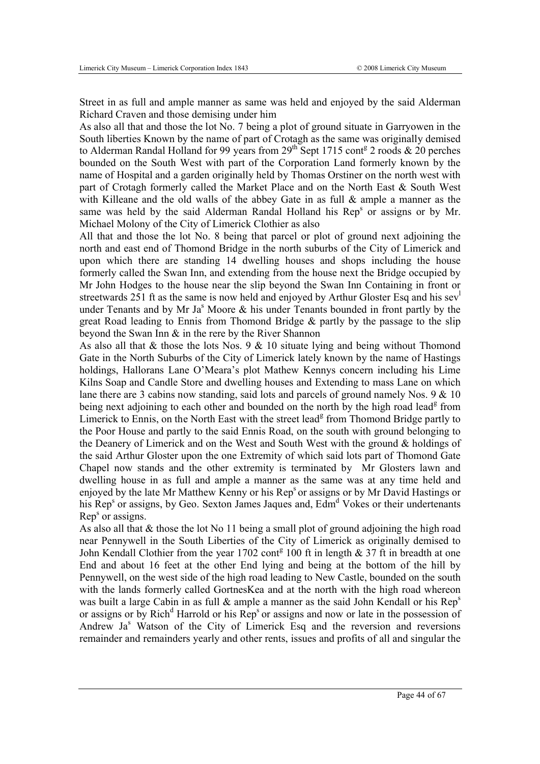Street in as full and ample manner as same was held and enjoyed by the said Alderman Richard Craven and those demising under him

As also all that and those the lot No. 7 being a plot of ground situate in Garryowen in the South liberties Known by the name of part of Crotagh as the same was originally demised to Alderman Randal Holland for 99 years from  $29^{th}$  Sept 1715 cont<sup>g</sup> 2 roods & 20 perches bounded on the South West with part of the Corporation Land formerly known by the name of Hospital and a garden originally held by Thomas Orstiner on the north west with part of Crotagh formerly called the Market Place and on the North East & South West with Killeane and the old walls of the abbey Gate in as full & ample a manner as the same was held by the said Alderman Randal Holland his  $\text{Rep}^s$  or assigns or by Mr. Michael Molony of the City of Limerick Clothier as also

All that and those the lot No. 8 being that parcel or plot of ground next adjoining the north and east end of Thomond Bridge in the north suburbs of the City of Limerick and upon which there are standing 14 dwelling houses and shops including the house formerly called the Swan Inn, and extending from the house next the Bridge occupied by Mr John Hodges to the house near the slip beyond the Swan Inn Containing in front or streetwards 251 ft as the same is now held and enjoyed by Arthur Gloster Esq and his sev under Tenants and by Mr Ja<sup>s</sup> Moore  $\&$  his under Tenants bounded in front partly by the great Road leading to Ennis from Thomond Bridge & partly by the passage to the slip beyond the Swan Inn & in the rere by the River Shannon

As also all that  $\&$  those the lots Nos. 9  $\&$  10 situate lying and being without Thomond Gate in the North Suburbs of the City of Limerick lately known by the name of Hastings holdings, Hallorans Lane O'Meara's plot Mathew Kennys concern including his Lime Kilns Soap and Candle Store and dwelling houses and Extending to mass Lane on which lane there are 3 cabins now standing, said lots and parcels of ground namely Nos. 9 & 10 being next adjoining to each other and bounded on the north by the high road lead<sup>g</sup> from Limerick to Ennis, on the North East with the street lead<sup>g</sup> from Thomond Bridge partly to the Poor House and partly to the said Ennis Road, on the south with ground belonging to the Deanery of Limerick and on the West and South West with the ground & holdings of the said Arthur Gloster upon the one Extremity of which said lots part of Thomond Gate Chapel now stands and the other extremity is terminated by Mr Glosters lawn and dwelling house in as full and ample a manner as the same was at any time held and enjoyed by the late Mr Matthew Kenny or his Rep<sup>s</sup> or assigns or by Mr David Hastings or his Rep<sup>s</sup> or assigns, by Geo. Sexton James Jaques and, Edm<sup>d</sup> Vokes or their undertenants  $Rep<sup>s</sup>$  or assigns.

As also all that & those the lot No 11 being a small plot of ground adjoining the high road near Pennywell in the South Liberties of the City of Limerick as originally demised to John Kendall Clothier from the year 1702 cont<sup>g</sup> 100 ft in length  $& 37$  ft in breadth at one End and about 16 feet at the other End lying and being at the bottom of the hill by Pennywell, on the west side of the high road leading to New Castle, bounded on the south with the lands formerly called GortnesKea and at the north with the high road whereon was built a large Cabin in as full  $\&$  ample a manner as the said John Kendall or his Rep<sup>s</sup> or assigns or by Rich<sup>d</sup> Harrold or his Rep<sup>s</sup> or assigns and now or late in the possession of Andrew Ja<sup>s</sup> Watson of the City of Limerick Esq and the reversion and reversions remainder and remainders yearly and other rents, issues and profits of all and singular the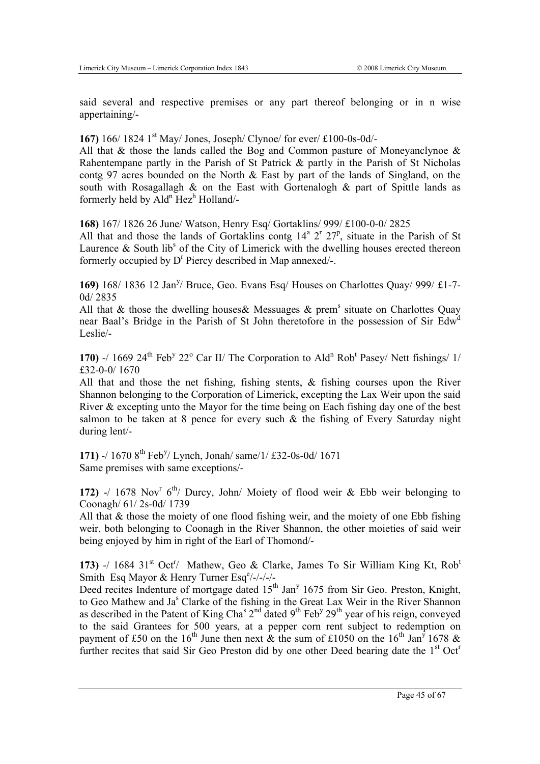said several and respective premises or any part thereof belonging or in n wise appertaining/-

#### **167)** 166/ 1824 1<sup>st</sup> May/ Jones, Joseph/ Clynoe/ for ever/ £100-0s-0d/-

All that  $\&$  those the lands called the Bog and Common pasture of Moneyanclynoe  $\&$ Rahentempane partly in the Parish of St Patrick & partly in the Parish of St Nicholas contg 97 acres bounded on the North & East by part of the lands of Singland, on the south with Rosagallagh  $\&$  on the East with Gortenalogh  $\&$  part of Spittle lands as formerly held by Ald<sup>n</sup> Hez<sup>h</sup> Holland/-

**168)** 167/ 1826 26 June/ Watson, Henry Esq/ Gortaklins/ 999/ £100-0-0/ 2825

All that and those the lands of Gortaklins contg  $14^a$   $2^r$   $27^p$ , situate in the Parish of St Laurence  $\&$  South lib<sup>s</sup> of the City of Limerick with the dwelling houses erected thereon formerly occupied by D<sup>r</sup> Piercy described in Map annexed/-.

169) 168/ 1836 12 Jan<sup>y</sup>/ Bruce, Geo. Evans Esq/ Houses on Charlottes Quay/ 999/ £1-7-0d/ 2835

All that  $\&$  those the dwelling houses  $\&$  Messuages  $\&$  prem<sup>s</sup> situate on Charlottes Quay near Baal's Bridge in the Parish of St John theretofore in the possession of Sir Edw<sup>a</sup> Leslie/-

170) -/ 1669  $24<sup>th</sup>$  Feb<sup>y</sup> 22<sup>o</sup> Car II/ The Corporation to Ald<sup>n</sup> Rob<sup>t</sup> Pasey/ Nett fishings/ 1/ £32-0-0/ 1670

All that and those the net fishing, fishing stents, & fishing courses upon the River Shannon belonging to the Corporation of Limerick, excepting the Lax Weir upon the said River & excepting unto the Mayor for the time being on Each fishing day one of the best salmon to be taken at 8 pence for every such  $\&$  the fishing of Every Saturday night during lent/-

171) -/ 1670 8<sup>th</sup> Feb<sup>y</sup>/ Lynch, Jonah/ same/1/ £32-0s-0d/ 1671 Same premises with same exceptions/-

172) -/ 1678 Nov<sup>r</sup>  $6<sup>th</sup>$ / Durcy, John/ Moiety of flood weir & Ebb weir belonging to Coonagh/ 61/ 2s-0d/ 1739

All that & those the moiety of one flood fishing weir, and the moiety of one Ebb fishing weir, both belonging to Coonagh in the River Shannon, the other moieties of said weir being enjoyed by him in right of the Earl of Thomond/-

173) -/ 1684 31<sup>st</sup> Oct<sup>r</sup>/ Mathew, Geo & Clarke, James To Sir William King Kt, Rob<sup>t</sup> Smith Esq Mayor & Henry Turner Esqe/-/-/-/-

Deed recites Indenture of mortgage dated  $15<sup>th</sup>$  Jan<sup>y</sup> 1675 from Sir Geo. Preston, Knight, to Geo Mathew and Ja<sup>s</sup> Clarke of the fishing in the Great Lax Weir in the River Shannon as described in the Patent of King Cha<sup>s 2nd</sup> dated 9<sup>th</sup> Feb<sup>y</sup> 29<sup>th</sup> year of his reign, conveyed to the said Grantees for 500 years, at a pepper corn rent subject to redemption on payment of £50 on the 16<sup>th</sup> June then next  $\&$  the sum of £1050 on the 16<sup>th</sup> Jan<sup>y</sup> 1678  $\&$ further recites that said Sir Geo Preston did by one other Deed bearing date the  $1<sup>st</sup> Oct<sup>r</sup>$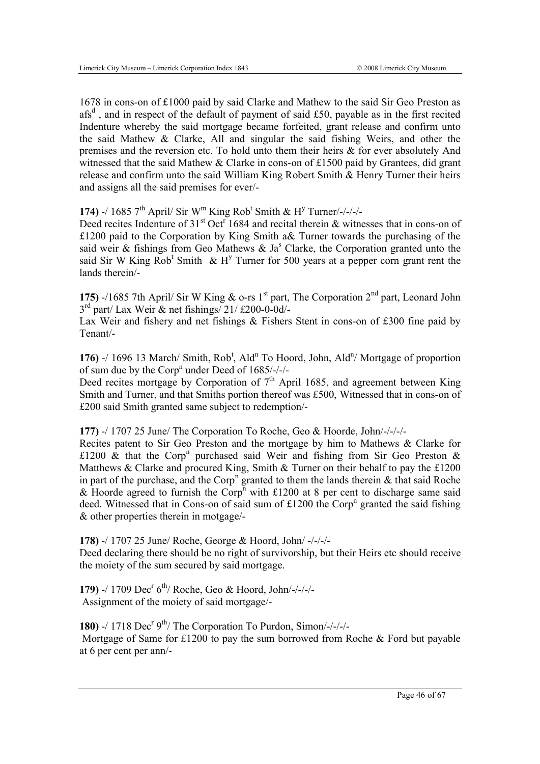1678 in cons-on of £1000 paid by said Clarke and Mathew to the said Sir Geo Preston as afs<sup>d</sup>, and in respect of the default of payment of said £50, payable as in the first recited Indenture whereby the said mortgage became forfeited, grant release and confirm unto the said Mathew & Clarke, All and singular the said fishing Weirs, and other the premises and the reversion etc. To hold unto them their heirs & for ever absolutely And witnessed that the said Mathew & Clarke in cons-on of £1500 paid by Grantees, did grant release and confirm unto the said William King Robert Smith & Henry Turner their heirs and assigns all the said premises for ever/-

174) -/ 1685  $7<sup>th</sup>$  April/ Sir W<sup>m</sup> King Rob<sup>t</sup> Smith & H<sup>y</sup> Turner/-/-/-/-

Deed recites Indenture of  $31<sup>st</sup>$  Oct<sup>r</sup> 1684 and recital therein & witnesses that in cons-on of £1200 paid to the Corporation by King Smith a& Turner towards the purchasing of the said weir & fishings from Geo Mathews & Ja<sup>s</sup> Clarke, the Corporation granted unto the said Sir W King  $Rob<sup>t</sup>$  Smith & H<sup>y</sup> Turner for 500 years at a pepper corn grant rent the lands therein/-

**175)** -/1685 7th April/ Sir W King  $\&$  o-rs 1<sup>st</sup> part, The Corporation 2<sup>nd</sup> part, Leonard John  $3<sup>rd</sup>$  part/ Lax Weir & net fishings/ 21/ £200-0-0d/-

Lax Weir and fishery and net fishings & Fishers Stent in cons-on of £300 fine paid by Tenant/-

176)  $-$ / 1696 13 March/ Smith, Rob<sup>t</sup>, Ald<sup>n</sup> To Hoord, John, Ald<sup>n</sup>/ Mortgage of proportion of sum due by the Corp<sup>n</sup> under Deed of  $1685/-/$ 

Deed recites mortgage by Corporation of  $7<sup>th</sup>$  April 1685, and agreement between King Smith and Turner, and that Smiths portion thereof was £500, Witnessed that in cons-on of £200 said Smith granted same subject to redemption/-

**177)** -/ 1707 25 June/ The Corporation To Roche, Geo & Hoorde, John/-/-/-/-

Recites patent to Sir Geo Preston and the mortgage by him to Mathews & Clarke for £1200  $\&$  that the Corp<sup>n</sup> purchased said Weir and fishing from Sir Geo Preston  $\&$ Matthews & Clarke and procured King, Smith & Turner on their behalf to pay the £1200 in part of the purchase, and the Corp<sup>n</sup> granted to them the lands therein  $\&$  that said Roche & Hoorde agreed to furnish the Corp<sup>n</sup> with £1200 at 8 per cent to discharge same said deed. Witnessed that in Cons-on of said sum of  $£1200$  the Corp<sup>n</sup> granted the said fishing & other properties therein in motgage/-

**178)** -/ 1707 25 June/ Roche, George & Hoord, John/ -/-/-/- Deed declaring there should be no right of survivorship, but their Heirs etc should receive the moiety of the sum secured by said mortgage.

**179)** -/ 1709 Dec<sup>r</sup> 6<sup>th</sup>/ Roche, Geo & Hoord, John/-/-/-/-Assignment of the moiety of said mortgage/-

180) -/ 1718 Dec<sup>r  $9<sup>th</sup>$ / The Corporation To Purdon, Simon/-/-/-/-</sup> Mortgage of Same for £1200 to pay the sum borrowed from Roche & Ford but payable at 6 per cent per ann/-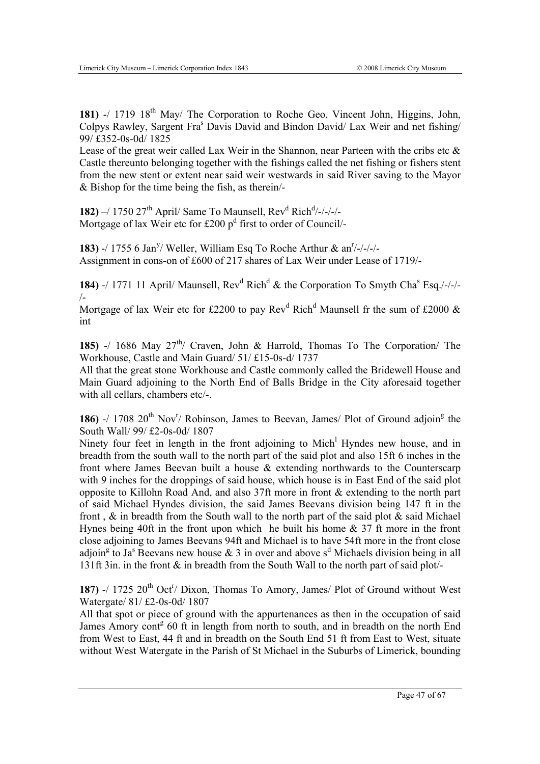**181)** -/ 1719 18<sup>th</sup> May/ The Corporation to Roche Geo, Vincent John, Higgins, John, Colpys Rawley, Sargent Fra<sup>s</sup> Davis David and Bindon David/ Lax Weir and net fishing/ 99/ £352-0s-0d/ 1825

Lease of the great weir called Lax Weir in the Shannon, near Parteen with the cribs etc  $\&$ Castle thereunto belonging together with the fishings called the net fishing or fishers stent from the new stent or extent near said weir westwards in said River saving to the Mayor & Bishop for the time being the fish, as therein/-

**182)** –/ 1750 27<sup>th</sup> April/ Same To Maunsell, Rev<sup>d</sup> Rich<sup>d</sup>/-/-/-/-Mortgage of lax Weir etc for £200  $p<sup>d</sup>$  first to order of Council/-

**183)** -/ 1755 6 Jan<sup>y</sup>/ Weller, William Esq To Roche Arthur & an<sup>r</sup>/-/-/-/-Assignment in cons-on of £600 of 217 shares of Lax Weir under Lease of 1719/-

**184)** -/ 1771 11 April/ Maunsell, Rev<sup>d</sup> Rich<sup>d</sup> & the Corporation To Smyth Cha<sup>s</sup> Esq./-/-/-/-

Mortgage of lax Weir etc for £2200 to pay Rev<sup>d</sup> Rich<sup>d</sup> Maunsell fr the sum of £2000  $\&$ int

**185)** -/ 1686 May  $27<sup>th</sup>$  Craven, John & Harrold, Thomas To The Corporation The Workhouse, Castle and Main Guard/ 51/ £15-0s-d/ 1737

All that the great stone Workhouse and Castle commonly called the Bridewell House and Main Guard adjoining to the North End of Balls Bridge in the City aforesaid together with all cellars, chambers etc/-.

186)  $-$ / 1708 20<sup>th</sup> Nov<sup>r</sup>/ Robinson, James to Beevan, James/ Plot of Ground adjoin<sup>g</sup> the South Wall/ 99/ £2-0s-0d/ 1807

Ninety four feet in length in the front adjoining to Mich<sup>1</sup> Hyndes new house, and in breadth from the south wall to the north part of the said plot and also 15ft 6 inches in the front where James Beevan built a house & extending northwards to the Counterscarp with 9 inches for the droppings of said house, which house is in East End of the said plot opposite to Killohn Road And, and also 37ft more in front & extending to the north part of said Michael Hyndes division, the said James Beevans division being 147 ft in the front ,  $\&$  in breadth from the South wall to the north part of the said plot  $\&$  said Michael Hynes being 40ft in the front upon which he built his home & 37 ft more in the front close adjoining to James Beevans 94ft and Michael is to have 54ft more in the front close adjoin<sup>g</sup> to Ja<sup>s</sup> Beevans new house & 3 in over and above s<sup>d</sup> Michaels division being in all 131ft 3in. in the front & in breadth from the South Wall to the north part of said plot/-

187) -/ 1725  $20^{th}$  Oct<sup>r</sup>/ Dixon, Thomas To Amory, James/ Plot of Ground without West Watergate/ 81/ £2-0s-0d/ 1807

All that spot or piece of ground with the appurtenances as then in the occupation of said James Amory cont<sup>g</sup> 60 ft in length from north to south, and in breadth on the north End from West to East, 44 ft and in breadth on the South End 51 ft from East to West, situate without West Watergate in the Parish of St Michael in the Suburbs of Limerick, bounding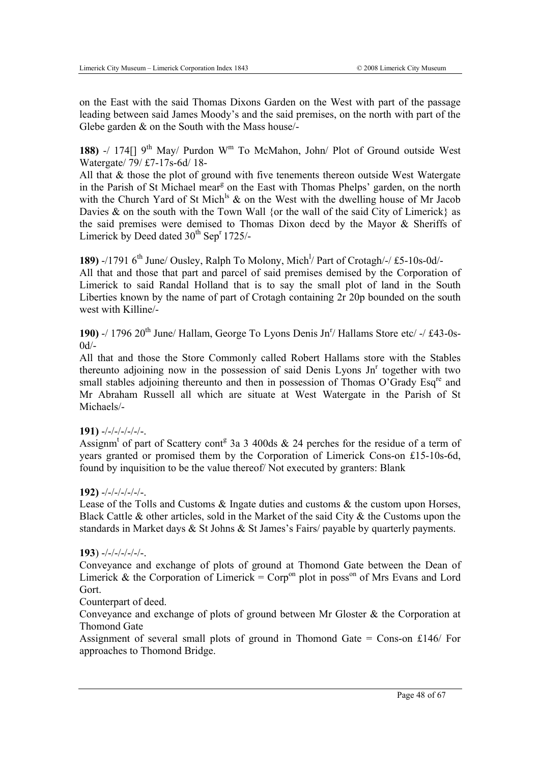on the East with the said Thomas Dixons Garden on the West with part of the passage leading between said James Moody's and the said premises, on the north with part of the Glebe garden & on the South with the Mass house/-

**188)** -/ 174 $\lceil$  9<sup>th</sup> May/ Purdon W<sup>m</sup> To McMahon, John/ Plot of Ground outside West Watergate/ 79/ £7-17s-6d/ 18-

All that & those the plot of ground with five tenements thereon outside West Watergate in the Parish of St Michael mear<sup>g</sup> on the East with Thomas Phelps' garden, on the north with the Church Yard of St Mich<sup>ls</sup>  $\&$  on the West with the dwelling house of Mr Jacob Davies  $\&$  on the south with the Town Wall {or the wall of the said City of Limerick} as the said premises were demised to Thomas Dixon decd by the Mayor & Sheriffs of Limerick by Deed dated  $30<sup>th</sup>$  Sep<sup>r</sup> 1725/-

189) -/1791 6<sup>th</sup> June/ Ousley, Ralph To Molony, Mich<sup>1</sup>/ Part of Crotagh/-/ £5-10s-0d/-All that and those that part and parcel of said premises demised by the Corporation of Limerick to said Randal Holland that is to say the small plot of land in the South Liberties known by the name of part of Crotagh containing 2r 20p bounded on the south west with Killine/-

190) -/ 1796 20<sup>th</sup> June/ Hallam, George To Lyons Denis Jn<sup>r</sup>/ Hallams Store etc/ -/ £43-0s- $0d/-$ 

All that and those the Store Commonly called Robert Hallams store with the Stables thereunto adjoining now in the possession of said Denis Lyons  $Jn<sup>r</sup>$  together with two small stables adjoining thereunto and then in possession of Thomas O'Grady Esq<sup>re</sup> and Mr Abraham Russell all which are situate at West Watergate in the Parish of St Michaels/-

#### **191)** -/-/-/-/-/-/-.

Assignm<sup>t</sup> of part of Scattery cont<sup>g</sup> 3a 3 400ds & 24 perches for the residue of a term of years granted or promised them by the Corporation of Limerick Cons-on £15-10s-6d, found by inquisition to be the value thereof/ Not executed by granters: Blank

#### **192)** -/-/-/-/-/-/-.

Lease of the Tolls and Customs  $\&$  Ingate duties and customs  $\&$  the custom upon Horses, Black Cattle & other articles, sold in the Market of the said City & the Customs upon the standards in Market days & St Johns & St James's Fairs/ payable by quarterly payments.

#### **193**) -/-/-/-/-/-/-.

Conveyance and exchange of plots of ground at Thomond Gate between the Dean of Limerick & the Corporation of Limerick =  $\text{Corp}^{\text{on}}$  plot in poss<sup>on</sup> of Mrs Evans and Lord Gort.

#### Counterpart of deed.

Conveyance and exchange of plots of ground between Mr Gloster & the Corporation at Thomond Gate

Assignment of several small plots of ground in Thomond Gate  $=$  Cons-on £146/ For approaches to Thomond Bridge.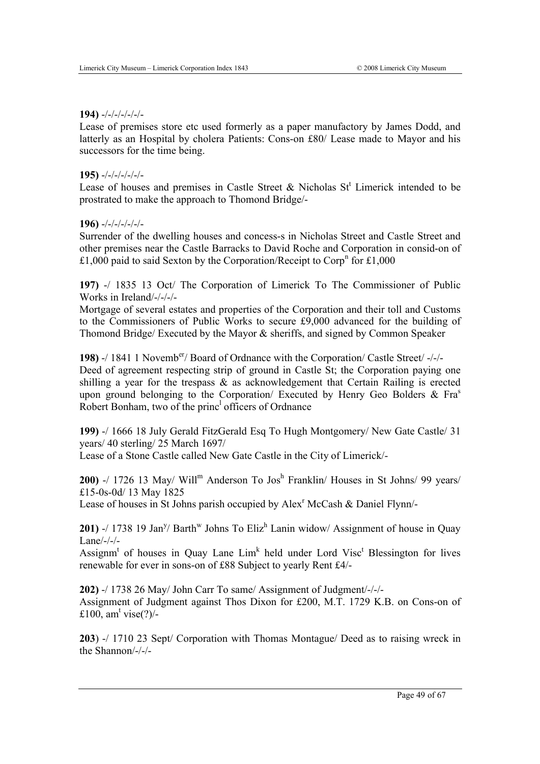#### **194)** -/-/-/-/-/-/-

Lease of premises store etc used formerly as a paper manufactory by James Dodd, and latterly as an Hospital by cholera Patients: Cons-on £80/ Lease made to Mayor and his successors for the time being.

#### **195)** -/-/-/-/-/-/-

Lease of houses and premises in Castle Street  $\&$  Nicholas St<sup>t</sup> Limerick intended to be prostrated to make the approach to Thomond Bridge/-

#### **196)** -/-/-/-/-/-/-

Surrender of the dwelling houses and concess-s in Nicholas Street and Castle Street and other premises near the Castle Barracks to David Roche and Corporation in consid-on of £1,000 paid to said Sexton by the Corporation/Receipt to Corp<sup>n</sup> for £1,000

**197)** -/ 1835 13 Oct/ The Corporation of Limerick To The Commissioner of Public Works in Ireland/-/-/-/-

Mortgage of several estates and properties of the Corporation and their toll and Customs to the Commissioners of Public Works to secure £9,000 advanced for the building of Thomond Bridge/ Executed by the Mayor & sheriffs, and signed by Common Speaker

**198)** -/ 1841 1 Novemb<sup>er</sup>/ Board of Ordnance with the Corporation/ Castle Street/ -/-Deed of agreement respecting strip of ground in Castle St; the Corporation paying one shilling a year for the trespass & as acknowledgement that Certain Railing is erected upon ground belonging to the Corporation/ Executed by Henry Geo Bolders  $\&$  Fra<sup>s</sup> Robert Bonham, two of the princ<sup>1</sup> officers of Ordnance

**199)** -/ 1666 18 July Gerald FitzGerald Esq To Hugh Montgomery/ New Gate Castle/ 31 years/ 40 sterling/ 25 March 1697/

Lease of a Stone Castle called New Gate Castle in the City of Limerick/-

**200)** -/ 1726 13 May/ Will<sup>m</sup> Anderson To Jos<sup>h</sup> Franklin/ Houses in St Johns/ 99 years/ £15-0s-0d/ 13 May 1825

Lease of houses in St Johns parish occupied by Alex<sup>r</sup> McCash & Daniel Flynn/-

**201)** -/ 1738 19 Jan<sup>y</sup>/ Barth<sup>w</sup> Johns To Eliz<sup>h</sup> Lanin widow/ Assignment of house in Quay Lane/-/-/-

Assignm<sup>t</sup> of houses in Quay Lane  $Lim<sup>k</sup>$  held under Lord Visc<sup>t</sup> Blessington for lives renewable for ever in sons-on of £88 Subject to yearly Rent £4/-

**202)** -/ 1738 26 May/ John Carr To same/ Assignment of Judgment/-/-/- Assignment of Judgment against Thos Dixon for £200, M.T. 1729 K.B. on Cons-on of £100, am<sup>t</sup> vise $(?)/$ -

**203**) -/ 1710 23 Sept/ Corporation with Thomas Montague/ Deed as to raising wreck in the Shannon/-/-/-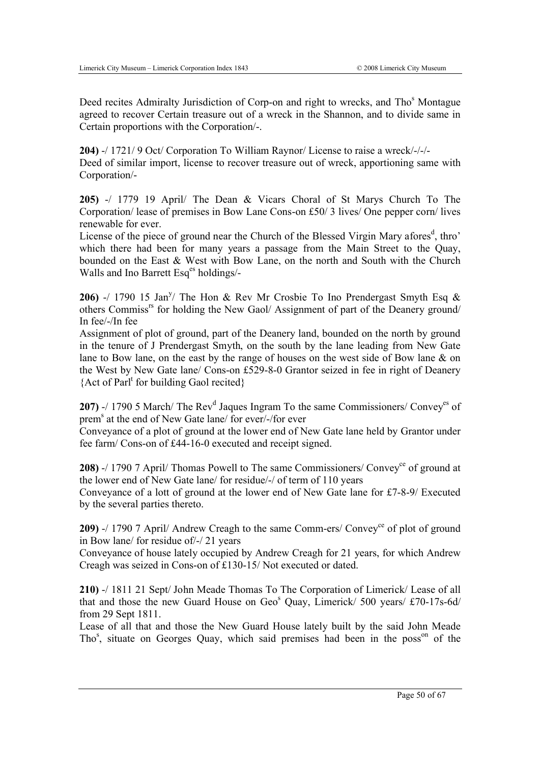Deed recites Admiralty Jurisdiction of Corp-on and right to wrecks, and Tho<sup>s</sup> Montague agreed to recover Certain treasure out of a wreck in the Shannon, and to divide same in Certain proportions with the Corporation/-.

**204)** -/ 1721/ 9 Oct/ Corporation To William Raynor/ License to raise a wreck/-/-/- Deed of similar import, license to recover treasure out of wreck, apportioning same with Corporation/-

**205)** -/ 1779 19 April/ The Dean & Vicars Choral of St Marys Church To The Corporation/ lease of premises in Bow Lane Cons-on £50/ 3 lives/ One pepper corn/ lives renewable for ever.

License of the piece of ground near the Church of the Blessed Virgin Mary afores<sup>d</sup>, thro' which there had been for many years a passage from the Main Street to the Quay, bounded on the East & West with Bow Lane, on the north and South with the Church Walls and Ino Barrett Esq<sup>es</sup> holdings/-

**206)** -/ 1790 15 Jan<sup>y</sup>/ The Hon & Rev Mr Crosbie To Ino Prendergast Smyth Esq & others Commiss<sup>rs</sup> for holding the New Gaol/ Assignment of part of the Deanery ground/ In fee/-/In fee

Assignment of plot of ground, part of the Deanery land, bounded on the north by ground in the tenure of J Prendergast Smyth, on the south by the lane leading from New Gate lane to Bow lane, on the east by the range of houses on the west side of Bow lane & on the West by New Gate lane/ Cons-on £529-8-0 Grantor seized in fee in right of Deanery {Act of Parlt for building Gaol recited}

207) -/ 1790 5 March/ The Rev<sup>d</sup> Jaques Ingram To the same Commissioners/ Convey<sup>es</sup> of prem<sup>s</sup> at the end of New Gate lane/ for ever/-/for ever

Conveyance of a plot of ground at the lower end of New Gate lane held by Grantor under fee farm/ Cons-on of £44-16-0 executed and receipt signed.

**208)** -/ 1790 7 April/ Thomas Powell to The same Commissioners/ Convey<sup>ce</sup> of ground at the lower end of New Gate lane/ for residue/-/ of term of 110 years Conveyance of a lott of ground at the lower end of New Gate lane for £7-8-9/ Executed

by the several parties thereto.

**209)** -/ 1790 7 April/ Andrew Creagh to the same Comm-ers/ Convey<sup>ce</sup> of plot of ground in Bow lane/ for residue of/-/ 21 years

Conveyance of house lately occupied by Andrew Creagh for 21 years, for which Andrew Creagh was seized in Cons-on of £130-15/ Not executed or dated.

**210)** -/ 1811 21 Sept/ John Meade Thomas To The Corporation of Limerick/ Lease of all that and those the new Guard House on Geo<sup>s</sup> Quay, Limerick/ 500 years/  $\text{\textsterling}70\text{-}17\text{s-}6d/$ from 29 Sept 1811.

Lease of all that and those the New Guard House lately built by the said John Meade Tho<sup>s</sup>, situate on Georges Quay, which said premises had been in the poss<sup>on</sup> of the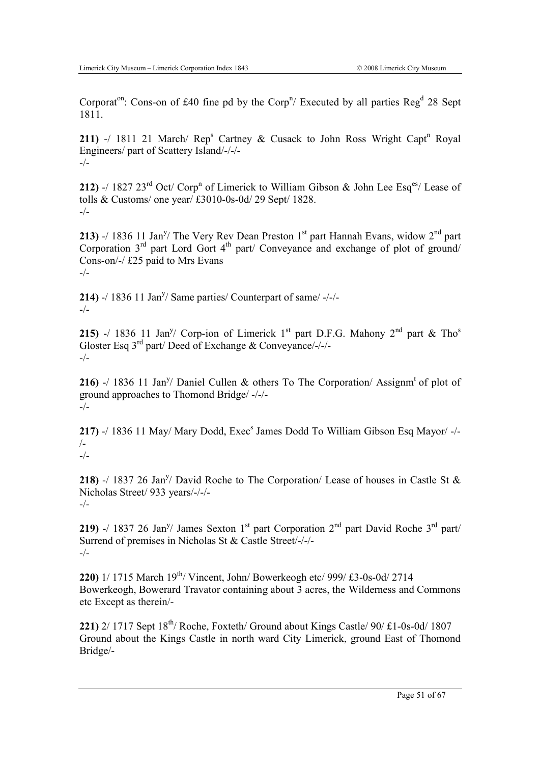Corporat<sup>on</sup>: Cons-on of £40 fine pd by the Corp<sup>n</sup>/ Executed by all parties  $\text{Reg}^d$  28 Sept 1811.

211) -/ 1811 21 March/  $\text{Rep}^s$  Cartney & Cusack to John Ross Wright Capt<sup>n</sup> Royal Engineers/ part of Scattery Island/-/-/- -/-

**212)** -/ 1827 23<sup>rd</sup> Oct/ Corp<sup>n</sup> of Limerick to William Gibson & John Lee Esq<sup>es</sup>/ Lease of tolls & Customs/ one year/ £3010-0s-0d/ 29 Sept/ 1828.  $-/-$ 

**213)** -/ 1836 11 Jan<sup>y</sup>/ The Very Rev Dean Preston 1<sup>st</sup> part Hannah Evans, widow  $2^{nd}$  part Corporation  $3<sup>rd</sup>$  part Lord Gort  $4<sup>th</sup>$  part/ Conveyance and exchange of plot of ground/ Cons-on/-/ £25 paid to Mrs Evans  $-/-$ 

**214)** -/ 1836 11 Jan<sup>y</sup>/ Same parties/ Counterpart of same/ -/-/--/-

**215)** -/ 1836 11 Jan<sup>y</sup>/ Corp-ion of Limerick 1<sup>st</sup> part D.F.G. Mahony 2<sup>nd</sup> part & Tho<sup>s</sup> Gloster Esq 3rd part/ Deed of Exchange & Conveyance/-/-/-  $-/-$ 

**216)** -/ 1836 11 Jan<sup>y</sup>/ Daniel Cullen & others To The Corporation/ Assignm<sup>t</sup> of plot of ground approaches to Thomond Bridge/ -/-/- -/-

217) -/ 1836 11 May/ Mary Dodd, Exec<sup>s</sup> James Dodd To William Gibson Esq Mayor/ -/-/-  $-/-$ 

**218)** -/ 1837 26 Jan<sup>y</sup>/ David Roche to The Corporation/ Lease of houses in Castle St  $\&$ Nicholas Street/ 933 years/-/-/- -/-

**219)** -/ 1837 26 Jan<sup>y</sup>/ James Sexton 1<sup>st</sup> part Corporation 2<sup>nd</sup> part David Roche 3<sup>rd</sup> part/ Surrend of premises in Nicholas St & Castle Street/-/-/- -/-

**220)** 1/ 1715 March 19th/ Vincent, John/ Bowerkeogh etc/ 999/ £3-0s-0d/ 2714 Bowerkeogh, Bowerard Travator containing about 3 acres, the Wilderness and Commons etc Except as therein/-

**221)**  $2/1717$  Sept  $18^{th}$ / Roche, Foxteth/ Ground about Kings Castle/  $90/$  £1-0s-0d/ 1807 Ground about the Kings Castle in north ward City Limerick, ground East of Thomond Bridge/-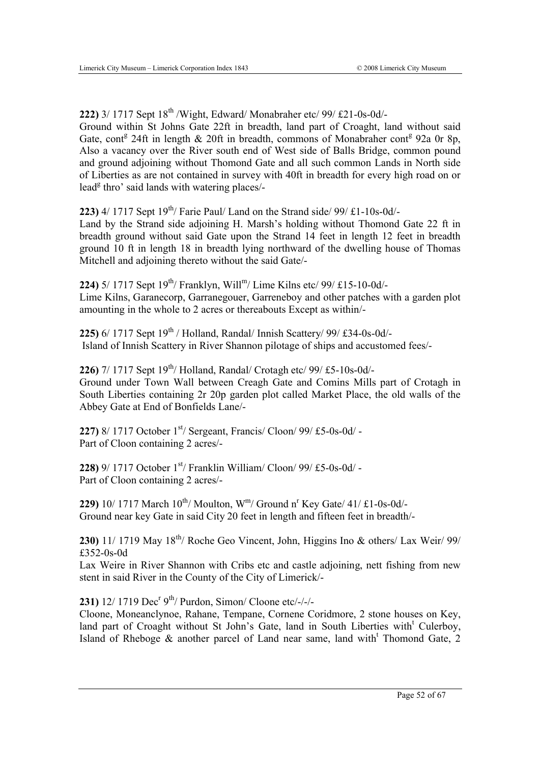**222)** 3/ 1717 Sept 18th /Wight, Edward/ Monabraher etc/ 99/ £21-0s-0d/- Ground within St Johns Gate 22ft in breadth, land part of Croaght, land without said Gate, cont<sup>g</sup> 24ft in length & 20ft in breadth, commons of Monabraher cont<sup>g</sup> 92a 0r 8p, Also a vacancy over the River south end of West side of Balls Bridge, common pound and ground adjoining without Thomond Gate and all such common Lands in North side of Liberties as are not contained in survey with 40ft in breadth for every high road on or lead<sup>g</sup> thro' said lands with watering places/-

**223)** 4/ 1717 Sept  $19^{th}$  Farie Paul/ Land on the Strand side/  $99/ \text{\textsterling}1 - 10\text{\textsterling}0$ d/-Land by the Strand side adjoining H. Marsh's holding without Thomond Gate 22 ft in breadth ground without said Gate upon the Strand 14 feet in length 12 feet in breadth ground 10 ft in length 18 in breadth lying northward of the dwelling house of Thomas Mitchell and adjoining thereto without the said Gate/-

**224)**  $5/1717$  Sept  $19^{th}$ / Franklyn, Will<sup>m</sup>/ Lime Kilns etc/ 99/ £15-10-0d/-Lime Kilns, Garanecorp, Garranegouer, Garreneboy and other patches with a garden plot amounting in the whole to 2 acres or thereabouts Except as within/-

**225)** 6/ 1717 Sept 19<sup>th</sup> / Holland, Randal/ Innish Scattery/ 99/ £34-0s-0d/-Island of Innish Scattery in River Shannon pilotage of ships and accustomed fees/-

**226)** 7/ 1717 Sept 19<sup>th</sup>/ Holland, Randal/ Crotagh etc/ 99/ £5-10s-0d/-Ground under Town Wall between Creagh Gate and Comins Mills part of Crotagh in South Liberties containing 2r 20p garden plot called Market Place, the old walls of the Abbey Gate at End of Bonfields Lane/-

**227)** 8/ 1717 October 1<sup>st</sup>/ Sergeant, Francis/ Cloon/ 99/ £5-0s-0d/ -Part of Cloon containing 2 acres/-

**228)** 9/ 1717 October 1<sup>st</sup>/ Franklin William/ Cloon/ 99/ £5-0s-0d/ -Part of Cloon containing 2 acres/-

**229)** 10/ 1717 March  $10^{th}$ / Moulton, W<sup>m</sup>/ Ground n<sup>r</sup> Key Gate/ 41/ £1-0s-0d/-Ground near key Gate in said City 20 feet in length and fifteen feet in breadth/-

**230)** 11/ 1719 May 18th/ Roche Geo Vincent, John, Higgins Ino & others/ Lax Weir/ 99/ £352-0s-0d

Lax Weire in River Shannon with Cribs etc and castle adjoining, nett fishing from new stent in said River in the County of the City of Limerick/-

**231)** 12/ 1719 Dec<sup>r</sup> 9<sup>th</sup>/ Purdon, Simon/ Cloone etc/-/-/-

Cloone, Moneanclynoe, Rahane, Tempane, Cornene Coridmore, 2 stone houses on Key, land part of Croaght without St John's Gate, land in South Liberties with<sup>t</sup> Culerboy, Island of Rheboge & another parcel of Land near same, land with<sup>t</sup> Thomond Gate, 2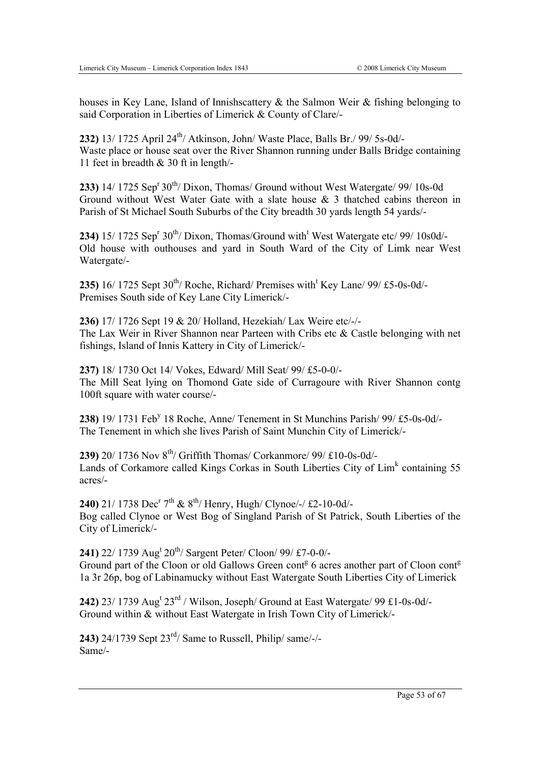houses in Key Lane, Island of Innishscattery & the Salmon Weir & fishing belonging to said Corporation in Liberties of Limerick & County of Clare/-

**232)** 13/ 1725 April 24th/ Atkinson, John/ Waste Place, Balls Br./ 99/ 5s-0d/- Waste place or house seat over the River Shannon running under Balls Bridge containing 11 feet in breadth & 30 ft in length/-

**233)** 14/ 1725 Sep<sup>r</sup> 30<sup>th</sup>/ Dixon, Thomas/ Ground without West Watergate/ 99/ 10s-0d Ground without West Water Gate with a slate house & 3 thatched cabins thereon in Parish of St Michael South Suburbs of the City breadth 30 yards length 54 yards/-

**234)** 15/ 1725 Sep<sup>r</sup>  $30^{th}$ / Dixon, Thomas/Ground with<sup>t</sup> West Watergate etc/ 99/ 10s0d/-Old house with outhouses and yard in South Ward of the City of Limk near West Watergate/-

235)  $16/1725$  Sept  $30^{th}$ / Roche, Richard/ Premises with<sup>t</sup> Key Lane/  $99/$  £5-0s-0d/-Premises South side of Key Lane City Limerick/-

**236)** 17/ 1726 Sept 19 & 20/ Holland, Hezekiah/ Lax Weire etc/-/- The Lax Weir in River Shannon near Parteen with Cribs etc & Castle belonging with net fishings, Island of Innis Kattery in City of Limerick/-

**237)** 18/ 1730 Oct 14/ Vokes, Edward/ Mill Seat/ 99/ £5-0-0/- The Mill Seat lying on Thomond Gate side of Curragoure with River Shannon contg 100ft square with water course/-

238) 19/ 1731 Feb<sup>y</sup> 18 Roche, Anne/ Tenement in St Munchins Parish/ 99/ £5-0s-0d/-The Tenement in which she lives Parish of Saint Munchin City of Limerick/-

**239)** 20/ 1736 Nov 8th/ Griffith Thomas/ Corkanmore/ 99/ £10-0s-0d/- Lands of Corkamore called Kings Corkas in South Liberties City of  $\text{Lim}^k$  containing 55 acres/-

**240)** 21/ 1738 Dec<sup>r</sup> 7<sup>th</sup> & 8<sup>th</sup>/ Henry, Hugh/ Clynoe/-/ £2-10-0d/-Bog called Clynoe or West Bog of Singland Parish of St Patrick, South Liberties of the City of Limerick/-

241) 22/ 1739 Aug<sup>t</sup> 20<sup>th</sup>/ Sargent Peter/ Cloon/ 99/ £7-0-0/-Ground part of the Cloon or old Gallows Green cont<sup>g</sup> 6 acres another part of Cloon cont<sup>g</sup> 1a 3r 26p, bog of Labinamucky without East Watergate South Liberties City of Limerick

**242)** 23/ 1739 Aug<sup>t</sup> 23<sup>rd</sup> / Wilson, Joseph/ Ground at East Watergate/ 99 £1-0s-0d/-Ground within & without East Watergate in Irish Town City of Limerick/-

**243)** 24/1739 Sept 23rd/ Same to Russell, Philip/ same/-/- Same/-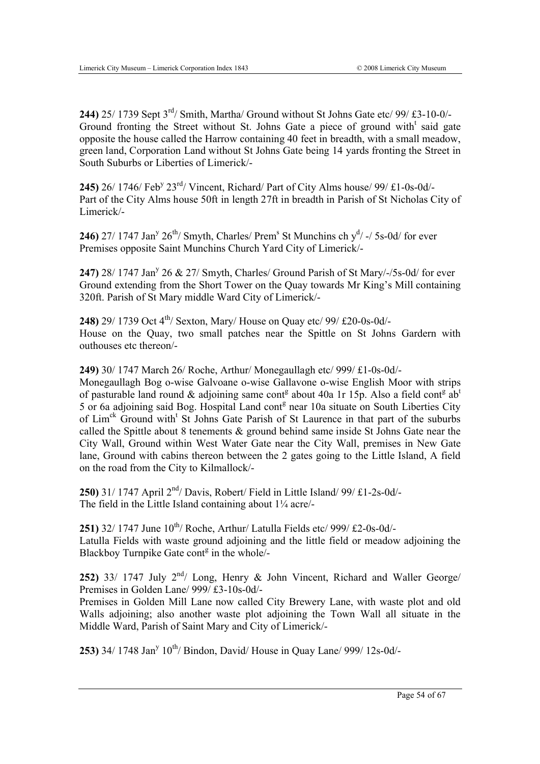**244)** 25/ 1739 Sept 3rd/ Smith, Martha/ Ground without St Johns Gate etc/ 99/ £3-10-0/- Ground fronting the Street without St. Johns Gate a piece of ground with<sup>t</sup> said gate opposite the house called the Harrow containing 40 feet in breadth, with a small meadow, green land, Corporation Land without St Johns Gate being 14 yards fronting the Street in South Suburbs or Liberties of Limerick/-

245) 26/ 1746/ Feb<sup>y</sup> 23<sup>rd</sup>/ Vincent, Richard/ Part of City Alms house/ 99/ £1-0s-0d/-Part of the City Alms house 50ft in length 27ft in breadth in Parish of St Nicholas City of Limerick/-

**246)** 27/ 1747 Jan<sup>y</sup> 26<sup>th</sup>/ Smyth, Charles/ Prem<sup>s</sup> St Munchins ch  $y<sup>d</sup>$  -/ 5s-0d/ for ever Premises opposite Saint Munchins Church Yard City of Limerick/-

247) 28/ 1747 Jan<sup>y</sup> 26 & 27/ Smyth, Charles/ Ground Parish of St Mary/-/5s-0d/ for ever Ground extending from the Short Tower on the Quay towards Mr King's Mill containing 320ft. Parish of St Mary middle Ward City of Limerick/-

**248)** 29/ 1739 Oct 4<sup>th</sup>/ Sexton, Mary/ House on Quay etc/ 99/ £20-0s-0d/-House on the Quay, two small patches near the Spittle on St Johns Gardern with outhouses etc thereon/-

**249)** 30/ 1747 March 26/ Roche, Arthur/ Monegaullagh etc/ 999/ £1-0s-0d/-

Monegaullagh Bog o-wise Galvoane o-wise Gallavone o-wise English Moor with strips of pasturable land round & adjoining same cont<sup>g</sup> about 40a 1r 15p. Also a field cont<sup>g</sup> ab<sup>t</sup> 5 or 6a adjoining said Bog. Hospital Land cont<sup>g</sup> near 10a situate on South Liberties City of Lim<sup>ck</sup> Ground with<sup>t</sup> St Johns Gate Parish of St Laurence in that part of the suburbs called the Spittle about 8 tenements & ground behind same inside St Johns Gate near the City Wall, Ground within West Water Gate near the City Wall, premises in New Gate lane, Ground with cabins thereon between the 2 gates going to the Little Island, A field on the road from the City to Kilmallock/-

**250)** 31/ 1747 April 2nd/ Davis, Robert/ Field in Little Island/ 99/ £1-2s-0d/- The field in the Little Island containing about  $1\frac{1}{4}$  acre/-

**251)** 32/ 1747 June  $10^{th}$ / Roche, Arthur/ Latulla Fields etc/ 999/ £2-0s-0d/-Latulla Fields with waste ground adjoining and the little field or meadow adjoining the Blackboy Turnpike Gate cont<sup>g</sup> in the whole/-

**252)** 33/ 1747 July  $2^{nd}$ / Long, Henry & John Vincent, Richard and Waller George/ Premises in Golden Lane/ 999/ £3-10s-0d/-

Premises in Golden Mill Lane now called City Brewery Lane, with waste plot and old Walls adjoining; also another waste plot adjoining the Town Wall all situate in the Middle Ward, Parish of Saint Mary and City of Limerick/-

**253)** 34/ 1748 Jan<sup>y</sup> 10<sup>th</sup>/ Bindon, David/ House in Quay Lane/ 999/ 12s-0d/-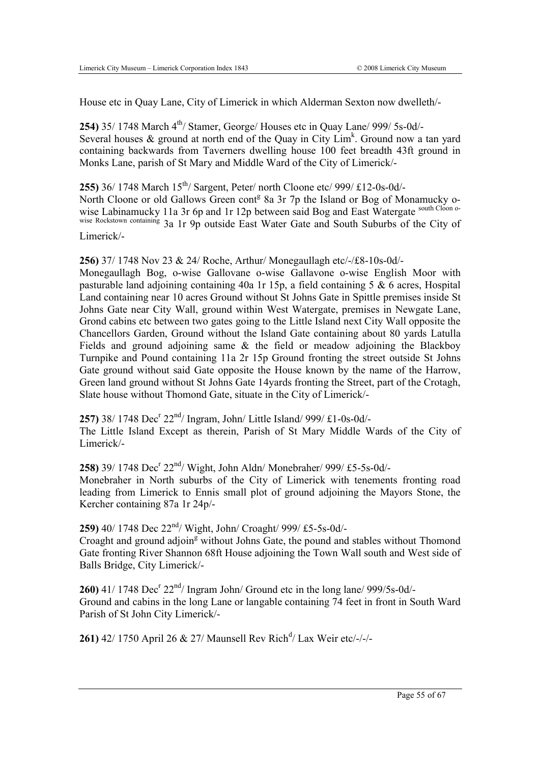House etc in Quay Lane, City of Limerick in which Alderman Sexton now dwelleth/-

**254)** 35/ 1748 March 4<sup>th</sup>/ Stamer, George/ Houses etc in Quay Lane/ 999/ 5s-0d/-Several houses  $\&$  ground at north end of the Quay in City Lim<sup>k</sup>. Ground now a tan yard containing backwards from Taverners dwelling house 100 feet breadth 43ft ground in Monks Lane, parish of St Mary and Middle Ward of the City of Limerick/-

**255)** 36/ 1748 March 15<sup>th</sup>/ Sargent, Peter/ north Cloone etc/ 999/ £12-0s-0d/-North Cloone or old Gallows Green cont<sup>g</sup> 8a 3r 7p the Island or Bog of Monamucky owise Labinamucky 11a 3r 6p and 1r 12p between said Bog and East Watergate south Cloon o-

wise Rockstown containing 3a 1r 9p outside East Water Gate and South Suburbs of the City of Limerick/-

**256)** 37/ 1748 Nov 23 & 24/ Roche, Arthur/ Monegaullagh etc/-/£8-10s-0d/-

Monegaullagh Bog, o-wise Gallovane o-wise Gallavone o-wise English Moor with pasturable land adjoining containing 40a 1r 15p, a field containing 5 & 6 acres, Hospital Land containing near 10 acres Ground without St Johns Gate in Spittle premises inside St Johns Gate near City Wall, ground within West Watergate, premises in Newgate Lane, Grond cabins etc between two gates going to the Little Island next City Wall opposite the Chancellors Garden, Ground without the Island Gate containing about 80 yards Latulla Fields and ground adjoining same  $\&$  the field or meadow adjoining the Blackboy Turnpike and Pound containing 11a 2r 15p Ground fronting the street outside St Johns Gate ground without said Gate opposite the House known by the name of the Harrow, Green land ground without St Johns Gate 14yards fronting the Street, part of the Crotagh, Slate house without Thomond Gate, situate in the City of Limerick/-

257) 38/ 1748 Dec<sup>r</sup> 22<sup>nd</sup>/ Ingram, John/ Little Island/ 999/ £1-0s-0d/-The Little Island Except as therein, Parish of St Mary Middle Wards of the City of Limerick/-

258) 39/ 1748 Dec<sup>r</sup> 22<sup>nd</sup>/ Wight, John Aldn/ Monebraher/ 999/ £5-5s-0d/-Monebraher in North suburbs of the City of Limerick with tenements fronting road leading from Limerick to Ennis small plot of ground adjoining the Mayors Stone, the Kercher containing 87a 1r 24p/-

**259)** 40/ 1748 Dec 22nd/ Wight, John/ Croaght/ 999/ £5-5s-0d/-

Croaght and ground adjoin<sup>g</sup> without Johns Gate, the pound and stables without Thomond Gate fronting River Shannon 68ft House adjoining the Town Wall south and West side of Balls Bridge, City Limerick/-

 $260$ ) 41/ 1748 Dec<sup>r</sup>  $22<sup>nd</sup>$ / Ingram John/ Ground etc in the long lane/ 999/5s-0d/-Ground and cabins in the long Lane or langable containing 74 feet in front in South Ward Parish of St John City Limerick/-

**261)** 42/ 1750 April 26 & 27/ Maunsell Rev Rich<sup>d</sup>/ Lax Weir etc/-/-/-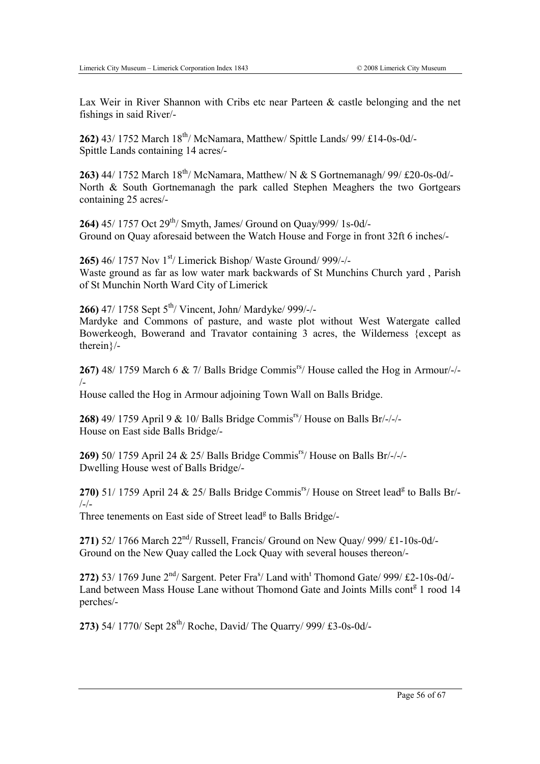therein}/-

Lax Weir in River Shannon with Cribs etc near Parteen & castle belonging and the net fishings in said River/-

**262)** 43/ 1752 March 18<sup>th</sup>/ McNamara, Matthew/ Spittle Lands/ 99/ £14-0s-0d/-Spittle Lands containing 14 acres/-

**263)** 44/ 1752 March 18<sup>th</sup>/ McNamara, Matthew/ N & S Gortnemanagh/ 99/ £20-0s-0d/-North & South Gortnemanagh the park called Stephen Meaghers the two Gortgears containing 25 acres/-

**264)** 45/ 1757 Oct 29<sup>th</sup>/ Smyth, James/ Ground on Ouay/999/ 1s-0d/-Ground on Quay aforesaid between the Watch House and Forge in front 32ft 6 inches/-

**265)** 46/ 1757 Nov 1<sup>st</sup>/ Limerick Bishop/ Waste Ground/ 999/-/-Waste ground as far as low water mark backwards of St Munchins Church yard , Parish of St Munchin North Ward City of Limerick

**266)** 47/ 1758 Sept 5th/ Vincent, John/ Mardyke/ 999/-/- Mardyke and Commons of pasture, and waste plot without West Watergate called Bowerkeogh, Bowerand and Travator containing 3 acres, the Wilderness {except as

**267)** 48/ 1759 March 6 & 7/ Balls Bridge Commis<sup>rs</sup>/ House called the Hog in Armour/-/-/-

House called the Hog in Armour adjoining Town Wall on Balls Bridge.

**268)** 49/ 1759 April 9 & 10/ Balls Bridge Commis<sup>rs</sup>/ House on Balls Br/-/-/-House on East side Balls Bridge/-

**269)** 50/ 1759 April 24 & 25/ Balls Bridge Commis<sup>rs</sup>/ House on Balls Br/-/-/-Dwelling House west of Balls Bridge/-

270) 51/ 1759 April 24 & 25/ Balls Bridge Commis<sup>rs</sup>/ House on Street lead<sup>g</sup> to Balls Br/- $/_{-}/_{-}$ 

Three tenements on East side of Street lead<sup>g</sup> to Balls Bridge/-

**271)** 52/ 1766 March 22<sup>nd</sup>/ Russell, Francis/ Ground on New Quay/ 999/ £1-10s-0d/-Ground on the New Quay called the Lock Quay with several houses thereon/-

272) 53/ 1769 June  $2<sup>nd</sup>$ / Sargent. Peter Fra<sup>s</sup>/ Land with<sup>t</sup> Thomond Gate/ 999/ £2-10s-0d/-Land between Mass House Lane without Thomond Gate and Joints Mills cont<sup>g</sup> 1 rood 14 perches/-

**273)** 54/ 1770/ Sept 28th/ Roche, David/ The Quarry/ 999/ £3-0s-0d/-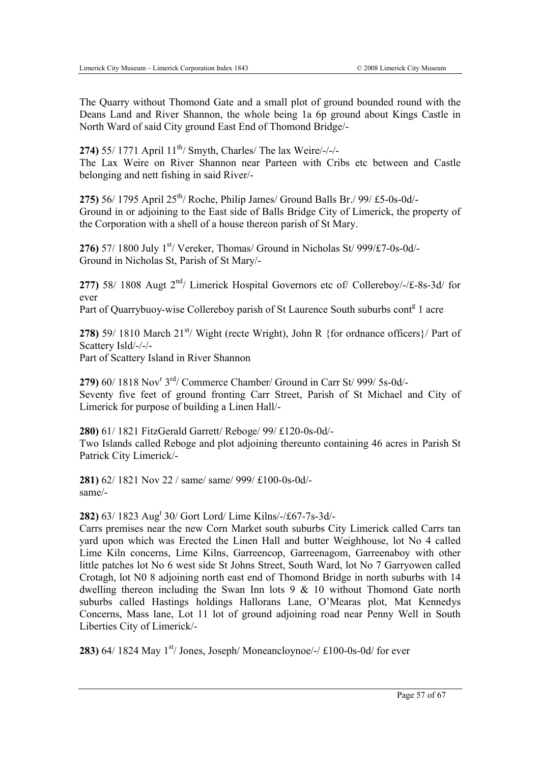The Quarry without Thomond Gate and a small plot of ground bounded round with the Deans Land and River Shannon, the whole being 1a 6p ground about Kings Castle in North Ward of said City ground East End of Thomond Bridge/-

**274)** 55/ 1771 April 11<sup>th</sup>/ Smyth, Charles/ The lax Weire/-/-/-

The Lax Weire on River Shannon near Parteen with Cribs etc between and Castle belonging and nett fishing in said River/-

**275)** 56/ 1795 April 25<sup>th</sup>/ Roche, Philip James/ Ground Balls Br./ 99/ £5-0s-0d/-Ground in or adjoining to the East side of Balls Bridge City of Limerick, the property of the Corporation with a shell of a house thereon parish of St Mary.

**276)** 57/ 1800 July  $1<sup>st</sup>$  Vereker, Thomas/ Ground in Nicholas St/ 999/£7-0s-0d/-Ground in Nicholas St, Parish of St Mary/-

**277)** 58/ 1808 Augt 2nd/ Limerick Hospital Governors etc of/ Collereboy/-/£-8s-3d/ for ever

Part of Quarrybuoy-wise Collereboy parish of St Laurence South suburbs cont<sup>g</sup> 1 acre

**278)** 59/ 1810 March  $21^{st}$ / Wight (recte Wright), John R {for ordnance officers}/ Part of Scattery Isld/-/-/-

Part of Scattery Island in River Shannon

279) 60/ 1818 Nov<sup>r</sup> 3<sup>rd</sup>/ Commerce Chamber/ Ground in Carr St/ 999/ 5s-0d/-Seventy five feet of ground fronting Carr Street, Parish of St Michael and City of Limerick for purpose of building a Linen Hall/-

**280)** 61/ 1821 FitzGerald Garrett/ Reboge/ 99/ £120-0s-0d/- Two Islands called Reboge and plot adjoining thereunto containing 46 acres in Parish St Patrick City Limerick/-

**281)** 62/ 1821 Nov 22 / same/ same/ 999/ £100-0s-0d/ same/-

**282)** 63/ 1823 Aug<sup>t</sup> 30/ Gort Lord/ Lime Kilns/-/£67-7s-3d/-

Carrs premises near the new Corn Market south suburbs City Limerick called Carrs tan yard upon which was Erected the Linen Hall and butter Weighhouse, lot No 4 called Lime Kiln concerns, Lime Kilns, Garreencop, Garreenagom, Garreenaboy with other little patches lot No 6 west side St Johns Street, South Ward, lot No 7 Garryowen called Crotagh, lot N0 8 adjoining north east end of Thomond Bridge in north suburbs with 14 dwelling thereon including the Swan Inn lots 9 & 10 without Thomond Gate north suburbs called Hastings holdings Hallorans Lane, O'Mearas plot, Mat Kennedys Concerns, Mass lane, Lot 11 lot of ground adjoining road near Penny Well in South Liberties City of Limerick/-

**283)** 64/ 1824 May  $1^{st}$  Jones, Joseph/Moneancloynoe/-/ $\text{\textsterling}100$ -0s-0d/ for ever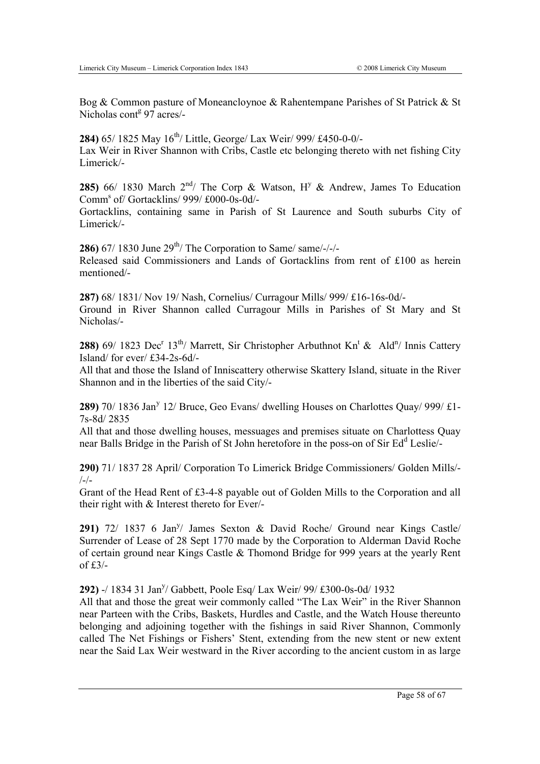Bog & Common pasture of Moneancloynoe & Rahentempane Parishes of St Patrick & St Nicholas cont<sup>g</sup> 97 acres/-

**284)** 65/ 1825 May 16<sup>th</sup>/ Little, George/ Lax Weir/ 999/ £450-0-0/-Lax Weir in River Shannon with Cribs, Castle etc belonging thereto with net fishing City Limerick/-

**285)** 66/ 1830 March  $2^{nd}$  The Corp & Watson,  $H<sup>y</sup>$  & Andrew, James To Education Comms of/ Gortacklins/ 999/ £000-0s-0d/-

Gortacklins, containing same in Parish of St Laurence and South suburbs City of Limerick/-

**286)** 67/ 1830 June 29<sup>th</sup>/ The Corporation to Same/ same/-/-/-Released said Commissioners and Lands of Gortacklins from rent of £100 as herein mentioned/-

**287)** 68/ 1831/ Nov 19/ Nash, Cornelius/ Curragour Mills/ 999/ £16-16s-0d/- Ground in River Shannon called Curragour Mills in Parishes of St Mary and St Nicholas/-

**288)** 69/ 1823 Dec<sup>r</sup> 13<sup>th</sup>/ Marrett, Sir Christopher Arbuthnot Kn<sup>t</sup> & Ald<sup>n</sup>/ Innis Cattery Island/ for ever/ £34-2s-6d/-

All that and those the Island of Inniscattery otherwise Skattery Island, situate in the River Shannon and in the liberties of the said City/-

289) 70/ 1836 Jan<sup>y</sup> 12/ Bruce, Geo Evans/ dwelling Houses on Charlottes Quay/ 999/ £1-7s-8d/ 2835

All that and those dwelling houses, messuages and premises situate on Charlottess Quay near Balls Bridge in the Parish of St John heretofore in the poss-on of Sir Ed<sup>d</sup> Leslie/-

**290)** 71/ 1837 28 April/ Corporation To Limerick Bridge Commissioners/ Golden Mills/-  $/$ - $/$ -

Grant of the Head Rent of £3-4-8 payable out of Golden Mills to the Corporation and all their right with & Interest thereto for Ever/-

291) 72/ 1837 6 Jan<sup>y</sup>/ James Sexton & David Roche/ Ground near Kings Castle/ Surrender of Lease of 28 Sept 1770 made by the Corporation to Alderman David Roche of certain ground near Kings Castle & Thomond Bridge for 999 years at the yearly Rent of  $£3/-$ 

292) -/ 1834 31 Jan<sup>y</sup>/ Gabbett, Poole Esq/ Lax Weir/ 99/ £300-0s-0d/ 1932

All that and those the great weir commonly called "The Lax Weir" in the River Shannon near Parteen with the Cribs, Baskets, Hurdles and Castle, and the Watch House thereunto belonging and adjoining together with the fishings in said River Shannon, Commonly called The Net Fishings or Fishers' Stent, extending from the new stent or new extent near the Said Lax Weir westward in the River according to the ancient custom in as large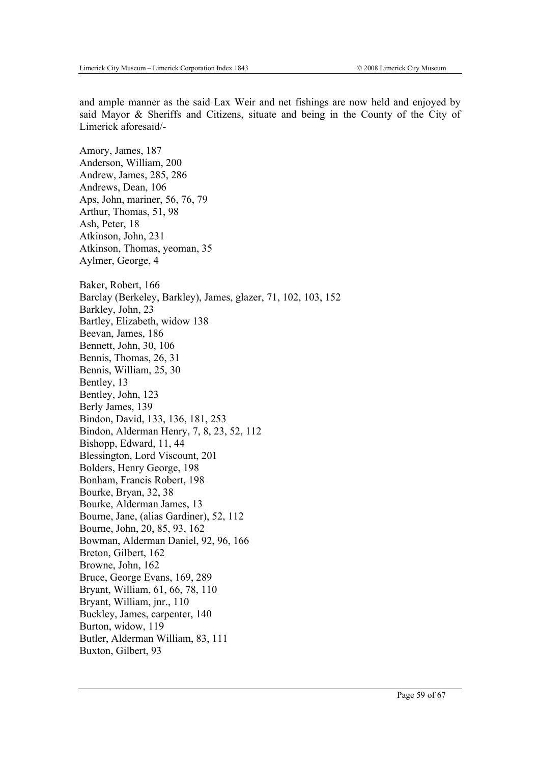and ample manner as the said Lax Weir and net fishings are now held and enjoyed by said Mayor & Sheriffs and Citizens, situate and being in the County of the City of Limerick aforesaid/-

Amory, James, 187 Anderson, William, 200 Andrew, James, 285, 286 Andrews, Dean, 106 Aps, John, mariner, 56, 76, 79 Arthur, Thomas, 51, 98 Ash, Peter, 18 Atkinson, John, 231 Atkinson, Thomas, yeoman, 35 Aylmer, George, 4 Baker, Robert, 166 Barclay (Berkeley, Barkley), James, glazer, 71, 102, 103, 152 Barkley, John, 23 Bartley, Elizabeth, widow 138 Beevan, James, 186 Bennett, John, 30, 106 Bennis, Thomas, 26, 31 Bennis, William, 25, 30 Bentley, 13 Bentley, John, 123 Berly James, 139 Bindon, David, 133, 136, 181, 253 Bindon, Alderman Henry, 7, 8, 23, 52, 112 Bishopp, Edward, 11, 44 Blessington, Lord Viscount, 201 Bolders, Henry George, 198 Bonham, Francis Robert, 198 Bourke, Bryan, 32, 38 Bourke, Alderman James, 13 Bourne, Jane, (alias Gardiner), 52, 112 Bourne, John, 20, 85, 93, 162 Bowman, Alderman Daniel, 92, 96, 166 Breton, Gilbert, 162 Browne, John, 162 Bruce, George Evans, 169, 289 Bryant, William, 61, 66, 78, 110 Bryant, William, jnr., 110 Buckley, James, carpenter, 140 Burton, widow, 119 Butler, Alderman William, 83, 111 Buxton, Gilbert, 93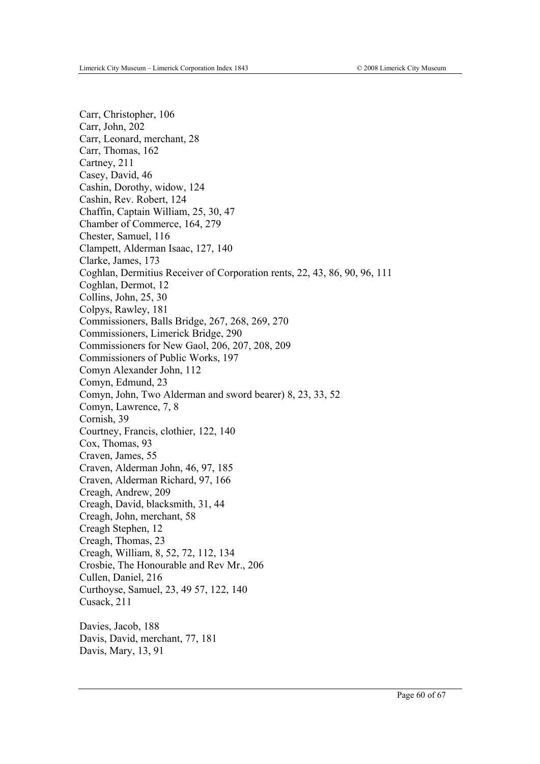Carr, Christopher, 106 Carr, John, 202 Carr, Leonard, merchant, 28 Carr, Thomas, 162 Cartney, 211 Casey, David, 46 Cashin, Dorothy, widow, 124 Cashin, Rev. Robert, 124 Chaffin, Captain William, 25, 30, 47 Chamber of Commerce, 164, 279 Chester, Samuel, 116 Clampett, Alderman Isaac, 127, 140 Clarke, James, 173 Coghlan, Dermitius Receiver of Corporation rents, 22, 43, 86, 90, 96, 111 Coghlan, Dermot, 12 Collins, John, 25, 30 Colpys, Rawley, 181 Commissioners, Balls Bridge, 267, 268, 269, 270 Commissioners, Limerick Bridge, 290 Commissioners for New Gaol, 206, 207, 208, 209 Commissioners of Public Works, 197 Comyn Alexander John, 112 Comyn, Edmund, 23 Comyn, John, Two Alderman and sword bearer) 8, 23, 33, 52 Comyn, Lawrence, 7, 8 Cornish, 39 Courtney, Francis, clothier, 122, 140 Cox, Thomas, 93 Craven, James, 55 Craven, Alderman John, 46, 97, 185 Craven, Alderman Richard, 97, 166 Creagh, Andrew, 209 Creagh, David, blacksmith, 31, 44 Creagh, John, merchant, 58 Creagh Stephen, 12 Creagh, Thomas, 23 Creagh, William, 8, 52, 72, 112, 134 Crosbie, The Honourable and Rev Mr., 206 Cullen, Daniel, 216 Curthoyse, Samuel, 23, 49 57, 122, 140 Cusack, 211 Davies, Jacob, 188 Davis, David, merchant, 77, 181 Davis, Mary, 13, 91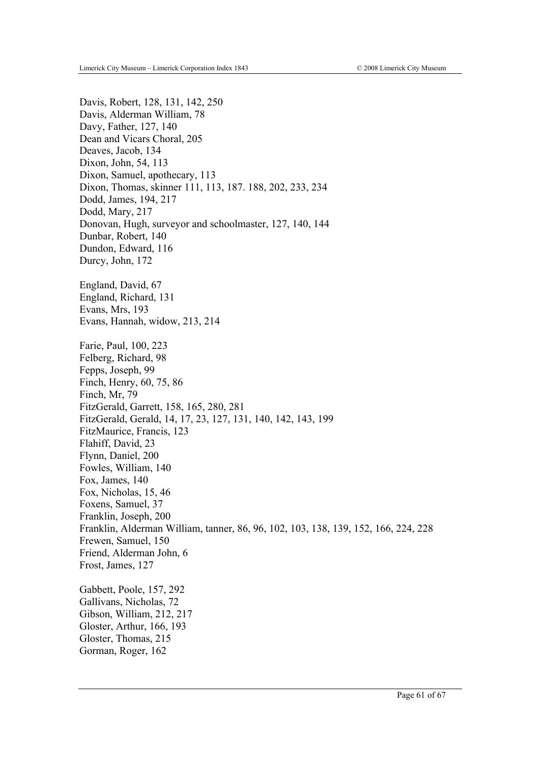Davis, Robert, 128, 131, 142, 250 Davis, Alderman William, 78 Davy, Father, 127, 140 Dean and Vicars Choral, 205 Deaves, Jacob, 134 Dixon, John, 54, 113 Dixon, Samuel, apothecary, 113 Dixon, Thomas, skinner 111, 113, 187. 188, 202, 233, 234 Dodd, James, 194, 217 Dodd, Mary, 217 Donovan, Hugh, surveyor and schoolmaster, 127, 140, 144 Dunbar, Robert, 140 Dundon, Edward, 116 Durcy, John, 172 England, David, 67 England, Richard, 131 Evans, Mrs, 193 Evans, Hannah, widow, 213, 214 Farie, Paul, 100, 223 Felberg, Richard, 98 Fepps, Joseph, 99 Finch, Henry, 60, 75, 86 Finch, Mr, 79 FitzGerald, Garrett, 158, 165, 280, 281 FitzGerald, Gerald, 14, 17, 23, 127, 131, 140, 142, 143, 199 FitzMaurice, Francis, 123 Flahiff, David, 23 Flynn, Daniel, 200 Fowles, William, 140 Fox, James, 140 Fox, Nicholas, 15, 46 Foxens, Samuel, 37 Franklin, Joseph, 200 Franklin, Alderman William, tanner, 86, 96, 102, 103, 138, 139, 152, 166, 224, 228 Frewen, Samuel, 150 Friend, Alderman John, 6 Frost, James, 127 Gabbett, Poole, 157, 292 Gallivans, Nicholas, 72 Gibson, William, 212, 217 Gloster, Arthur, 166, 193 Gloster, Thomas, 215 Gorman, Roger, 162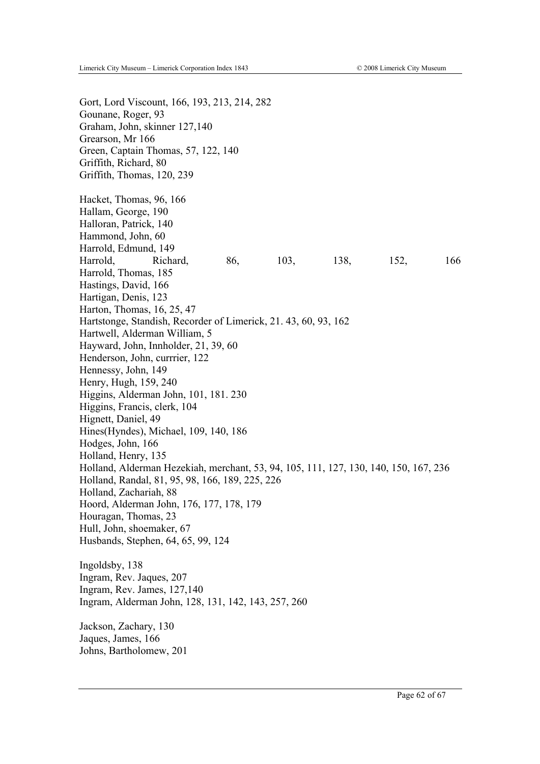Gort, Lord Viscount, 166, 193, 213, 214, 282 Gounane, Roger, 93 Graham, John, skinner 127,140 Grearson, Mr 166 Green, Captain Thomas, 57, 122, 140 Griffith, Richard, 80 Griffith, Thomas, 120, 239 Hacket, Thomas, 96, 166 Hallam, George, 190 Halloran, Patrick, 140 Hammond, John, 60 Harrold, Edmund, 149 Harrold, Richard, 86, 103, 138, 152, 166 Harrold, Thomas, 185 Hastings, David, 166 Hartigan, Denis, 123 Harton, Thomas, 16, 25, 47 Hartstonge, Standish, Recorder of Limerick, 21. 43, 60, 93, 162 Hartwell, Alderman William, 5 Hayward, John, Innholder, 21, 39, 60 Henderson, John, currrier, 122 Hennessy, John, 149 Henry, Hugh, 159, 240 Higgins, Alderman John, 101, 181. 230 Higgins, Francis, clerk, 104 Hignett, Daniel, 49 Hines(Hyndes), Michael, 109, 140, 186 Hodges, John, 166 Holland, Henry, 135 Holland, Alderman Hezekiah, merchant, 53, 94, 105, 111, 127, 130, 140, 150, 167, 236 Holland, Randal, 81, 95, 98, 166, 189, 225, 226 Holland, Zachariah, 88 Hoord, Alderman John, 176, 177, 178, 179 Houragan, Thomas, 23 Hull, John, shoemaker, 67 Husbands, Stephen, 64, 65, 99, 124 Ingoldsby, 138 Ingram, Rev. Jaques, 207 Ingram, Rev. James, 127,140 Ingram, Alderman John, 128, 131, 142, 143, 257, 260 Jackson, Zachary, 130 Jaques, James, 166 Johns, Bartholomew, 201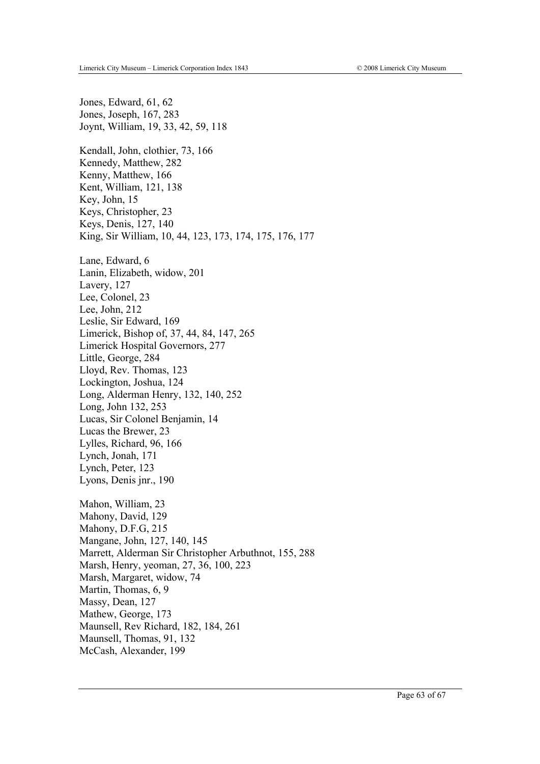Jones, Edward, 61, 62 Jones, Joseph, 167, 283 Joynt, William, 19, 33, 42, 59, 118 Kendall, John, clothier, 73, 166 Kennedy, Matthew, 282 Kenny, Matthew, 166 Kent, William, 121, 138 Key, John, 15 Keys, Christopher, 23 Keys, Denis, 127, 140 King, Sir William, 10, 44, 123, 173, 174, 175, 176, 177 Lane, Edward, 6 Lanin, Elizabeth, widow, 201 Lavery, 127 Lee, Colonel, 23 Lee, John, 212 Leslie, Sir Edward, 169 Limerick, Bishop of, 37, 44, 84, 147, 265 Limerick Hospital Governors, 277 Little, George, 284 Lloyd, Rev. Thomas, 123 Lockington, Joshua, 124 Long, Alderman Henry, 132, 140, 252 Long, John 132, 253 Lucas, Sir Colonel Benjamin, 14 Lucas the Brewer, 23 Lylles, Richard, 96, 166 Lynch, Jonah, 171 Lynch, Peter, 123 Lyons, Denis jnr., 190 Mahon, William, 23 Mahony, David, 129 Mahony, D.F.G, 215 Mangane, John, 127, 140, 145 Marrett, Alderman Sir Christopher Arbuthnot, 155, 288 Marsh, Henry, yeoman, 27, 36, 100, 223 Marsh, Margaret, widow, 74 Martin, Thomas, 6, 9 Massy, Dean, 127 Mathew, George, 173 Maunsell, Rev Richard, 182, 184, 261 Maunsell, Thomas, 91, 132 McCash, Alexander, 199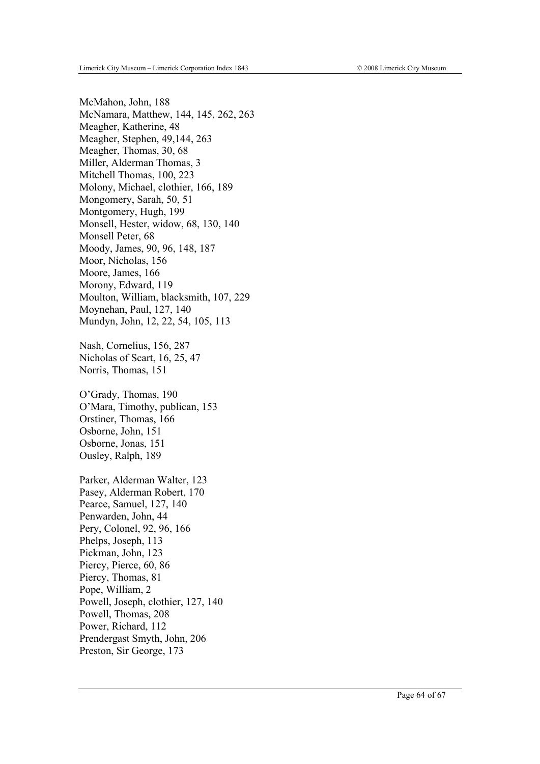McMahon, John, 188 McNamara, Matthew, 144, 145, 262, 263 Meagher, Katherine, 48 Meagher, Stephen, 49,144, 263 Meagher, Thomas, 30, 68 Miller, Alderman Thomas, 3 Mitchell Thomas, 100, 223 Molony, Michael, clothier, 166, 189 Mongomery, Sarah, 50, 51 Montgomery, Hugh, 199 Monsell, Hester, widow, 68, 130, 140 Monsell Peter, 68 Moody, James, 90, 96, 148, 187 Moor, Nicholas, 156 Moore, James, 166 Morony, Edward, 119 Moulton, William, blacksmith, 107, 229 Moynehan, Paul, 127, 140 Mundyn, John, 12, 22, 54, 105, 113

Nash, Cornelius, 156, 287 Nicholas of Scart, 16, 25, 47 Norris, Thomas, 151

O'Grady, Thomas, 190 O'Mara, Timothy, publican, 153 Orstiner, Thomas, 166 Osborne, John, 151 Osborne, Jonas, 151 Ousley, Ralph, 189

Parker, Alderman Walter, 123 Pasey, Alderman Robert, 170 Pearce, Samuel, 127, 140 Penwarden, John, 44 Pery, Colonel, 92, 96, 166 Phelps, Joseph, 113 Pickman, John, 123 Piercy, Pierce, 60, 86 Piercy, Thomas, 81 Pope, William, 2 Powell, Joseph, clothier, 127, 140 Powell, Thomas, 208 Power, Richard, 112 Prendergast Smyth, John, 206 Preston, Sir George, 173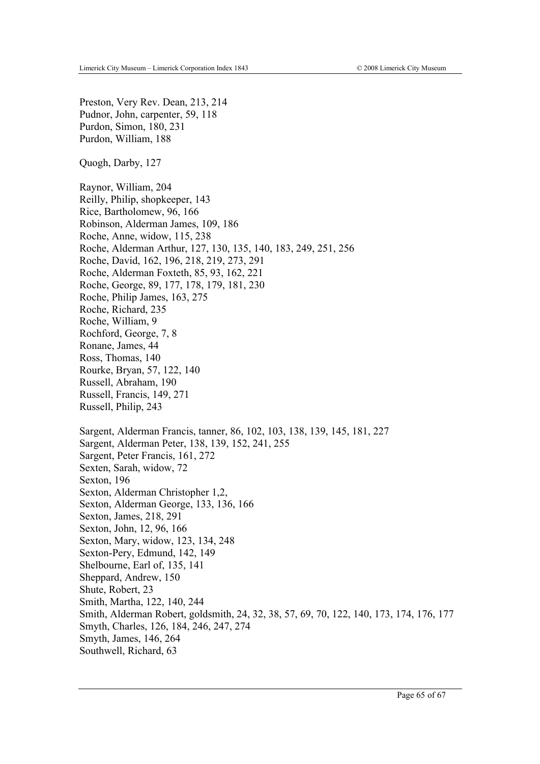Preston, Very Rev. Dean, 213, 214 Pudnor, John, carpenter, 59, 118 Purdon, Simon, 180, 231 Purdon, William, 188

Quogh, Darby, 127

Raynor, William, 204 Reilly, Philip, shopkeeper, 143 Rice, Bartholomew, 96, 166 Robinson, Alderman James, 109, 186 Roche, Anne, widow, 115, 238 Roche, Alderman Arthur, 127, 130, 135, 140, 183, 249, 251, 256 Roche, David, 162, 196, 218, 219, 273, 291 Roche, Alderman Foxteth, 85, 93, 162, 221 Roche, George, 89, 177, 178, 179, 181, 230 Roche, Philip James, 163, 275 Roche, Richard, 235 Roche, William, 9 Rochford, George, 7, 8 Ronane, James, 44 Ross, Thomas, 140 Rourke, Bryan, 57, 122, 140 Russell, Abraham, 190 Russell, Francis, 149, 271 Russell, Philip, 243 Sargent, Alderman Francis, tanner, 86, 102, 103, 138, 139, 145, 181, 227 Sargent, Alderman Peter, 138, 139, 152, 241, 255 Sargent, Peter Francis, 161, 272 Sexten, Sarah, widow, 72 Sexton, 196 Sexton, Alderman Christopher 1,2, Sexton, Alderman George, 133, 136, 166 Sexton, James, 218, 291 Sexton, John, 12, 96, 166 Sexton, Mary, widow, 123, 134, 248 Sexton-Pery, Edmund, 142, 149 Shelbourne, Earl of, 135, 141 Sheppard, Andrew, 150 Shute, Robert, 23 Smith, Martha, 122, 140, 244 Smith, Alderman Robert, goldsmith, 24, 32, 38, 57, 69, 70, 122, 140, 173, 174, 176, 177 Smyth, Charles, 126, 184, 246, 247, 274 Smyth, James, 146, 264 Southwell, Richard, 63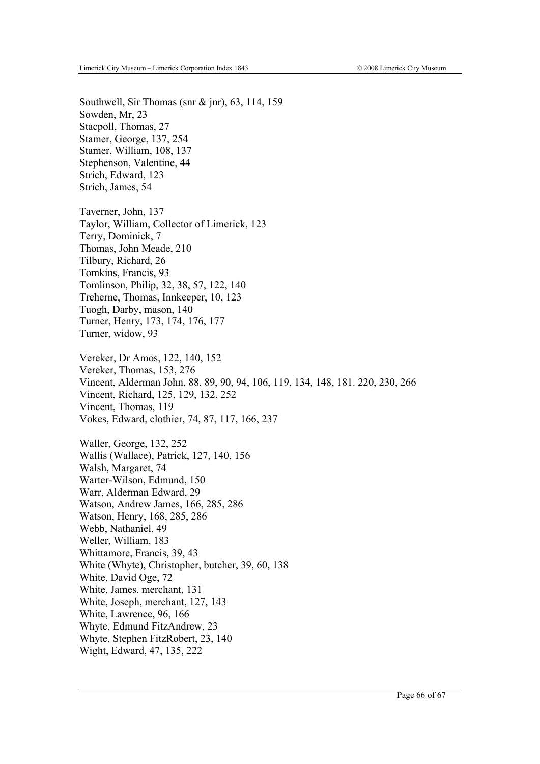Southwell, Sir Thomas (snr & jnr), 63, 114, 159 Sowden, Mr, 23 Stacpoll, Thomas, 27 Stamer, George, 137, 254 Stamer, William, 108, 137 Stephenson, Valentine, 44 Strich, Edward, 123 Strich, James, 54

Taverner, John, 137 Taylor, William, Collector of Limerick, 123 Terry, Dominick, 7 Thomas, John Meade, 210 Tilbury, Richard, 26 Tomkins, Francis, 93 Tomlinson, Philip, 32, 38, 57, 122, 140 Treherne, Thomas, Innkeeper, 10, 123 Tuogh, Darby, mason, 140 Turner, Henry, 173, 174, 176, 177 Turner, widow, 93

Vereker, Dr Amos, 122, 140, 152 Vereker, Thomas, 153, 276 Vincent, Alderman John, 88, 89, 90, 94, 106, 119, 134, 148, 181. 220, 230, 266 Vincent, Richard, 125, 129, 132, 252 Vincent, Thomas, 119 Vokes, Edward, clothier, 74, 87, 117, 166, 237

Waller, George, 132, 252 Wallis (Wallace), Patrick, 127, 140, 156 Walsh, Margaret, 74 Warter-Wilson, Edmund, 150 Warr, Alderman Edward, 29 Watson, Andrew James, 166, 285, 286 Watson, Henry, 168, 285, 286 Webb, Nathaniel, 49 Weller, William, 183 Whittamore, Francis, 39, 43 White (Whyte), Christopher, butcher, 39, 60, 138 White, David Oge, 72 White, James, merchant, 131 White, Joseph, merchant, 127, 143 White, Lawrence, 96, 166 Whyte, Edmund FitzAndrew, 23 Whyte, Stephen FitzRobert, 23, 140 Wight, Edward, 47, 135, 222